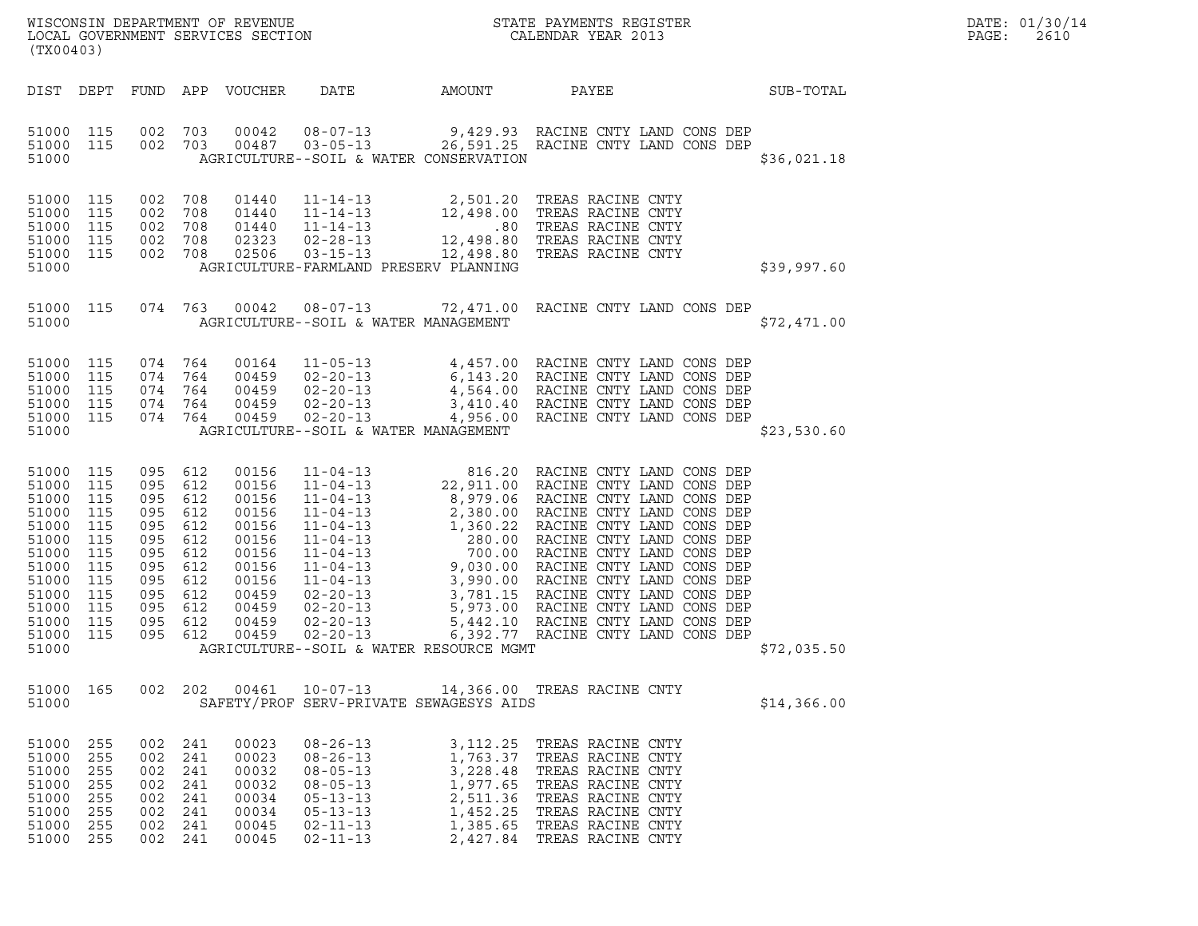| DATE: | 01/30/14 |
|-------|----------|
| PAGE: | 2610     |

| (TX00403)                                                                                                                      |                                                                                  |                                                                                                         |                                                             |                                                                                                                   |                                                                                                                                              |                                                                                    |                                                                                                                                                                                                                                         |  | DATE: 01/30/14<br>PAGE:<br>2610 |  |
|--------------------------------------------------------------------------------------------------------------------------------|----------------------------------------------------------------------------------|---------------------------------------------------------------------------------------------------------|-------------------------------------------------------------|-------------------------------------------------------------------------------------------------------------------|----------------------------------------------------------------------------------------------------------------------------------------------|------------------------------------------------------------------------------------|-----------------------------------------------------------------------------------------------------------------------------------------------------------------------------------------------------------------------------------------|--|---------------------------------|--|
| DIST DEPT                                                                                                                      |                                                                                  |                                                                                                         |                                                             | FUND APP VOUCHER                                                                                                  | DATE                                                                                                                                         | AMOUNT                                                                             | PAYEE                                                                                                                                                                                                                                   |  | SUB-TOTAL                       |  |
| 51000 115<br>51000 115<br>51000                                                                                                |                                                                                  | 002 703<br>002 703                                                                                      |                                                             | 00042<br>00487                                                                                                    | $08 - 07 - 13$<br>AGRICULTURE--SOIL & WATER CONSERVATION                                                                                     |                                                                                    | 9,429.93 RACINE CNTY LAND CONS DEP<br>03-05-13 26,591.25 RACINE CNTY LAND CONS DEP                                                                                                                                                      |  | \$36,021.18                     |  |
| 51000 115<br>51000<br>51000<br>51000 115<br>51000 115<br>51000                                                                 | 115<br>115                                                                       | 002<br>002<br>002<br>002 708<br>002 708                                                                 | 708<br>708<br>708                                           | 01440<br>01440<br>01440<br>02323<br>02506                                                                         | AGRICULTURE-FARMLAND PRESERV PLANNING                                                                                                        |                                                                                    | 11-14-13 2,501.20 TREAS RACINE CNTY<br>11-14-13 12,498.00 TREAS RACINE CNTY<br>11-14-13 .80 TREAS RACINE CNTY<br>02-28-13 12,498.80 TREAS RACINE CNTY<br>03-15-13 .12,498.80 TREAS RACINE CNTY                                          |  | \$39,997.60                     |  |
| 51000 115<br>51000                                                                                                             |                                                                                  | 074 763                                                                                                 |                                                             |                                                                                                                   | $00042$ $08-07-13$<br>AGRICULTURE--SOIL & WATER MANAGEMENT                                                                                   |                                                                                    | 72,471.00 RACINE CNTY LAND CONS DEP<br>and a straight of                                                                                                                                                                                |  | \$72,471.00                     |  |
| 51000 115<br>51000<br>51000<br>51000 115<br>51000 115<br>51000                                                                 | 115<br>115                                                                       | 074 764<br>074 764<br>074 764<br>074 764<br>074 764                                                     |                                                             | 00164<br>00459<br>00459<br>00459<br>00459                                                                         | AGRICULTURE--SOIL & WATER MANAGEMENT                                                                                                         |                                                                                    | 11-05-13 4,457.00 RACINE CNTY LAND CONS DEP<br>02-20-13 6,143.20 RACINE CNTY LAND CONS DEP<br>02-20-13 4,564.00 RACINE CNTY LAND CONS DEP<br>02-20-13 3,410.40 RACINE CNTY LAND CONS DEP<br>02-20-13 4,956.00 RACINE CNTY LAND CONS DEP |  | \$23,530.60                     |  |
| 51000<br>51000<br>51000<br>51000<br>51000<br>51000<br>51000<br>51000<br>51000<br>51000<br>51000<br>51000<br>51000 115<br>51000 | 115<br>115<br>115<br>115<br>115<br>115<br>115<br>115<br>115<br>115<br>115<br>115 | 095<br>095 612<br>095<br>095<br>095<br>095<br>095<br>095<br>095<br>095 612<br>095<br>095 612<br>095 612 | 612<br>612<br>612<br>612<br>612<br>612<br>612<br>612<br>612 | 00156<br>00156<br>00156<br>00156<br>00156<br>00156<br>00156<br>00156<br>00156<br>00459<br>00459<br>00459<br>00459 | AGRICULTURE--SOIL & WATER RESOURCE MGMT                                                                                                      |                                                                                    |                                                                                                                                                                                                                                         |  | \$72,035.50                     |  |
| 51000 165<br>51000                                                                                                             |                                                                                  | 002 202                                                                                                 |                                                             | 00461                                                                                                             | SAFETY/PROF SERV-PRIVATE SEWAGESYS AIDS                                                                                                      |                                                                                    | 10-07-13 14,366.00 TREAS RACINE CNTY                                                                                                                                                                                                    |  | \$14,366.00                     |  |
| 51000<br>51000<br>51000<br>51000<br>51000<br>51000<br>51000<br>51000                                                           | 255<br>255<br>255<br>255<br>255<br>255<br>255<br>255                             | 002<br>002<br>002<br>002<br>002<br>002<br>002<br>002                                                    | 241<br>241<br>241<br>241<br>241<br>241<br>241<br>241        | 00023<br>00023<br>00032<br>00032<br>00034<br>00034<br>00045<br>00045                                              | $08 - 26 - 13$<br>$08 - 26 - 13$<br>$08 - 05 - 13$<br>$08 - 05 - 13$<br>$05 - 13 - 13$<br>$05 - 13 - 13$<br>$02 - 11 - 13$<br>$02 - 11 - 13$ | 3, 112. 25<br>1,763.37<br>3,228.48<br>1,977.65<br>2,511.36<br>1,452.25<br>1,385.65 | TREAS RACINE CNTY<br>TREAS RACINE CNTY<br>TREAS RACINE CNTY<br>TREAS RACINE CNTY<br>TREAS RACINE CNTY<br>TREAS RACINE CNTY<br>TREAS RACINE CNTY<br>2,427.84 TREAS RACINE CNTY                                                           |  |                                 |  |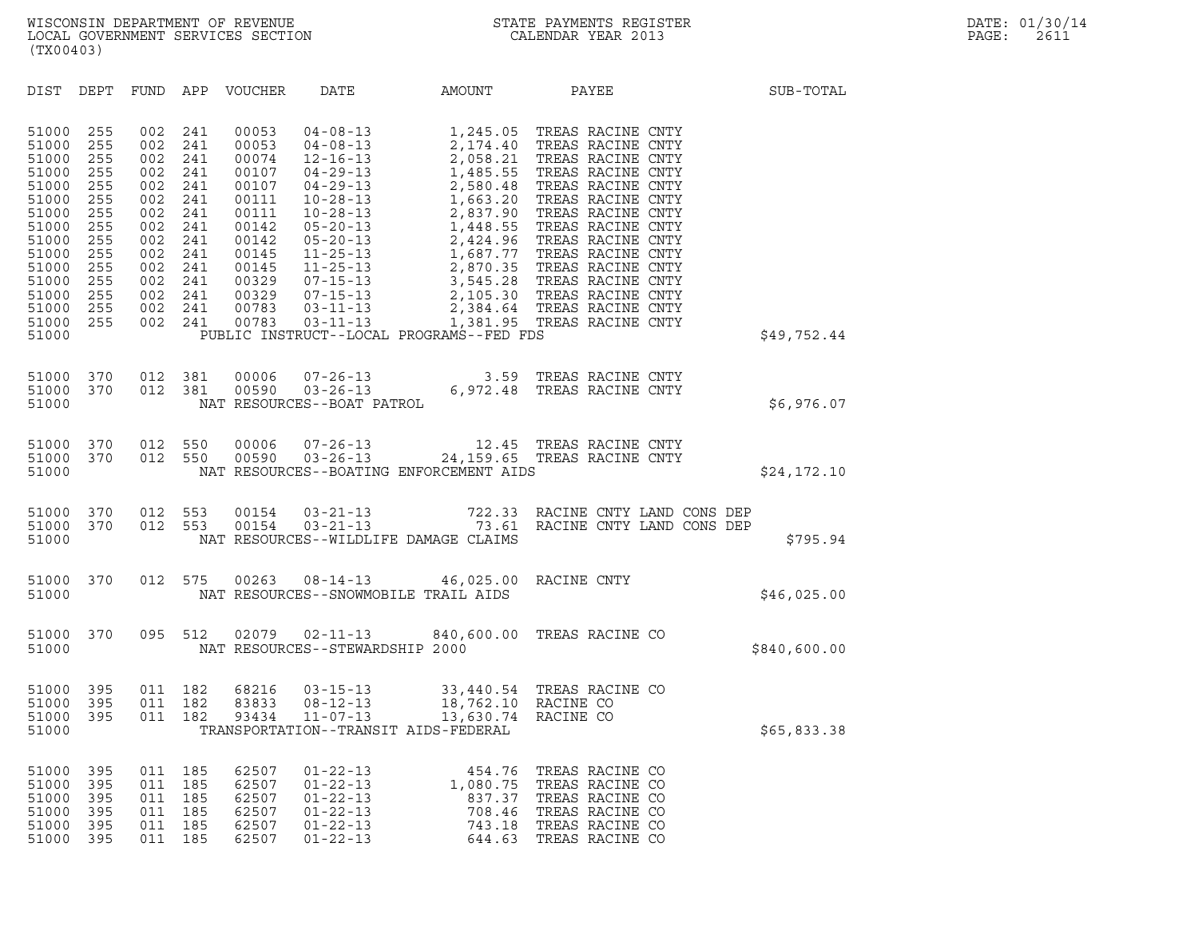| (TX00403)                                                                                                                                                                                                                                             |                                                                                                                                                                                                                                                                                                                                                       |                                                                                                                                                                                                                                                                                                                                                                                                                                                                  |                                                            |                                                                                                                                                                                                                                                                                                                                                                                                                                                       |              |
|-------------------------------------------------------------------------------------------------------------------------------------------------------------------------------------------------------------------------------------------------------|-------------------------------------------------------------------------------------------------------------------------------------------------------------------------------------------------------------------------------------------------------------------------------------------------------------------------------------------------------|------------------------------------------------------------------------------------------------------------------------------------------------------------------------------------------------------------------------------------------------------------------------------------------------------------------------------------------------------------------------------------------------------------------------------------------------------------------|------------------------------------------------------------|-------------------------------------------------------------------------------------------------------------------------------------------------------------------------------------------------------------------------------------------------------------------------------------------------------------------------------------------------------------------------------------------------------------------------------------------------------|--------------|
| DIST DEPT                                                                                                                                                                                                                                             | FUND<br>APP<br>VOUCHER                                                                                                                                                                                                                                                                                                                                | DATE                                                                                                                                                                                                                                                                                                                                                                                                                                                             | AMOUNT                                                     | PAYEE                                                                                                                                                                                                                                                                                                                                                                                                                                                 | SUB-TOTAL    |
| 51000<br>255<br>255<br>51000<br>51000<br>255<br>51000<br>255<br>51000<br>255<br>51000<br>255<br>51000<br>255<br>51000<br>255<br>51000<br>255<br>51000<br>255<br>51000<br>255<br>51000<br>255<br>51000<br>255<br>51000<br>255<br>255<br>51000<br>51000 | 002<br>241<br>00053<br>002<br>241<br>00053<br>002<br>241<br>00074<br>002<br>241<br>00107<br>002<br>241<br>00107<br>002<br>241<br>00111<br>002<br>241<br>00111<br>002<br>241<br>00142<br>002<br>241<br>00142<br>002<br>241<br>00145<br>002<br>241<br>00145<br>002<br>241<br>00329<br>002<br>241<br>00329<br>002<br>241<br>00783<br>00783<br>002<br>241 | $04 - 08 - 13$<br>$04 - 08 - 13$<br>$12 - 16 - 13$<br>$\begin{array}{ll} 12\text{--}16\text{--}13 \\ 04\text{--}29\text{--}13 \\ 10\text{--}28\text{--}13 \\ 10\text{--}28\text{--}13 \\ 05\text{--}20\text{--}13 \\ 05\text{--}20\text{--}13 \\ 11\text{--}25\text{--}13 \\ 11\text{--}25\text{--}13 \\ 07\text{--}15\text{--}13 \\ 07\text{--}15\text{--}13 \\ 03\text{--}11\text{--}13 \\ 03\text{--}11\text{--}$<br>PUBLIC INSTRUCT--LOCAL PROGRAMS--FED FDS | 2,058.21                                                   | 1,245.05 TREAS RACINE CNTY<br>2,174.40 TREAS RACINE CNTY<br>TREAS RACINE CNTY<br>1,485.55 TREAS RACINE CNTY<br>2,580.48 TREAS RACINE CNTY<br>1,663.20 TREAS RACINE CNTY<br>2,837.90 TREAS RACINE CNTY<br>1,448.55 TREAS RACINE CNTY<br>2,424.96 TREAS RACINE CNTY<br>1,687.77 TREAS RACINE CNTY<br>2,870.35 TREAS RACINE CNTY<br>3,545.28 TREAS RACINE CNTY<br>2,105.30 TREAS RACINE CNTY<br>2,384.64 TREAS RACINE CNTY<br>1,381.95 TREAS RACINE CNTY | \$49,752.44  |
| 370<br>51000<br>370<br>51000<br>51000                                                                                                                                                                                                                 | 012<br>381<br>00006<br>012<br>381<br>00590                                                                                                                                                                                                                                                                                                            | $07 - 26 - 13$ 3.59<br>$03 - 26 - 13$ 6,972.48<br>NAT RESOURCES--BOAT PATROL                                                                                                                                                                                                                                                                                                                                                                                     |                                                            | TREAS RACINE CNTY<br>TREAS RACINE CNTY                                                                                                                                                                                                                                                                                                                                                                                                                | \$6,976.07   |
| 51000<br>370<br>370<br>51000<br>51000                                                                                                                                                                                                                 | 012<br>550<br>00006<br>012<br>550<br>00590                                                                                                                                                                                                                                                                                                            | $07 - 26 - 13$<br>$03 - 26 - 13$<br>NAT RESOURCES--BOATING ENFORCEMENT AIDS                                                                                                                                                                                                                                                                                                                                                                                      |                                                            | 12.45 TREAS RACINE CNTY<br>24.159 65 TREAS RACINE CNTY                                                                                                                                                                                                                                                                                                                                                                                                | \$24,172.10  |
| 51000<br>370<br>51000<br>370<br>51000                                                                                                                                                                                                                 | 012<br>553<br>00154<br>012<br>553<br>00154                                                                                                                                                                                                                                                                                                            | NAT RESOURCES--WILDLIFE DAMAGE CLAIMS                                                                                                                                                                                                                                                                                                                                                                                                                            |                                                            | 03-21-13 722.33 RACINE CNTY LAND CONS DEP 03-21-13 73.61 RACINE CNTY LAND CONS DEP                                                                                                                                                                                                                                                                                                                                                                    | \$795.94     |
| 51000<br>370<br>51000                                                                                                                                                                                                                                 | 012<br>575<br>00263                                                                                                                                                                                                                                                                                                                                   | $08 - 14 - 13$<br>NAT RESOURCES--SNOWMOBILE TRAIL AIDS                                                                                                                                                                                                                                                                                                                                                                                                           |                                                            | 46,025.00 RACINE CNTY                                                                                                                                                                                                                                                                                                                                                                                                                                 | \$46,025.00  |
| 51000<br>370<br>51000                                                                                                                                                                                                                                 | 095<br>512<br>02079                                                                                                                                                                                                                                                                                                                                   | $02 - 11 - 13$<br>NAT RESOURCES--STEWARDSHIP 2000                                                                                                                                                                                                                                                                                                                                                                                                                | 840,600.00                                                 | TREAS RACINE CO                                                                                                                                                                                                                                                                                                                                                                                                                                       | \$840,600.00 |
| 51000<br>395<br>51000<br>395<br>51000<br>395<br>51000                                                                                                                                                                                                 | 011<br>182<br>68216<br>011<br>182<br>83833<br>011<br>182<br>93434                                                                                                                                                                                                                                                                                     | $03 - 15 - 13$<br>$08 - 12 - 13$<br>$11 - 07 - 13$<br>TRANSPORTATION--TRANSIT AIDS-FEDERAL                                                                                                                                                                                                                                                                                                                                                                       | 18,762.10 RACINE CO<br>13,630.74 RACINE CO                 | 33,440.54 TREAS RACINE CO                                                                                                                                                                                                                                                                                                                                                                                                                             | \$65,833.38  |
| 51000<br>395<br>395<br>51000<br>395<br>51000<br>51000<br>395<br>51000<br>395<br>51000<br>395                                                                                                                                                          | 011<br>185<br>62507<br>62507<br>011<br>185<br>011<br>185<br>62507<br>011<br>185<br>62507<br>011<br>185<br>62507<br>62507<br>011<br>185                                                                                                                                                                                                                | $01 - 22 - 13$<br>$01 - 22 - 13$<br>$01 - 22 - 13$<br>$01 - 22 - 13$<br>$01 - 22 - 13$<br>$01 - 22 - 13$                                                                                                                                                                                                                                                                                                                                                         | 454.76<br>1,080.75<br>837.37<br>708.46<br>743.18<br>644.63 | TREAS RACINE CO<br>TREAS RACINE CO<br>TREAS RACINE CO<br>TREAS RACINE CO<br>TREAS RACINE CO<br>TREAS RACINE CO                                                                                                                                                                                                                                                                                                                                        |              |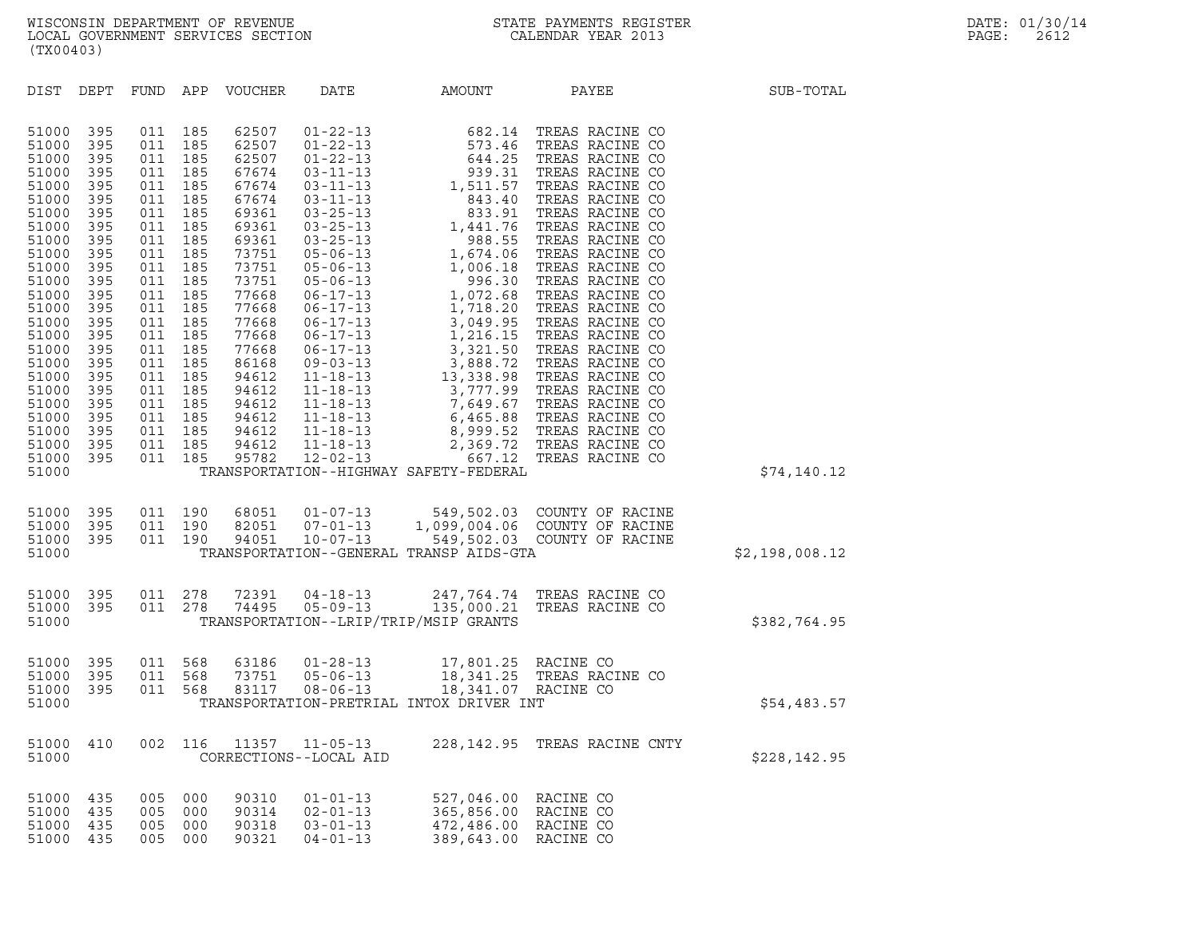| (TX00403)                                                                                                                                                                                                                              |                                                                                                                                                                             |                                                                                                                                                                             |                                                                                                                                                                             |                                                                                                                                                                                                                               |                                                                                                                                                                                                                                                                                                                                                                                                                                                                |                                                                                                                                                                                                                                                                                                                       |                                                                                                                                                                                                                                                                                                                                                                                                                                                                                                  |                |
|----------------------------------------------------------------------------------------------------------------------------------------------------------------------------------------------------------------------------------------|-----------------------------------------------------------------------------------------------------------------------------------------------------------------------------|-----------------------------------------------------------------------------------------------------------------------------------------------------------------------------|-----------------------------------------------------------------------------------------------------------------------------------------------------------------------------|-------------------------------------------------------------------------------------------------------------------------------------------------------------------------------------------------------------------------------|----------------------------------------------------------------------------------------------------------------------------------------------------------------------------------------------------------------------------------------------------------------------------------------------------------------------------------------------------------------------------------------------------------------------------------------------------------------|-----------------------------------------------------------------------------------------------------------------------------------------------------------------------------------------------------------------------------------------------------------------------------------------------------------------------|--------------------------------------------------------------------------------------------------------------------------------------------------------------------------------------------------------------------------------------------------------------------------------------------------------------------------------------------------------------------------------------------------------------------------------------------------------------------------------------------------|----------------|
| DIST                                                                                                                                                                                                                                   | DEPT                                                                                                                                                                        | FUND                                                                                                                                                                        | APP                                                                                                                                                                         | <b>VOUCHER</b>                                                                                                                                                                                                                | DATE                                                                                                                                                                                                                                                                                                                                                                                                                                                           | AMOUNT                                                                                                                                                                                                                                                                                                                | PAYEE                                                                                                                                                                                                                                                                                                                                                                                                                                                                                            | SUB-TOTAL      |
| 51000<br>51000<br>51000<br>51000<br>51000<br>51000<br>51000<br>51000<br>51000<br>51000<br>51000<br>51000<br>51000<br>51000<br>51000<br>51000<br>51000<br>51000<br>51000<br>51000<br>51000<br>51000<br>51000<br>51000<br>51000<br>51000 | 395<br>395<br>395<br>395<br>395<br>395<br>395<br>395<br>395<br>395<br>395<br>395<br>395<br>395<br>395<br>395<br>395<br>395<br>395<br>395<br>395<br>395<br>395<br>395<br>395 | 011<br>011<br>011<br>011<br>011<br>011<br>011<br>011<br>011<br>011<br>011<br>011<br>011<br>011<br>011<br>011<br>011<br>011<br>011<br>011<br>011<br>011<br>011<br>011<br>011 | 185<br>185<br>185<br>185<br>185<br>185<br>185<br>185<br>185<br>185<br>185<br>185<br>185<br>185<br>185<br>185<br>185<br>185<br>185<br>185<br>185<br>185<br>185<br>185<br>185 | 62507<br>62507<br>62507<br>67674<br>67674<br>67674<br>69361<br>69361<br>69361<br>73751<br>73751<br>73751<br>77668<br>77668<br>77668<br>77668<br>77668<br>86168<br>94612<br>94612<br>94612<br>94612<br>94612<br>94612<br>95782 | $01 - 22 - 13$<br>$01 - 22 - 13$<br>$01 - 22 - 13$<br>$03 - 11 - 13$<br>$03 - 11 - 13$<br>$03 - 11 - 13$<br>$03 - 25 - 13$<br>$03 - 25 - 13$<br>$03 - 25 - 13$<br>$05 - 06 - 13$<br>$05 - 06 - 13$<br>$05 - 06 - 13$<br>$06 - 17 - 13$<br>$06 - 17 - 13$<br>$06 - 17 - 13$<br>$06 - 17 - 13$<br>$06 - 17 - 13$<br>$09 - 03 - 13$<br>$11 - 18 - 13$<br>$11 - 18 - 13$<br>$11 - 18 - 13$<br>$11 - 18 - 13$<br>$11 - 18 - 13$<br>$11 - 18 - 13$<br>$12 - 02 - 13$ | 682.14<br>573.46<br>644.25<br>939.31<br>1,511.57<br>843.40<br>833.91<br>1,441.76<br>988.55<br>1,674.06<br>1,006.18<br>996.30<br>1,072.68<br>1,718.20<br>3,049.95<br>1,216.15<br>3,321.50<br>3,888.72<br>13,338.98<br>3,777.99<br>7,649.67<br>6,465.88<br>2,369.72<br>667.12<br>TRANSPORTATION--HIGHWAY SAFETY-FEDERAL | TREAS RACINE CO<br>TREAS RACINE CO<br>TREAS RACINE CO<br>TREAS RACINE CO<br>TREAS RACINE CO<br>TREAS RACINE CO<br>TREAS RACINE CO<br>TREAS RACINE CO<br>TREAS RACINE CO<br>TREAS RACINE CO<br>TREAS RACINE CO<br>TREAS RACINE CO<br>TREAS RACINE CO<br>TREAS RACINE CO<br>TREAS RACINE CO<br>TREAS RACINE CO<br>TREAS RACINE CO<br>TREAS RACINE CO<br>TREAS RACINE CO<br>TREAS RACINE CO<br>TREAS RACINE CO<br>TREAS RACINE CO<br>8,999.52 TREAS RACINE CO<br>TREAS RACINE CO<br>TREAS RACINE CO | \$74,140.12    |
| 51000<br>51000<br>51000<br>51000                                                                                                                                                                                                       | 395<br>395<br>395                                                                                                                                                           | 011<br>011<br>011                                                                                                                                                           | 190<br>190<br>190                                                                                                                                                           | 68051<br>82051<br>94051                                                                                                                                                                                                       | $01 - 07 - 13$<br>$07 - 01 - 13$<br>$10 - 07 - 13$                                                                                                                                                                                                                                                                                                                                                                                                             | 549,502.03<br>549,502.03<br>TRANSPORTATION--GENERAL TRANSP AIDS-GTA                                                                                                                                                                                                                                                   | COUNTY OF RACINE<br>1,099,004.06 COUNTY OF RACINE<br>COUNTY OF RACINE                                                                                                                                                                                                                                                                                                                                                                                                                            | \$2,198,008.12 |
| 51000<br>51000<br>51000                                                                                                                                                                                                                | 395<br>395                                                                                                                                                                  | 011<br>011                                                                                                                                                                  | 278<br>278                                                                                                                                                                  | 72391<br>74495                                                                                                                                                                                                                | $04 - 18 - 13$<br>$05 - 09 - 13$                                                                                                                                                                                                                                                                                                                                                                                                                               | 247,764.74<br>135,000.21<br>TRANSPORTATION--LRIP/TRIP/MSIP GRANTS                                                                                                                                                                                                                                                     | TREAS RACINE CO<br>TREAS RACINE CO                                                                                                                                                                                                                                                                                                                                                                                                                                                               | \$382,764.95   |
| 51000<br>51000<br>51000<br>51000                                                                                                                                                                                                       | 395<br>395<br>395                                                                                                                                                           | 011<br>011<br>011                                                                                                                                                           | 568<br>568<br>568                                                                                                                                                           | 63186<br>73751<br>83117                                                                                                                                                                                                       | $01 - 28 - 13$<br>$05 - 06 - 13$<br>$08 - 06 - 13$                                                                                                                                                                                                                                                                                                                                                                                                             | 17,801.25<br>18,341.25<br>18,341.07<br>TRANSPORTATION-PRETRIAL INTOX DRIVER INT                                                                                                                                                                                                                                       | RACINE CO<br>TREAS RACINE CO<br>RACINE CO                                                                                                                                                                                                                                                                                                                                                                                                                                                        | \$54,483.57    |
| 51000<br>51000                                                                                                                                                                                                                         | 410                                                                                                                                                                         | 002                                                                                                                                                                         | 116                                                                                                                                                                         | 11357                                                                                                                                                                                                                         | $11 - 05 - 13$<br>CORRECTIONS--LOCAL AID                                                                                                                                                                                                                                                                                                                                                                                                                       | 228,142.95                                                                                                                                                                                                                                                                                                            | TREAS RACINE CNTY                                                                                                                                                                                                                                                                                                                                                                                                                                                                                | \$228,142.95   |
| 51000<br>51000<br>51000<br>51000                                                                                                                                                                                                       | 435<br>435<br>435<br>435                                                                                                                                                    | 005<br>005<br>005<br>005                                                                                                                                                    | 000<br>000<br>000<br>000                                                                                                                                                    | 90310<br>90314<br>90318<br>90321                                                                                                                                                                                              | $01 - 01 - 13$<br>$02 - 01 - 13$<br>$03 - 01 - 13$<br>$04 - 01 - 13$                                                                                                                                                                                                                                                                                                                                                                                           | 527,046.00<br>365,856.00<br>472,486.00<br>389,643.00                                                                                                                                                                                                                                                                  | RACINE CO<br>RACINE CO<br>RACINE CO<br>RACINE CO                                                                                                                                                                                                                                                                                                                                                                                                                                                 |                |
|                                                                                                                                                                                                                                        |                                                                                                                                                                             |                                                                                                                                                                             |                                                                                                                                                                             |                                                                                                                                                                                                                               |                                                                                                                                                                                                                                                                                                                                                                                                                                                                |                                                                                                                                                                                                                                                                                                                       |                                                                                                                                                                                                                                                                                                                                                                                                                                                                                                  |                |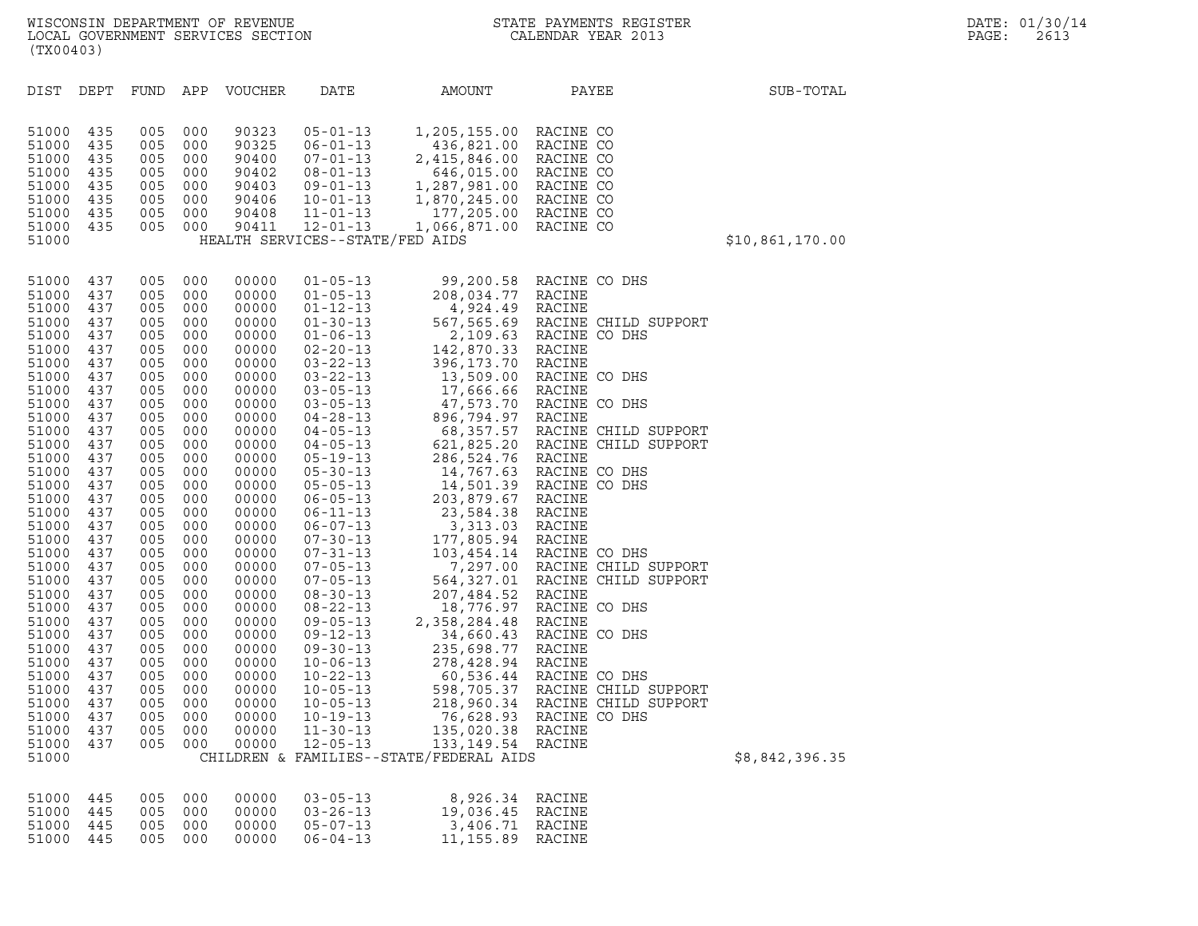| (TX00403)                                                                                                                                                                                                                                                                                                                        |                                                                                                                                                                                                                                                   |                                                                                                                                                                                                                                                   |                                                                                                                                                                                                                                                   |                                                                                                                                                                                                                                                                                                                         |                                                                                                                                                                                 |                                                                                                                                  |                                                                                                                                                                                                                                                                                                                                                                                          |                 |
|----------------------------------------------------------------------------------------------------------------------------------------------------------------------------------------------------------------------------------------------------------------------------------------------------------------------------------|---------------------------------------------------------------------------------------------------------------------------------------------------------------------------------------------------------------------------------------------------|---------------------------------------------------------------------------------------------------------------------------------------------------------------------------------------------------------------------------------------------------|---------------------------------------------------------------------------------------------------------------------------------------------------------------------------------------------------------------------------------------------------|-------------------------------------------------------------------------------------------------------------------------------------------------------------------------------------------------------------------------------------------------------------------------------------------------------------------------|---------------------------------------------------------------------------------------------------------------------------------------------------------------------------------|----------------------------------------------------------------------------------------------------------------------------------|------------------------------------------------------------------------------------------------------------------------------------------------------------------------------------------------------------------------------------------------------------------------------------------------------------------------------------------------------------------------------------------|-----------------|
| DIST                                                                                                                                                                                                                                                                                                                             | DEPT                                                                                                                                                                                                                                              | FUND APP                                                                                                                                                                                                                                          |                                                                                                                                                                                                                                                   | VOUCHER                                                                                                                                                                                                                                                                                                                 | DATE                                                                                                                                                                            | AMOUNT                                                                                                                           | PAYEE                                                                                                                                                                                                                                                                                                                                                                                    | SUB-TOTAL       |
| 51000<br>51000<br>51000<br>51000<br>51000<br>51000<br>51000<br>51000<br>51000                                                                                                                                                                                                                                                    | 435<br>435<br>435<br>435<br>435<br>435<br>435<br>435                                                                                                                                                                                              | 005<br>005<br>005<br>005<br>005<br>005<br>005<br>005                                                                                                                                                                                              | 000<br>000<br>000<br>000<br>000<br>000<br>000<br>000                                                                                                                                                                                              | 90323<br>90325<br>90400<br>90402<br>90403<br>90406<br>90408<br>90411                                                                                                                                                                                                                                                    | $05 - 01 - 13$<br>$06 - 01 - 13$<br>$07 - 01 - 13$<br>$08 - 01 - 13$<br>$09 - 01 - 13$<br>$10 - 01 - 13$<br>$11 - 01 - 13$<br>$12 - 01 - 13$<br>HEALTH SERVICES--STATE/FED AIDS | 1,205,155.00<br>436,821.00<br>2,415,846.00<br>646,015.00<br>1,287,981.00<br>1,870,245.00<br>177,205.00<br>1,066,871.00 RACINE CO | RACINE CO<br>RACINE CO<br>RACINE CO<br>RACINE CO<br>RACINE CO<br>RACINE CO<br>RACINE CO                                                                                                                                                                                                                                                                                                  | \$10,861,170.00 |
| 51000<br>51000<br>51000<br>51000<br>51000<br>51000<br>51000<br>51000<br>51000<br>51000<br>51000<br>51000<br>51000<br>51000<br>51000<br>51000<br>51000<br>51000<br>51000<br>51000<br>51000<br>51000<br>51000<br>51000<br>51000<br>51000<br>51000<br>51000<br>51000<br>51000<br>51000<br>51000<br>51000<br>51000<br>51000<br>51000 | 437<br>437<br>437<br>437<br>437<br>437<br>437<br>437<br>437<br>437<br>437<br>437<br>437<br>437<br>437<br>437<br>437<br>437<br>437<br>437<br>437<br>437<br>437<br>437<br>437<br>437<br>437<br>437<br>437<br>437<br>437<br>437<br>437<br>437<br>437 | 005<br>005<br>005<br>005<br>005<br>005<br>005<br>005<br>005<br>005<br>005<br>005<br>005<br>005<br>005<br>005<br>005<br>005<br>005<br>005<br>005<br>005<br>005<br>005<br>005<br>005<br>005<br>005<br>005<br>005<br>005<br>005<br>005<br>005<br>005 | 000<br>000<br>000<br>000<br>000<br>000<br>000<br>000<br>000<br>000<br>000<br>000<br>000<br>000<br>000<br>000<br>000<br>000<br>000<br>000<br>000<br>000<br>000<br>000<br>000<br>000<br>000<br>000<br>000<br>000<br>000<br>000<br>000<br>000<br>000 | 00000<br>00000<br>00000<br>00000<br>00000<br>00000<br>00000<br>00000<br>00000<br>00000<br>00000<br>00000<br>00000<br>00000<br>00000<br>00000<br>00000<br>00000<br>00000<br>00000<br>00000<br>00000<br>00000<br>00000<br>00000<br>00000<br>00000<br>00000<br>00000<br>00000<br>00000<br>00000<br>00000<br>00000<br>00000 | $01 - 05 - 13$<br>$10 - 05 - 13$<br>$10 - 05 - 13$<br>$10 - 19 - 13$<br>$11 - 30 - 13$<br>$12 - 05 - 13$                                                                        | 76,628.93<br>135,020.38<br>133, 149.54<br>CHILDREN & FAMILIES--STATE/FEDERAL AIDS                                                | 99,200.58 RACINE CO DHS<br>01-05-13 99, 200.58 RACINE CO DHS<br>01-05-13 208, 034.77 RACINE CO DHS<br>01-12-13 208, 034.77 RACINE<br>01-30-13 4, 924.49 RACINE<br>01-30-13 4, 924.49 RACINE<br>01-30-13 2, 09.63 RACINE CO DHS<br>02-22-13 396, 173.70 RACINE CO DHS<br>03-05<br>598,705.37 RACINE CHILD SUPPORT<br>218,960.34 RACINE CHILD SUPPORT<br>RACINE CO DHS<br>RACINE<br>RACINE | \$8,842,396.35  |
| 51000<br>51000<br>51000<br>51000                                                                                                                                                                                                                                                                                                 | 445<br>445<br>445<br>445                                                                                                                                                                                                                          | 005<br>005<br>005<br>005                                                                                                                                                                                                                          | 000<br>000<br>000<br>000                                                                                                                                                                                                                          | 00000<br>00000<br>00000<br>00000                                                                                                                                                                                                                                                                                        | $03 - 05 - 13$<br>$03 - 26 - 13$<br>$05 - 07 - 13$<br>$06 - 04 - 13$                                                                                                            | 8,926.34<br>19,036.45<br>3,406.71<br>11, 155.89                                                                                  | RACINE<br>RACINE<br>RACINE<br>RACINE                                                                                                                                                                                                                                                                                                                                                     |                 |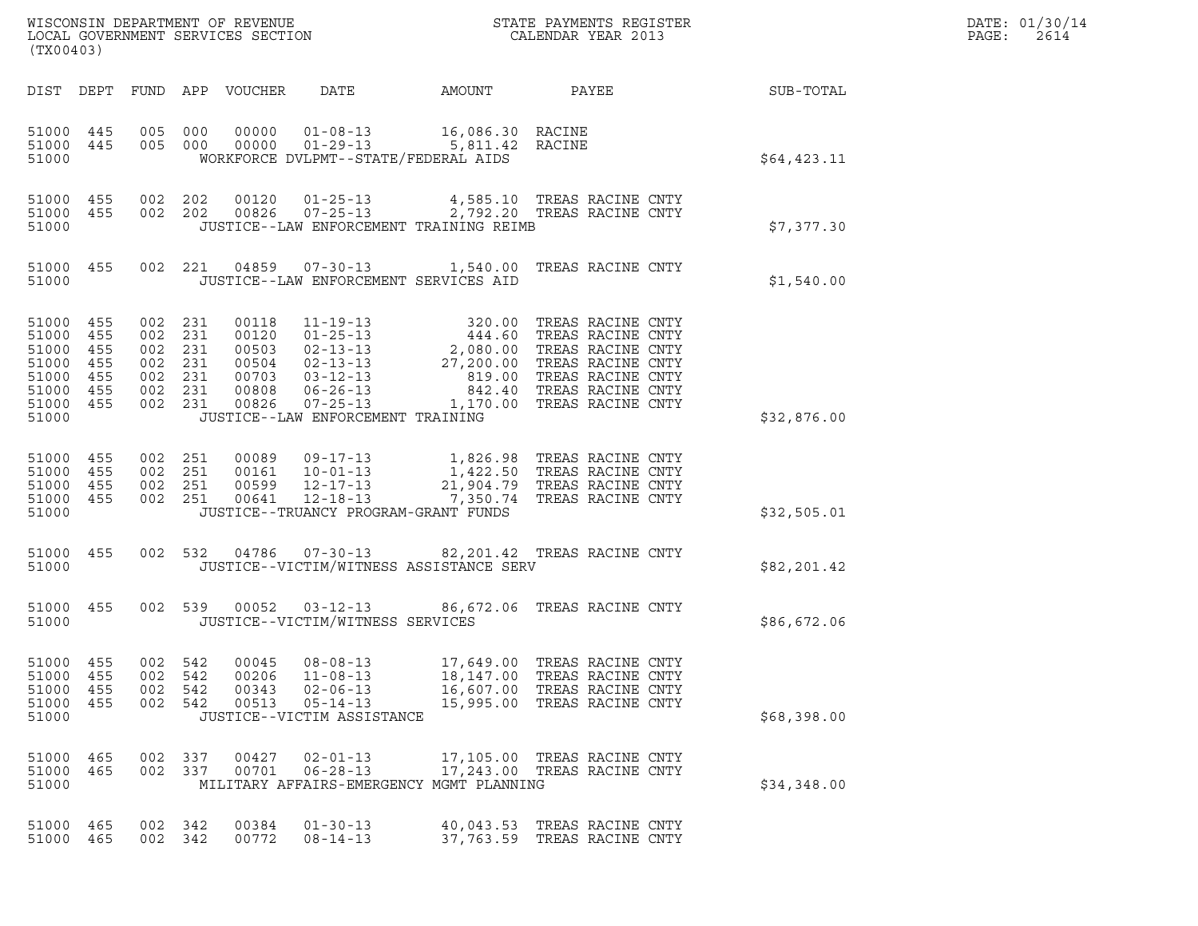| DATE: | 01/30/14 |
|-------|----------|
| PAGE: | 2614     |

| (TX00403)                                                                    |                                 |                                                                           |     |                                  |                                                                                                                 |                                     | $\tt WISCONSIM DEPARTMENT OF REVENUE$ $\tt WISCONMIN SERS THE RAYMENT S REGISTERLOCAL GOVERNMENT SERVICES SECTION CALENDAR YEAR 2013$                                                                                                                                |                  | DATE: 01/30/14<br>PAGE:<br>2614 |
|------------------------------------------------------------------------------|---------------------------------|---------------------------------------------------------------------------|-----|----------------------------------|-----------------------------------------------------------------------------------------------------------------|-------------------------------------|----------------------------------------------------------------------------------------------------------------------------------------------------------------------------------------------------------------------------------------------------------------------|------------------|---------------------------------|
|                                                                              |                                 |                                                                           |     | DIST DEPT FUND APP VOUCHER       | DATE                                                                                                            | AMOUNT                              | PAYEE                                                                                                                                                                                                                                                                | <b>SUB-TOTAL</b> |                                 |
| 51000 445<br>51000                                                           | 51000 445                       | 005 000<br>005 000                                                        |     |                                  | 00000  01-08-13  16,086.30  RACINE<br>00000  01-29-13  5,811.42  RACINE<br>WORKFORCE DVLPMT--STATE/FEDERAL AIDS |                                     |                                                                                                                                                                                                                                                                      | \$64,423.11      |                                 |
| 51000 455<br>51000 455<br>51000                                              |                                 | 002 202<br>002 202                                                        |     |                                  | JUSTICE--LAW ENFORCEMENT TRAINING REIMB                                                                         |                                     | 00120  01-25-13  4,585.10 TREAS RACINE CNTY<br>00826  07-25-13  2,792.20 TREAS RACINE CNTY                                                                                                                                                                           | \$7,377.30       |                                 |
| 51000                                                                        | 51000 455                       |                                                                           |     |                                  | JUSTICE--LAW ENFORCEMENT SERVICES AID                                                                           |                                     | 002  221  04859  07-30-13   1,540.00  TREAS RACINE CNTY                                                                                                                                                                                                              | \$1,540.00       |                                 |
| 51000 455<br>51000<br>51000<br>51000<br>51000<br>51000<br>51000 455<br>51000 | 455<br>455<br>455<br>455<br>455 | 002 231<br>002 231<br>002 231<br>002 231<br>002 231<br>002 231<br>002 231 |     | 00118                            | $11 - 19 - 13$<br>JUSTICE--LAW ENFORCEMENT TRAINING                                                             |                                     | 320.00 TREAS RACINE CNTY<br>00120 01-25-13 320.00 TREAS RACINE CNTY<br>00503 02-13-13 2,080.00 TREAS RACINE CNTY<br>00504 02-13-13 27,200.00 TREAS RACINE CNTY<br>00703 03-12-13 819.00 TREAS RACINE CNTY<br>00808 06-26-13 842.40 TREAS RACINE CNTY<br>00808 06-26- | \$32,876.00      |                                 |
| 51000 455<br>51000<br>51000 455<br>51000 455<br>51000                        | 455                             | 002 251<br>002 251<br>002 251<br>002 251                                  |     | 00641                            | 00599 12-17-13<br>12-18-13<br>JUSTICE--TRUANCY PROGRAM-GRANT FUNDS                                              |                                     | 00089  09-17-13  1,826.98  TREAS RACINE CNTY<br>00161  10-01-13  1,422.50  TREAS RACINE CNTY<br>21,904.79 TREAS RACINE CNTY<br>7,350.74 TREAS RACINE CNTY                                                                                                            | \$32,505.01      |                                 |
| 51000 455<br>51000                                                           |                                 | 002 532                                                                   |     |                                  | JUSTICE--VICTIM/WITNESS ASSISTANCE SERV                                                                         |                                     | 04786  07-30-13  82,201.42  TREAS RACINE CNTY                                                                                                                                                                                                                        | \$82,201.42      |                                 |
| 51000 455<br>51000                                                           |                                 |                                                                           |     |                                  | JUSTICE--VICTIM/WITNESS SERVICES                                                                                |                                     | 002 539 00052 03-12-13 86,672.06 TREAS RACINE CNTY                                                                                                                                                                                                                   | \$86,672.06      |                                 |
| 51000<br>51000<br>51000<br>51000<br>51000                                    | 455<br>455<br>455<br>455        | 002<br>002 542<br>002 542<br>002 542                                      | 542 | 00045<br>00206<br>00343<br>00513 | $08 - 08 - 13$<br>$11 - 08 - 13$<br>$02 - 06 - 13$<br>$05 - 14 - 13$<br>JUSTICE--VICTIM ASSISTANCE              | 17,649.00<br>18,147.00<br>16,607.00 | TREAS RACINE CNTY<br>TREAS RACINE CNTY<br>TREAS RACINE CNTY<br>15,995.00 TREAS RACINE CNTY                                                                                                                                                                           | \$68,398.00      |                                 |
| 51000 465<br>51000<br>51000                                                  | 465                             | 002 337<br>002 337                                                        |     | 00427<br>00701                   | $02 - 01 - 13$<br>$06 - 28 - 13$<br>MILITARY AFFAIRS-EMERGENCY MGMT PLANNING                                    |                                     | 17,105.00 TREAS RACINE CNTY<br>17,243.00 TREAS RACINE CNTY                                                                                                                                                                                                           | \$34,348.00      |                                 |
| 51000 465<br>51000 465                                                       |                                 | 002 342<br>002 342                                                        |     | 00384<br>00772                   | $01 - 30 - 13$<br>$08 - 14 - 13$                                                                                |                                     | 40,043.53 TREAS RACINE CNTY<br>37,763.59 TREAS RACINE CNTY                                                                                                                                                                                                           |                  |                                 |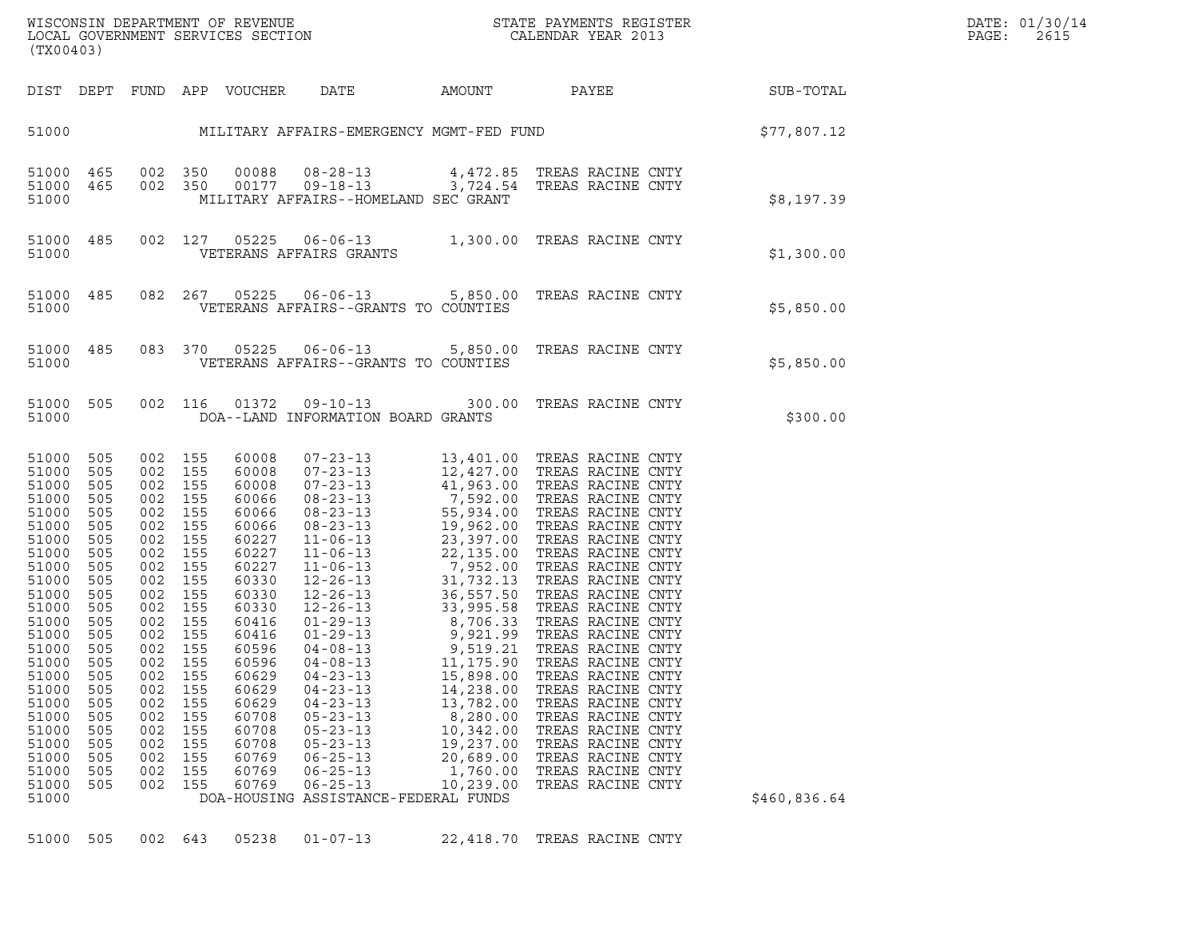| WISCONSIN DEPARTMENT OF REVENUE   | STATE PAYMENTS REGISTER | DATE: 01/30/14 |
|-----------------------------------|-------------------------|----------------|
| LOCAL GOVERNMENT SERVICES SECTION | CALENDAR YEAR 2013      | PAGE:<br>2615  |

| WISCONSIN DEPARTMENT OF REVENUE<br>LOCAL GOVERNMENT SERVICES SECTION THE SERIE CALENDAR YEAR 2013<br>(TX00403)                                                                                                                             |                                                                                                                                                                      |                                                                                                                                                                                                                                             |                                                             |                                                                               |                                                                                                                                                                                                        |                                                                                                                 |                                                                                                                                                                                           |                                                              | DATE: 01/30/14<br>PAGE:<br>2615 |
|--------------------------------------------------------------------------------------------------------------------------------------------------------------------------------------------------------------------------------------------|----------------------------------------------------------------------------------------------------------------------------------------------------------------------|---------------------------------------------------------------------------------------------------------------------------------------------------------------------------------------------------------------------------------------------|-------------------------------------------------------------|-------------------------------------------------------------------------------|--------------------------------------------------------------------------------------------------------------------------------------------------------------------------------------------------------|-----------------------------------------------------------------------------------------------------------------|-------------------------------------------------------------------------------------------------------------------------------------------------------------------------------------------|--------------------------------------------------------------|---------------------------------|
|                                                                                                                                                                                                                                            |                                                                                                                                                                      |                                                                                                                                                                                                                                             |                                                             |                                                                               |                                                                                                                                                                                                        |                                                                                                                 |                                                                                                                                                                                           | DIST DEPT FUND APP VOUCHER DATE AMOUNT PAYEE PAYEE SUB-TOTAL |                                 |
|                                                                                                                                                                                                                                            |                                                                                                                                                                      |                                                                                                                                                                                                                                             |                                                             |                                                                               |                                                                                                                                                                                                        |                                                                                                                 |                                                                                                                                                                                           | 51000 MILITARY AFFAIRS-EMERGENCY MGMT-FED FUND S77,807.12    |                                 |
| 51000                                                                                                                                                                                                                                      |                                                                                                                                                                      | 51000 465 002 350<br>51000 465 002 350                                                                                                                                                                                                      |                                                             |                                                                               | MILITARY AFFAIRS--HOMELAND SEC GRANT                                                                                                                                                                   |                                                                                                                 | 00088     08-28-13                 4,472.85   TREAS  RACINE CNTY<br>00177     09-18-13                3,724.54   TREAS  RACINE CNTY                                                       | \$8,197.39                                                   |                                 |
| 51000                                                                                                                                                                                                                                      |                                                                                                                                                                      |                                                                                                                                                                                                                                             |                                                             |                                                                               | VETERANS AFFAIRS GRANTS                                                                                                                                                                                |                                                                                                                 | 51000 485 002 127 05225 06-06-13 1,300.00 TREAS RACINE CNTY                                                                                                                               | \$1,300.00                                                   |                                 |
| 51000                                                                                                                                                                                                                                      |                                                                                                                                                                      |                                                                                                                                                                                                                                             |                                                             |                                                                               | VETERANS AFFAIRS--GRANTS TO COUNTIES                                                                                                                                                                   |                                                                                                                 | 51000 485 082 267 05225 06-06-13 5,850.00 TREAS RACINE CNTY                                                                                                                               | \$5,850.00                                                   |                                 |
| 51000                                                                                                                                                                                                                                      |                                                                                                                                                                      |                                                                                                                                                                                                                                             |                                                             |                                                                               | VETERANS AFFAIRS--GRANTS TO COUNTIES                                                                                                                                                                   |                                                                                                                 | 51000 485 083 370 05225 06-06-13 5,850.00 TREAS RACINE CNTY                                                                                                                               | \$5,850.00                                                   |                                 |
| 51000                                                                                                                                                                                                                                      |                                                                                                                                                                      |                                                                                                                                                                                                                                             |                                                             |                                                                               | DOA--LAND INFORMATION BOARD GRANTS                                                                                                                                                                     |                                                                                                                 | 51000 505 002 116 01372 09-10-13 300.00 TREAS RACINE CNTY                                                                                                                                 | \$300.00                                                     |                                 |
| 51000 505<br>51000<br>51000<br>51000<br>51000<br>51000<br>51000<br>51000<br>51000<br>51000<br>51000<br>51000<br>51000<br>51000<br>51000<br>51000<br>51000<br>51000<br>51000<br>51000<br>51000<br>51000<br>51000<br>51000<br>51000<br>51000 | 505<br>505<br>505<br>505<br>505<br>505<br>505<br>505<br>505<br>505<br>505<br>505<br>505<br>505<br>505<br>505<br>505<br>505<br>505<br>505<br>505<br>505<br>505<br>505 | 002 155<br>002 155<br>002 155<br>002 155<br>002 155<br>002 155<br>002 155<br>002 155<br>002 155<br>002 155<br>002 155<br>002 155<br>002 155<br>002 155<br>002 155<br>002 155<br>002<br>002<br>002<br>002<br>002<br>002<br>002<br>002<br>002 | 155<br>155<br>155<br>155<br>155<br>155<br>155<br>155<br>155 | 60629<br>60629<br>60629<br>60708<br>60708<br>60708<br>60769<br>60769<br>60769 | $04 - 23 - 13$<br>$04 - 23 - 13$<br>$04 - 23 - 13$<br>$05 - 23 - 13$<br>$05 - 23 - 13$<br>$05 - 23 - 13$<br>$06 - 25 - 13$<br>$06 - 25 - 13$<br>$06 - 25 - 13$<br>DOA-HOUSING ASSISTANCE-FEDERAL FUNDS | 15,898.00<br>14,238.00<br>13,782.00<br>8,280.00<br>10,342.00<br>19,237.00<br>20,689.00<br>1,760.00<br>10,239.00 | TREAS RACINE CNTY<br>TREAS RACINE CNTY<br>TREAS RACINE CNTY<br>TREAS RACINE CNTY<br>TREAS RACINE CNTY<br>TREAS RACINE CNTY<br>TREAS RACINE CNTY<br>TREAS RACINE CNTY<br>TREAS RACINE CNTY | \$460,836.64                                                 |                                 |
| 51000                                                                                                                                                                                                                                      | 505                                                                                                                                                                  | 002 643                                                                                                                                                                                                                                     |                                                             | 05238                                                                         | $01 - 07 - 13$                                                                                                                                                                                         | 22,418.70                                                                                                       | TREAS RACINE CNTY                                                                                                                                                                         |                                                              |                                 |

|  |  |  |  |  | 51000 505 002 643 05238 01-07-13 | 22,418.70 TREAS RACINE CNTY |  |  |  |
|--|--|--|--|--|----------------------------------|-----------------------------|--|--|--|
|--|--|--|--|--|----------------------------------|-----------------------------|--|--|--|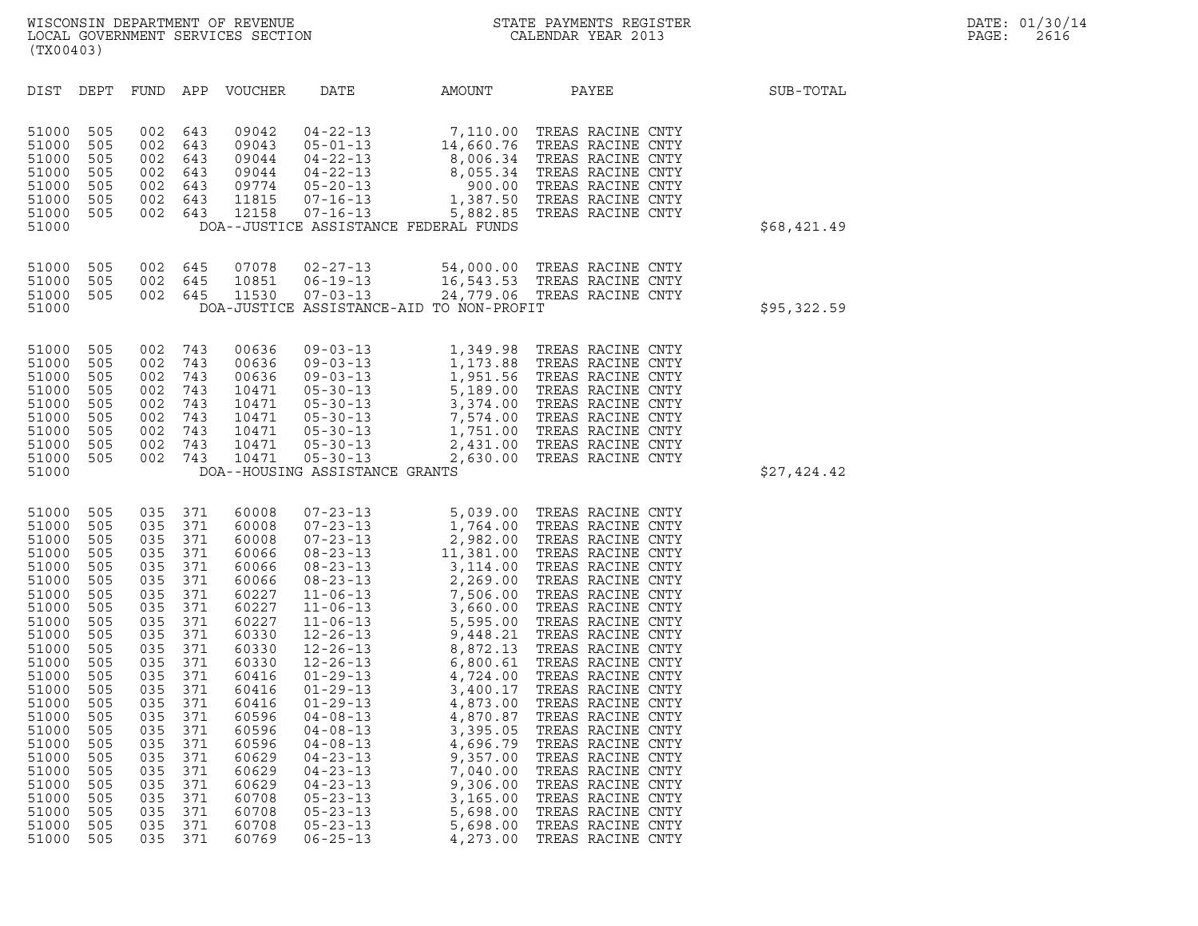| (TX00403)                                                                                                                                                                                                                     |                                                                                                                                                                             |                                                                                                                                                                             |                                                                                                                                                                             |                                                                                                                                                                                                                               |                                                                                                                                                                                  |                                                                                                                                                                                                                                                                            |                                                                                                                                                                                                                      |             |
|-------------------------------------------------------------------------------------------------------------------------------------------------------------------------------------------------------------------------------|-----------------------------------------------------------------------------------------------------------------------------------------------------------------------------|-----------------------------------------------------------------------------------------------------------------------------------------------------------------------------|-----------------------------------------------------------------------------------------------------------------------------------------------------------------------------|-------------------------------------------------------------------------------------------------------------------------------------------------------------------------------------------------------------------------------|----------------------------------------------------------------------------------------------------------------------------------------------------------------------------------|----------------------------------------------------------------------------------------------------------------------------------------------------------------------------------------------------------------------------------------------------------------------------|----------------------------------------------------------------------------------------------------------------------------------------------------------------------------------------------------------------------|-------------|
| DIST                                                                                                                                                                                                                          | DEPT                                                                                                                                                                        | FUND                                                                                                                                                                        | APP                                                                                                                                                                         | <b>VOUCHER</b>                                                                                                                                                                                                                | DATE                                                                                                                                                                             | AMOUNT                                                                                                                                                                                                                                                                     | PAYEE                                                                                                                                                                                                                | SUB-TOTAL   |
| 51000<br>51000<br>51000<br>51000<br>51000<br>51000<br>51000<br>51000                                                                                                                                                          | 505<br>505<br>505<br>505<br>505<br>505<br>505                                                                                                                               | 002<br>002<br>002<br>002<br>002<br>002<br>002                                                                                                                               | 643<br>643<br>643<br>643<br>643<br>643<br>643                                                                                                                               |                                                                                                                                                                                                                               |                                                                                                                                                                                  | 09042 04-22-13 7,110.00<br>09043 05-01-13 14,660.76<br>09044 04-22-13 8,006.34<br>09044 04-22-13 8,005.34<br>09774 05-20-13 900.00<br>11815 07-16-13 1,387.50<br>12158 07-16-13 5,882.85<br>--JUSTICE ASSERTANCE EPPERATION<br>DOA--JUSTICE ASSISTANCE FEDERAL FUNDS       | TREAS RACINE CNTY<br>TREAS RACINE CNTY<br>TREAS RACINE CNTY<br>TREAS RACINE CNTY<br>900.00 TREAS RACINE CNTY<br>1,387.50 TREAS RACINE CNTY<br>TREAS RACINE CNTY                                                      | \$68,421.49 |
| 51000<br>51000<br>51000<br>51000                                                                                                                                                                                              | 505<br>505<br>505                                                                                                                                                           | 002<br>002<br>002                                                                                                                                                           | 645<br>645<br>645                                                                                                                                                           | 07078<br>10851<br>11530                                                                                                                                                                                                       | $02 - 27 - 13$<br>$06 - 19 - 13$<br>$07 - 03 - 13$                                                                                                                               | 54,000.00 TREAS RACINE CNTY<br>16,543.53 TREAS RACINE CNTY<br>24,779.06 TREAS RACINE CNTY<br>DOA-JUSTICE ASSISTANCE-AID TO NON-PROFIT                                                                                                                                      |                                                                                                                                                                                                                      | \$95,322.59 |
| 51000<br>51000<br>51000<br>51000<br>51000<br>51000<br>51000<br>51000<br>51000<br>51000                                                                                                                                        | 505<br>505<br>505<br>505<br>505<br>505<br>505<br>505<br>505                                                                                                                 | 002<br>002<br>002<br>002<br>002<br>002<br>002<br>002<br>002                                                                                                                 | 743<br>743<br>743<br>743<br>743<br>743<br>743<br>743<br>743                                                                                                                 | 00636<br>00636<br>00636<br>10471<br>10471<br>10471<br>10471<br>10471<br>10471                                                                                                                                                 | $05 - 30 - 13$<br>$05 - 30 - 13$<br>DOA--HOUSING ASSISTANCE GRANTS                                                                                                               | 09-03-13<br>09-03-13<br>09-03-13<br>05-30-13<br>5,189.00<br>05-30-13<br>05-30-13<br>05-30-13<br>05-30-13<br>05-30-13<br>05-30-13<br>05-30-13<br>05-30-13<br>2,431.00<br>05-30-13<br>2,431.00<br>05-30-13<br>2,431.00<br>05-30-13<br>2,431.00<br>05-30-13<br>2,431.00<br>05 | TREAS RACINE CNTY<br>TREAS RACINE CNTY<br>TREAS RACINE CNTY<br>TREAS RACINE CNTY<br>TREAS RACINE CNTY<br>TREAS RACINE CNTY<br>1,751.00 TREAS RACINE CNTY<br>2,431.00 TREAS RACINE CNTY<br>2,630.00 TREAS RACINE CNTY | \$27,424.42 |
| 51000<br>51000<br>51000<br>51000<br>51000<br>51000<br>51000<br>51000<br>51000<br>51000<br>51000<br>51000<br>51000<br>51000<br>51000<br>51000<br>51000<br>51000<br>51000<br>51000<br>51000<br>51000<br>51000<br>51000<br>51000 | 505<br>505<br>505<br>505<br>505<br>505<br>505<br>505<br>505<br>505<br>505<br>505<br>505<br>505<br>505<br>505<br>505<br>505<br>505<br>505<br>505<br>505<br>505<br>505<br>505 | 035<br>035<br>035<br>035<br>035<br>035<br>035<br>035<br>035<br>035<br>035<br>035<br>035<br>035<br>035<br>035<br>035<br>035<br>035<br>035<br>035<br>035<br>035<br>035<br>035 | 371<br>371<br>371<br>371<br>371<br>371<br>371<br>371<br>371<br>371<br>371<br>371<br>371<br>371<br>371<br>371<br>371<br>371<br>371<br>371<br>371<br>371<br>371<br>371<br>371 | 60008<br>60008<br>60008<br>60066<br>60066<br>60066<br>60227<br>60227<br>60227<br>60330<br>60330<br>60330<br>60416<br>60416<br>60416<br>60596<br>60596<br>60596<br>60629<br>60629<br>60629<br>60708<br>60708<br>60708<br>60769 | $01 - 29 - 13$<br>$04 - 08 - 13$<br>$04 - 08 - 13$<br>$04 - 23 - 13$<br>$04 - 23 - 13$<br>$04 - 23 - 13$<br>$05 - 23 - 13$<br>$05 - 23 - 13$<br>$05 - 23 - 13$<br>$06 - 25 - 13$ | 3,395.05<br>4,696.79<br>9,357.00<br>7,040.00<br>9,306.00<br>3,165.00<br>5,698.00<br>5,698.00<br>4,273.00                                                                                                                                                                   | TREAS RACINE CNTY<br>TREAS RACINE CNTY<br>TREAS RACINE CNTY<br>TREAS RACINE CNTY<br>TREAS RACINE CNTY<br>TREAS RACINE CNTY<br>TREAS RACINE CNTY<br>TREAS RACINE CNTY<br>TREAS RACINE CNTY                            |             |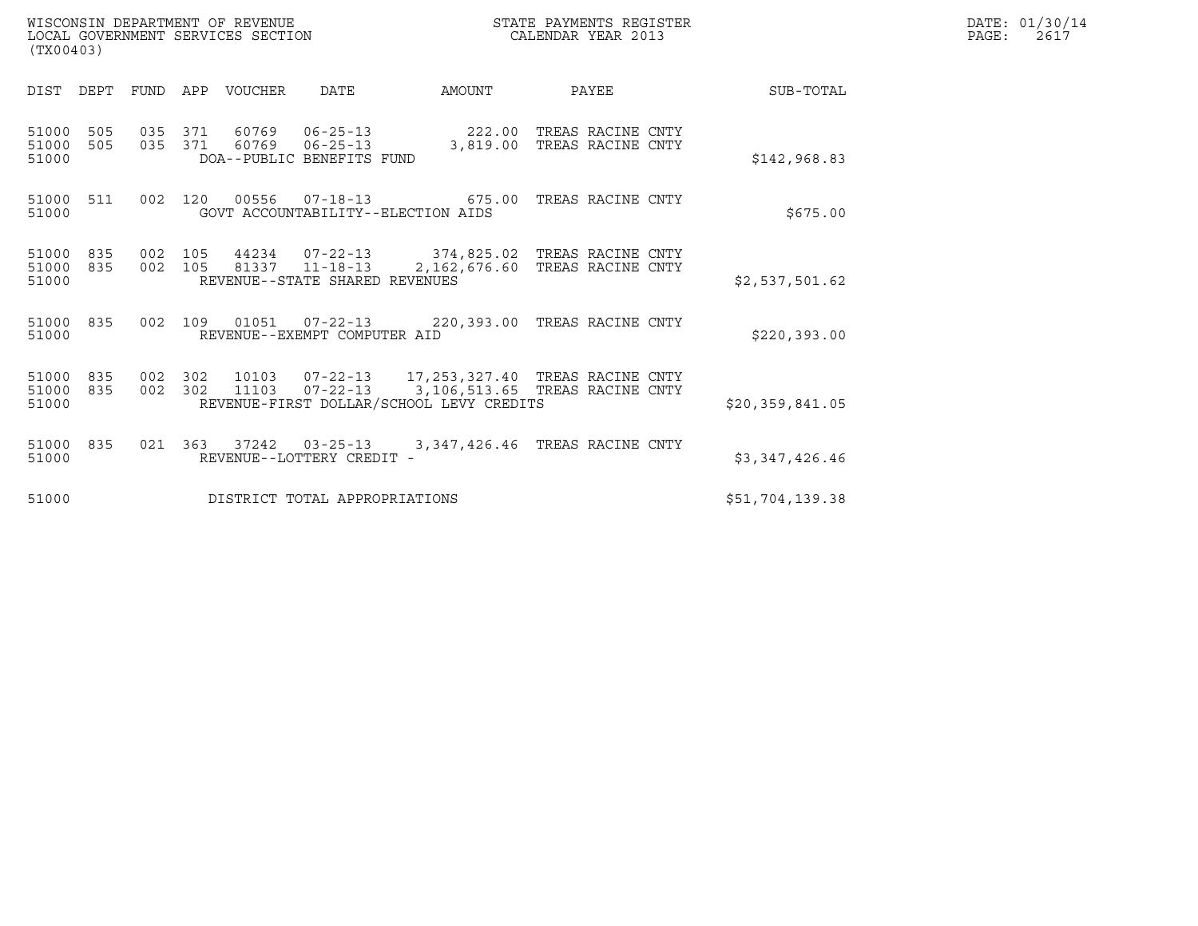| WISCONSIN DEPARTMENT OF REVENUE<br>LOCAL GOVERNMENT SERVICES SECTION<br>(TX00403) |            |                    |     |                        |                                                               |                                          | STATE PAYMENTS REGISTER<br>CALENDAR YEAR 2013                                               |                 | DATE: 01/30/14<br>PAGE:<br>2617 |
|-----------------------------------------------------------------------------------|------------|--------------------|-----|------------------------|---------------------------------------------------------------|------------------------------------------|---------------------------------------------------------------------------------------------|-----------------|---------------------------------|
| DIST DEPT                                                                         |            |                    |     | FUND APP VOUCHER       | DATE                                                          | AMOUNT                                   | PAYEE                                                                                       | SUB-TOTAL       |                                 |
| 51000 505<br>51000 505<br>51000                                                   |            | 035 371            |     | 60769<br>035 371 60769 | $06 - 25 - 13$<br>$06 - 25 - 13$<br>DOA--PUBLIC BENEFITS FUND | 3,819.00                                 | 222.00 TREAS RACINE CNTY<br>TREAS RACINE CNTY                                               | \$142,968.83    |                                 |
| 51000 511<br>51000                                                                |            |                    |     |                        |                                                               | GOVT ACCOUNTABILITY--ELECTION AIDS       | 002 120 00556 07-18-13 675.00 TREAS RACINE CNTY                                             | \$675.00        |                                 |
| 51000<br>51000<br>51000                                                           | 835<br>835 | 002 105<br>002 105 |     |                        | 81337 11-18-13<br>REVENUE--STATE SHARED REVENUES              |                                          | 44234  07-22-13  374,825.02  TREAS RACINE CNTY<br>2,162,676.60 TREAS RACINE CNTY            | \$2,537,501.62  |                                 |
| 51000 835<br>51000                                                                |            |                    |     |                        | REVENUE--EXEMPT COMPUTER AID                                  |                                          | 002 109 01051 07-22-13 220,393.00 TREAS RACINE CNTY                                         | \$220,393.00    |                                 |
| 51000<br>51000 835<br>51000                                                       | 835        | 002<br>002 302     | 302 | 11103                  |                                                               | REVENUE-FIRST DOLLAR/SCHOOL LEVY CREDITS | 10103  07-22-13  17,253,327.40 TREAS RACINE CNTY<br>07-22-13 3,106,513.65 TREAS RACINE CNTY | \$20,359,841.05 |                                 |
| 51000<br>51000                                                                    | 835        | 021 363            |     |                        | REVENUE--LOTTERY CREDIT -                                     |                                          | 37242  03-25-13  3,347,426.46 TREAS RACINE CNTY                                             | \$3,347,426.46  |                                 |
| 51000                                                                             |            |                    |     |                        | DISTRICT TOTAL APPROPRIATIONS                                 |                                          |                                                                                             | \$51,704,139.38 |                                 |

WISCONSIN DEPARTMENT OF REVENUE<br>LOCAL GOVERNMENT SERVICES SECTION STATE PAYMENTS REGISTER SECONDER STATE PASS: 2617<br>DOCAL GOVERNMENT SERVICES SECTION STATE SOLUTION CALENDAR YEAR 2013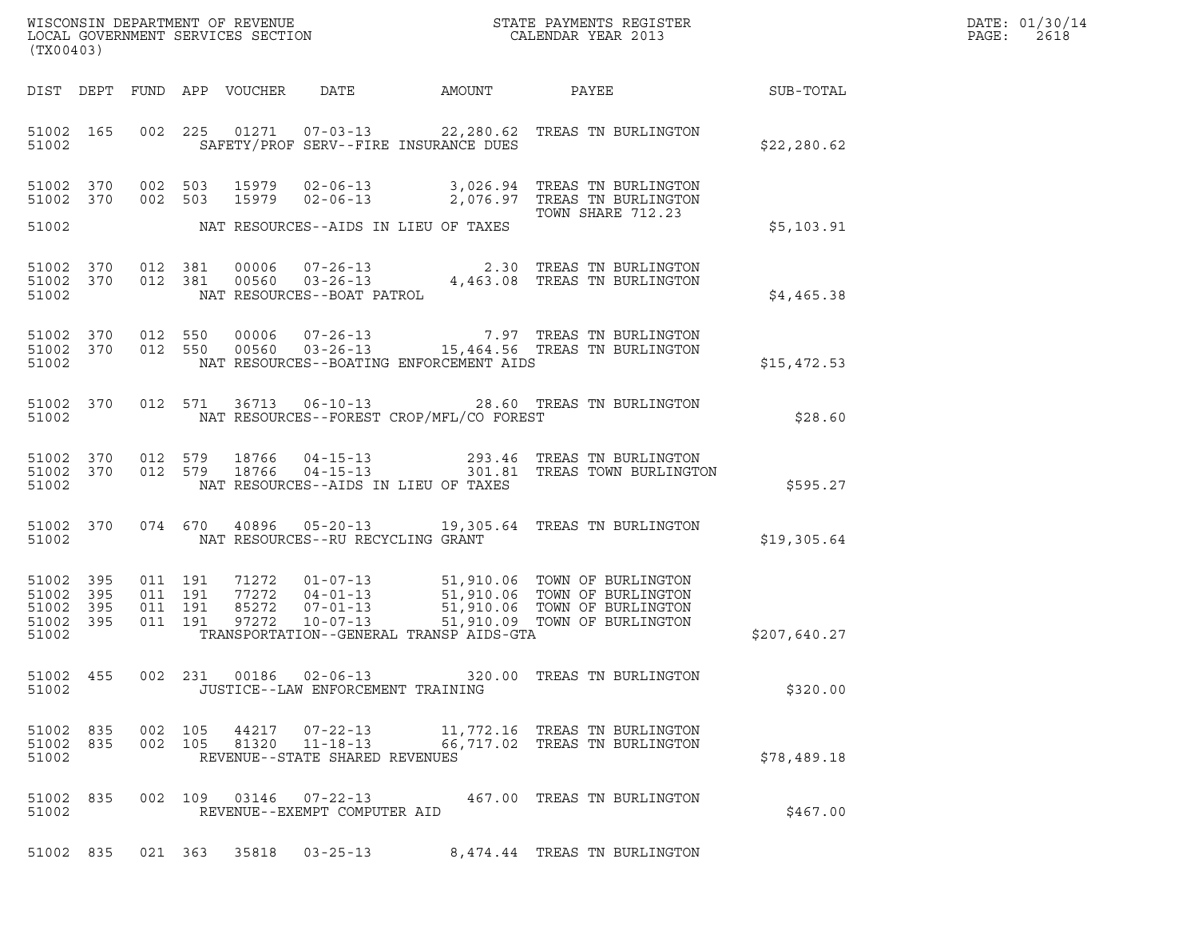| WISCONSIN DEPARTMENT OF REVENUE   | STATE PAYMENTS REGISTER | DATE: 01/30/14 |
|-----------------------------------|-------------------------|----------------|
| LOCAL GOVERNMENT SERVICES SECTION | CALENDAR YEAR 2013      | PAGE :<br>2618 |

| (TX00403)                                             |                        |                               |         |               |                                                |                                             | WISCONSIN DEPARTMENT OF REVENUE<br>LOCAL GOVERNMENT SERVICES SECTION<br>CALENDAR YEAR 2013                                                                                                                                                                                                                                                                                              | DATE: 01/30/14<br>PAGE: 2618 |  |
|-------------------------------------------------------|------------------------|-------------------------------|---------|---------------|------------------------------------------------|---------------------------------------------|-----------------------------------------------------------------------------------------------------------------------------------------------------------------------------------------------------------------------------------------------------------------------------------------------------------------------------------------------------------------------------------------|------------------------------|--|
|                                                       |                        |                               |         |               |                                                |                                             | DIST DEPT FUND APP VOUCHER DATE AMOUNT PAYEE SUB-TOTAL                                                                                                                                                                                                                                                                                                                                  |                              |  |
|                                                       |                        |                               |         |               |                                                | 51002 SAFETY/PROF SERV--FIRE INSURANCE DUES | 51002 165 002 225 01271 07-03-13 22,280.62 TREAS TN BURLINGTON                                                                                                                                                                                                                                                                                                                          | \$22,280.62                  |  |
|                                                       | 51002 370<br>51002 370 |                               |         |               |                                                |                                             | 002 503 15979 02-06-13 3,026.94 TREAS TN BURLINGTON<br>002 503 15979 02-06-13 2,076.97 TREAS TN BURLINGTON<br>TOWN SHARE 712.23                                                                                                                                                                                                                                                         |                              |  |
|                                                       |                        |                               |         |               |                                                | 51002 NAT RESOURCES--AIDS IN LIEU OF TAXES  |                                                                                                                                                                                                                                                                                                                                                                                         | \$5,103.91                   |  |
| 51002                                                 |                        |                               |         |               | NAT RESOURCES--BOAT PATROL                     |                                             |                                                                                                                                                                                                                                                                                                                                                                                         | \$4,465.38                   |  |
| 51002                                                 |                        |                               |         |               |                                                | NAT RESOURCES--BOATING ENFORCEMENT AIDS     |                                                                                                                                                                                                                                                                                                                                                                                         | \$15,472.53                  |  |
| 51002                                                 |                        |                               |         |               |                                                | NAT RESOURCES--FOREST CROP/MFL/CO FOREST    | 51002 370 012 571 36713 06-10-13 28.60 TREAS TN BURLINGTON                                                                                                                                                                                                                                                                                                                              | \$28.60                      |  |
| 51002                                                 |                        |                               |         |               |                                                | NAT RESOURCES--AIDS IN LIEU OF TAXES        | $1002$ 370 012 579 18766 04-15-13 293.46 TREAS TN BURLINGTON<br>51002 370 012 579 18766 04-15-13 301.81 TREAS TOWN BURLINGTON                                                                                                                                                                                                                                                           | \$595.27                     |  |
| 51002                                                 |                        |                               |         |               | NAT RESOURCES--RU RECYCLING GRANT              |                                             | 51002 370 074 670 40896 05-20-13 19,305.64 TREAS TN BURLINGTON                                                                                                                                                                                                                                                                                                                          | \$19,305.64                  |  |
| 51002 395<br>51002<br>51002 395<br>51002 395<br>51002 | 395                    | 011 191<br>011 191<br>011 191 | 011 191 |               |                                                | TRANSPORTATION--GENERAL TRANSP AIDS-GTA     | $\begin{tabular}{c c c c c c c c c} \multicolumn{1}{c }{\text{\textbf{71272}}} & 01-07-13 & 51,910.06 & TOMN OF BURLINKGTON \\ \multicolumn{1}{c }{\text{\textbf{77272}}} & 04-01-13 & 51,910.06 & TOMN OF BURLINGTON \\ \multicolumn{1}{c }{\text{\textbf{85272}}} & 07-01-13 & 51,910.06 & TOMN OF BURLINGTON \\ \multicolumn{1}{c }{\text{\textbf{97272}}} & 10-07-13 & 51,910.09 &$ | \$207,640.27                 |  |
| 51002                                                 |                        |                               |         |               | JUSTICE--LAW ENFORCEMENT TRAINING              |                                             | 51002 455 002 231 00186 02-06-13 320.00 TREAS TN BURLINGTON                                                                                                                                                                                                                                                                                                                             | \$320.00                     |  |
| 51002 835<br>51002 835<br>51002                       |                        | 002 105                       | 002 105 | 44217         | REVENUE--STATE SHARED REVENUES                 |                                             | 07-22-13 11,772.16 TREAS TN BURLINGTON<br>81320  11-18-13  66,717.02  TREAS TN BURLINGTON                                                                                                                                                                                                                                                                                               | \$78,489.18                  |  |
| 51002 835<br>51002                                    |                        |                               |         | 002 109 03146 | $07 - 22 - 13$<br>REVENUE--EXEMPT COMPUTER AID |                                             | 467.00 TREAS TN BURLINGTON                                                                                                                                                                                                                                                                                                                                                              | \$467.00                     |  |
|                                                       |                        |                               |         |               | 51002 835 021 363 35818 03-25-13               |                                             | 8,474.44 TREAS TN BURLINGTON                                                                                                                                                                                                                                                                                                                                                            |                              |  |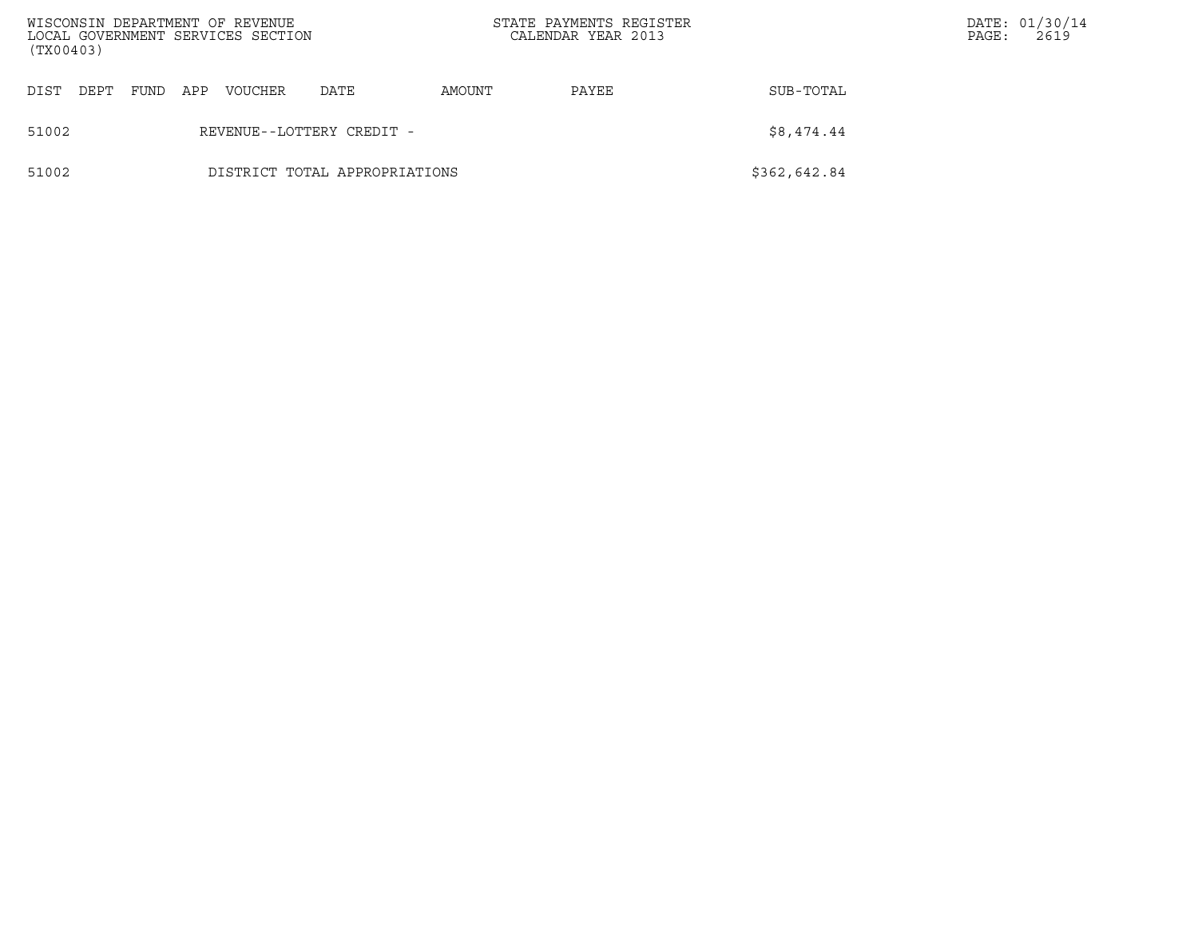| (TX00403) |      |      |     | WISCONSIN DEPARTMENT OF REVENUE<br>LOCAL GOVERNMENT SERVICES SECTION |                               | STATE PAYMENTS REGISTER<br>CALENDAR YEAR 2013 |       |              | PAGE: | DATE: 01/30/14<br>2619 |
|-----------|------|------|-----|----------------------------------------------------------------------|-------------------------------|-----------------------------------------------|-------|--------------|-------|------------------------|
| DIST      | DEPT | FUND | APP | <b>VOUCHER</b>                                                       | DATE                          | AMOUNT                                        | PAYEE | SUB-TOTAL    |       |                        |
| 51002     |      |      |     |                                                                      | REVENUE--LOTTERY CREDIT -     |                                               |       | \$8,474.44   |       |                        |
| 51002     |      |      |     |                                                                      | DISTRICT TOTAL APPROPRIATIONS |                                               |       | \$362,642.84 |       |                        |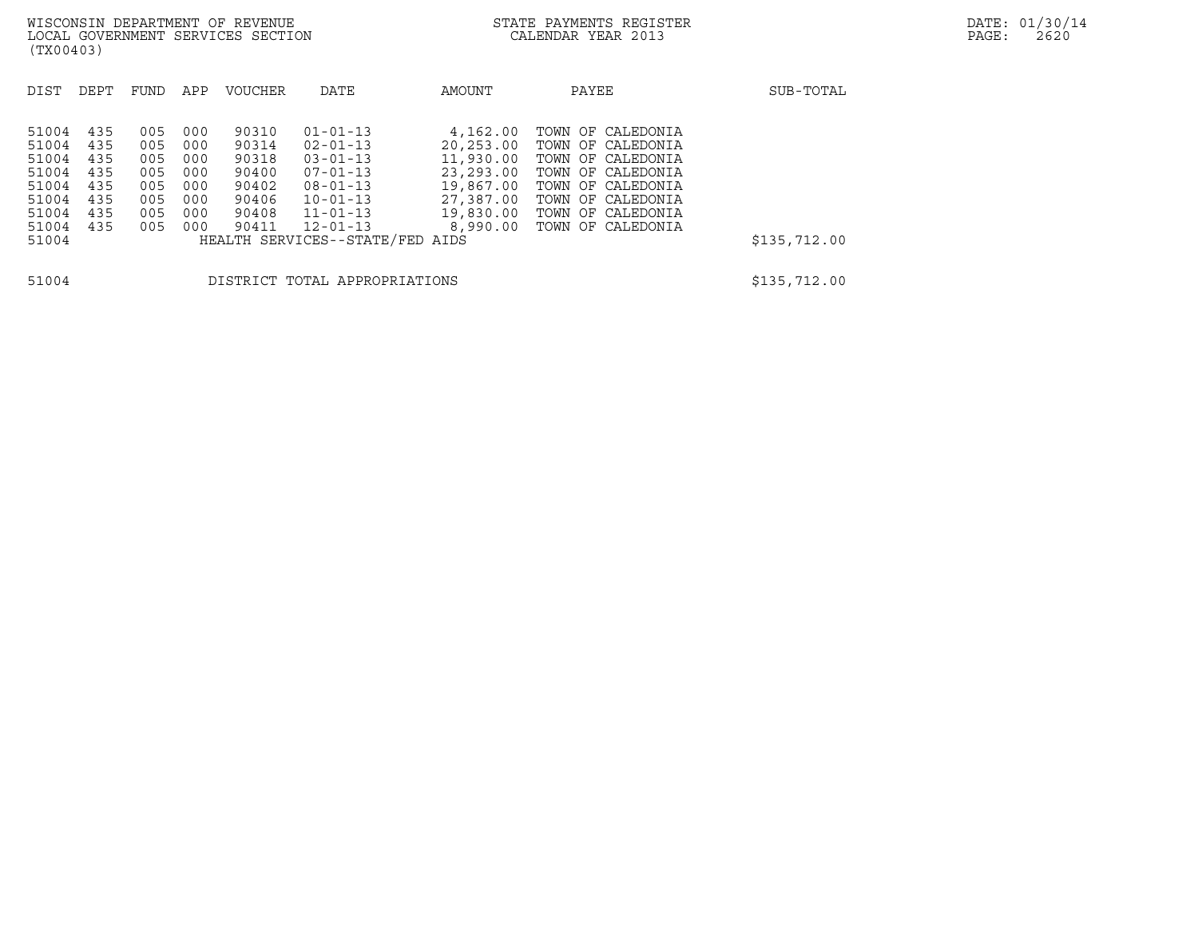| (TX00403)                                                                     |                                                      |                                                      |                                                      |                                                                      |                                                                                                                                                                                 |                                                                                                    |                                                                                                                                                                      |              |
|-------------------------------------------------------------------------------|------------------------------------------------------|------------------------------------------------------|------------------------------------------------------|----------------------------------------------------------------------|---------------------------------------------------------------------------------------------------------------------------------------------------------------------------------|----------------------------------------------------------------------------------------------------|----------------------------------------------------------------------------------------------------------------------------------------------------------------------|--------------|
| DIST                                                                          | DEPT                                                 | FUND                                                 | APP                                                  | <b>VOUCHER</b>                                                       | DATE                                                                                                                                                                            | AMOUNT                                                                                             | PAYEE                                                                                                                                                                | SUB-TOTAL    |
| 51004<br>51004<br>51004<br>51004<br>51004<br>51004<br>51004<br>51004<br>51004 | 435<br>435<br>435<br>435<br>435<br>435<br>435<br>435 | 005<br>005<br>005<br>005<br>005<br>005<br>005<br>005 | 000<br>000<br>000<br>000<br>000<br>000<br>000<br>000 | 90310<br>90314<br>90318<br>90400<br>90402<br>90406<br>90408<br>90411 | $01 - 01 - 13$<br>$02 - 01 - 13$<br>$03 - 01 - 13$<br>$07 - 01 - 13$<br>$08 - 01 - 13$<br>$10 - 01 - 13$<br>$11 - 01 - 13$<br>$12 - 01 - 13$<br>HEALTH SERVICES--STATE/FED AIDS | 4,162.00<br>20,253.00<br>11,930.00<br>23,293.00<br>19,867.00<br>27,387.00<br>19,830.00<br>8,990.00 | TOWN OF CALEDONIA<br>TOWN OF CALEDONIA<br>TOWN OF CALEDONIA<br>TOWN OF CALEDONIA<br>TOWN OF CALEDONIA<br>TOWN OF CALEDONIA<br>TOWN OF CALEDONIA<br>TOWN OF CALEDONIA | \$135,712.00 |
| 51004                                                                         |                                                      |                                                      |                                                      |                                                                      | DISTRICT TOTAL APPROPRIATIONS                                                                                                                                                   |                                                                                                    |                                                                                                                                                                      | \$135,712.00 |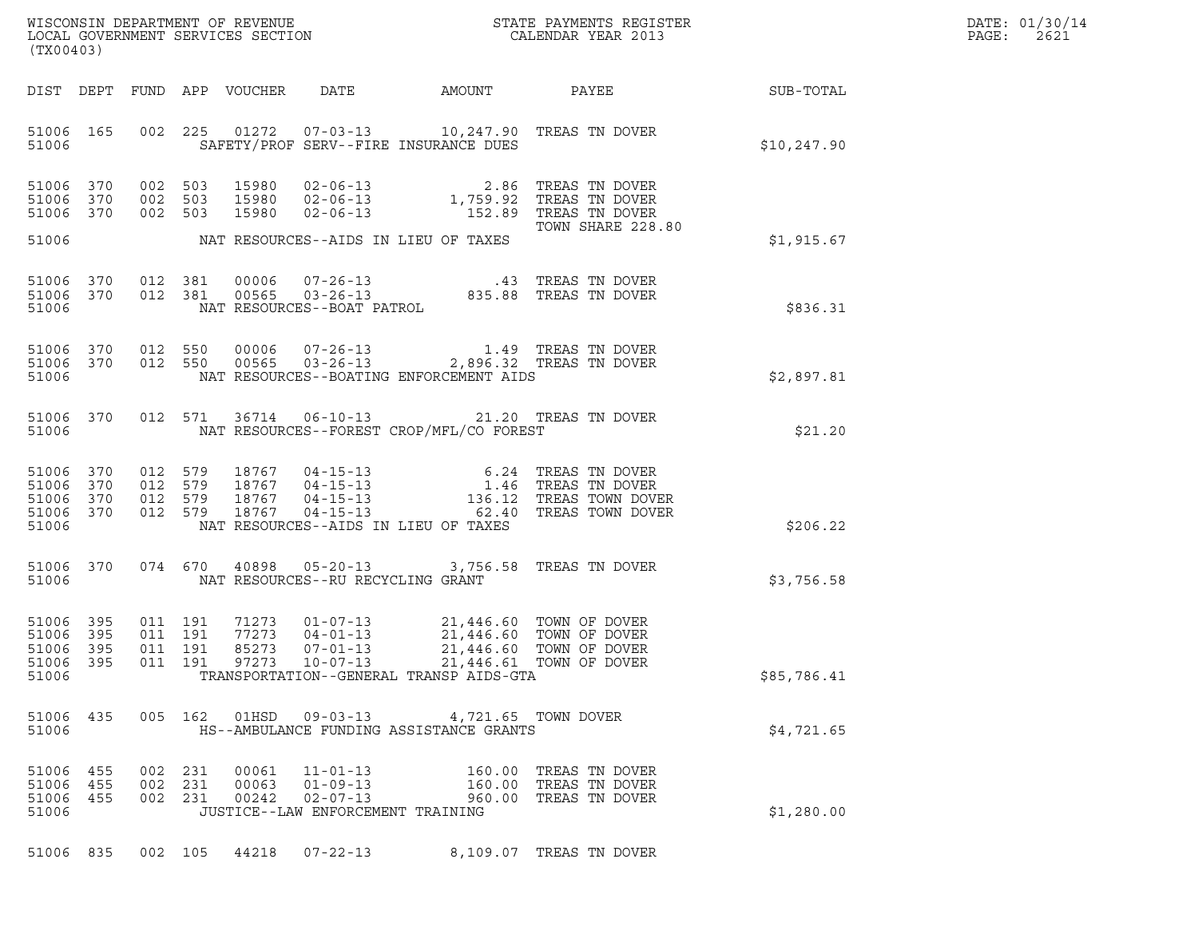| DATE: | 01/30/14 |
|-------|----------|
| PAGE: | 2621     |

| (TX00403)                                                 |           |                    |                               |                            |                                  |                                                                                                                                                                        | $\tt WISCONSIM DEPARTMENT OF REVENUE$ $\tt WISCONS IN DEPARTMENT SERVICES SECTION$ $\tt SCALENDAR YEAR$ $2013$                                                          |              | DATE: 01/30/14<br>PAGE:<br>2621 |
|-----------------------------------------------------------|-----------|--------------------|-------------------------------|----------------------------|----------------------------------|------------------------------------------------------------------------------------------------------------------------------------------------------------------------|-------------------------------------------------------------------------------------------------------------------------------------------------------------------------|--------------|---------------------------------|
|                                                           |           |                    |                               | DIST DEPT FUND APP VOUCHER | DATE                             |                                                                                                                                                                        |                                                                                                                                                                         |              |                                 |
| 51006                                                     | 51006 165 |                    |                               |                            |                                  | 002 225 01272 07-03-13 10,247.90 TREAS TN DOVER<br>SAFETY/PROF SERV--FIRE INSURANCE DUES                                                                               |                                                                                                                                                                         | \$10, 247.90 |                                 |
| 51006 370<br>51006 370                                    | 51006 370 | 002 503<br>002 503 | 002 503                       |                            |                                  | 15980 02-06-13 2.86 TREAS TN DOVER<br>15980 02-06-13 1,759.92 TREAS TN DOVER<br>15980 02-06-13 152.89 TREAS TN DOVER                                                   |                                                                                                                                                                         |              |                                 |
| 51006                                                     |           |                    |                               |                            |                                  | NAT RESOURCES--AIDS IN LIEU OF TAXES                                                                                                                                   | TOWN SHARE 228.80                                                                                                                                                       | \$1,915.67   |                                 |
| 51006 370<br>51006 370<br>51006                           |           |                    | 012 381<br>012 381            |                            | NAT RESOURCES--BOAT PATROL       |                                                                                                                                                                        |                                                                                                                                                                         | \$836.31     |                                 |
| 51006                                                     | 51006 370 | 51006 370 012 550  | 012 550                       |                            |                                  | NAT RESOURCES--BOATING ENFORCEMENT AIDS                                                                                                                                |                                                                                                                                                                         | \$2.897.81   |                                 |
| 51006                                                     | 51006 370 |                    |                               |                            |                                  | 012 571 36714 06-10-13 21.20 TREAS TN DOVER<br>NAT RESOURCES--FOREST CROP/MFL/CO FOREST                                                                                |                                                                                                                                                                         | \$21.20      |                                 |
| 51006 370<br>51006 370<br>51006 370<br>51006 370<br>51006 |           | 012 579<br>012 579 | 012 579<br>012 579            |                            |                                  | NAT RESOURCES--AIDS IN LIEU OF TAXES                                                                                                                                   | 18767  04-15-13  6.24  TREAS TN DOVER<br>18767  04-15-13  1.46  TREAS TN DOVER<br>18767  04-15-13  136.12  TREAS TOWN DOVER<br>18767  04-15-13  62.40  TREAS TOWN DOVER | \$206.22     |                                 |
| 51006                                                     | 51006 370 |                    |                               |                            |                                  | 074 670 40898 05-20-13 3,756.58 TREAS TN DOVER<br>NAT RESOURCES--RU RECYCLING GRANT                                                                                    |                                                                                                                                                                         | \$3,756.58   |                                 |
| 51006 395<br>51006 395<br>51006 395<br>51006              | 51006 395 |                    | 011 191<br>011 191<br>011 191 | 77273<br>85273             | $04 - 01 - 13$<br>$07 - 01 - 13$ | 71273  01-07-13  21,446.60  TOWN OF DOVER<br>21,446.60 TOWN OF DOVER<br>011  191  97273  10-07-13  21,446.61  TOWN OF DOVER<br>TRANSPORTATION--GENERAL TRANSP AIDS-GTA | 21,446.60 TOWN OF DOVER                                                                                                                                                 | \$85,786.41  |                                 |
| 51006 435<br>51006                                        |           |                    |                               |                            |                                  | 005 162 01HSD 09-03-13 4,721.65 TOWN DOVER<br>HS--AMBULANCE FUNDING ASSISTANCE GRANTS                                                                                  |                                                                                                                                                                         | \$4,721.65   |                                 |
| 51006 455<br>51006 455<br>51006 455<br>51006              |           |                    | 002 231<br>002 231<br>002 231 |                            | 00061 11-01-13                   | JUSTICE--LAW ENFORCEMENT TRAINING                                                                                                                                      | 160.00 TREAS TN DOVER<br>160.00 TREAS TN DOVER<br>960.00 TREAS TN DOVER                                                                                                 | \$1,280.00   |                                 |
|                                                           |           |                    |                               |                            |                                  | 51006 835 002 105 44218 07-22-13 8,109.07 TREAS TN DOVER                                                                                                               |                                                                                                                                                                         |              |                                 |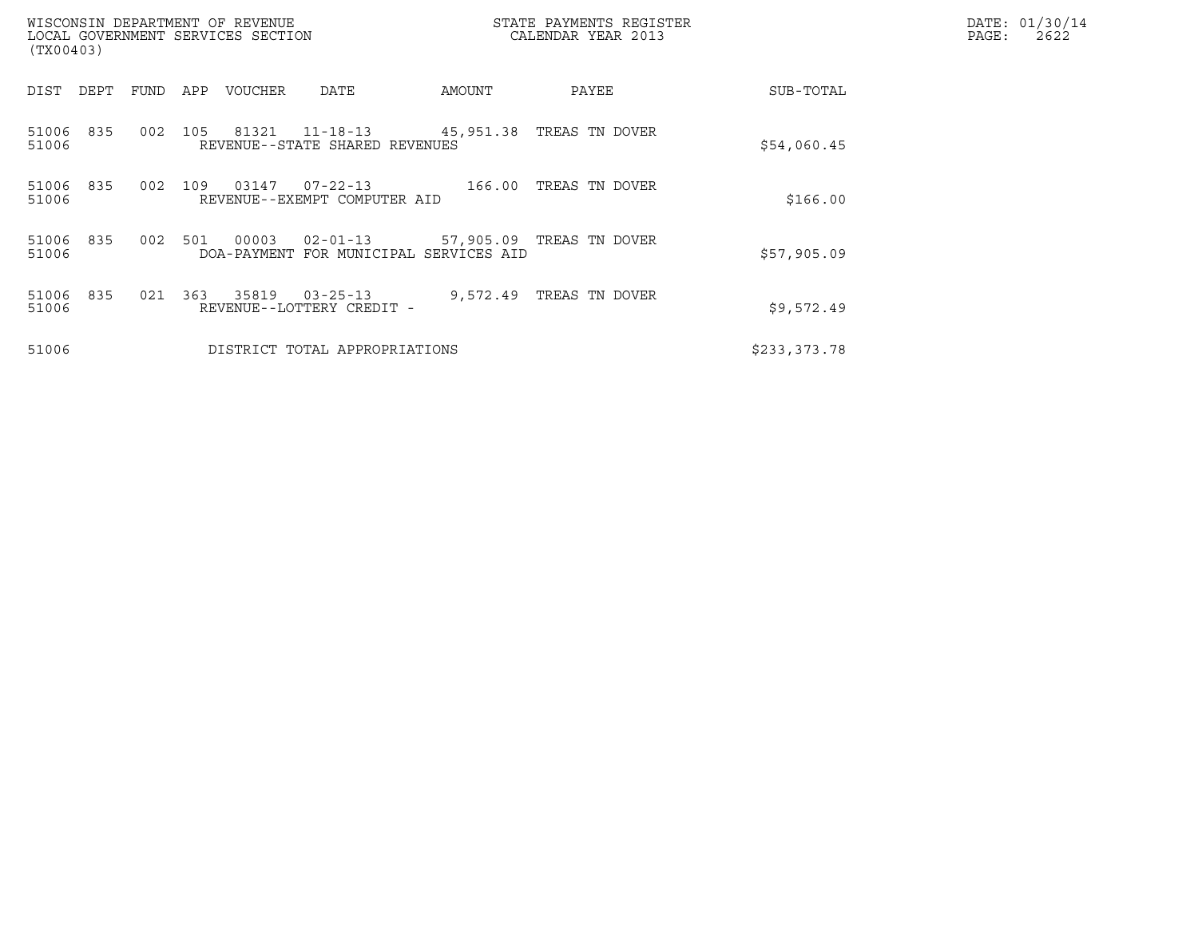| (TX00403)             | WISCONSIN DEPARTMENT OF REVENUE<br>LOCAL GOVERNMENT SERVICES SECTION |                                                                                 | STATE PAYMENTS REGISTER<br>CALENDAR YEAR 2013 |              | DATE: 01/30/14<br>$\mathtt{PAGE}$ :<br>2622 |
|-----------------------|----------------------------------------------------------------------|---------------------------------------------------------------------------------|-----------------------------------------------|--------------|---------------------------------------------|
| DIST<br>DEPT          | FUND<br>APP<br>VOUCHER                                               | DATE<br>AMOUNT                                                                  | PAYEE                                         | SUB-TOTAL    |                                             |
| 51006 835<br>51006    | 002<br>105                                                           | 81321 11-18-13<br>45,951.38   TREAS  TN DOVER<br>REVENUE--STATE SHARED REVENUES |                                               | \$54,060.45  |                                             |
| 835<br>51006<br>51006 | 002<br>109<br>03147                                                  | $07 - 22 - 13$<br>166.00<br>REVENUE--EXEMPT COMPUTER AID                        | TREAS TN DOVER                                | \$166.00     |                                             |
| 51006 835<br>51006    | 002<br>00003<br>501                                                  | 02-01-13 57,905.09 TREAS TN DOVER<br>DOA-PAYMENT FOR MUNICIPAL SERVICES AID     |                                               | \$57,905.09  |                                             |
| 835<br>51006<br>51006 | 021 363<br>35819                                                     | $03 - 25 - 13$<br>REVENUE--LOTTERY CREDIT -                                     | 9,572.49 TREAS TN DOVER                       | \$9,572.49   |                                             |
| 51006                 |                                                                      | DISTRICT TOTAL APPROPRIATIONS                                                   |                                               | \$233,373.78 |                                             |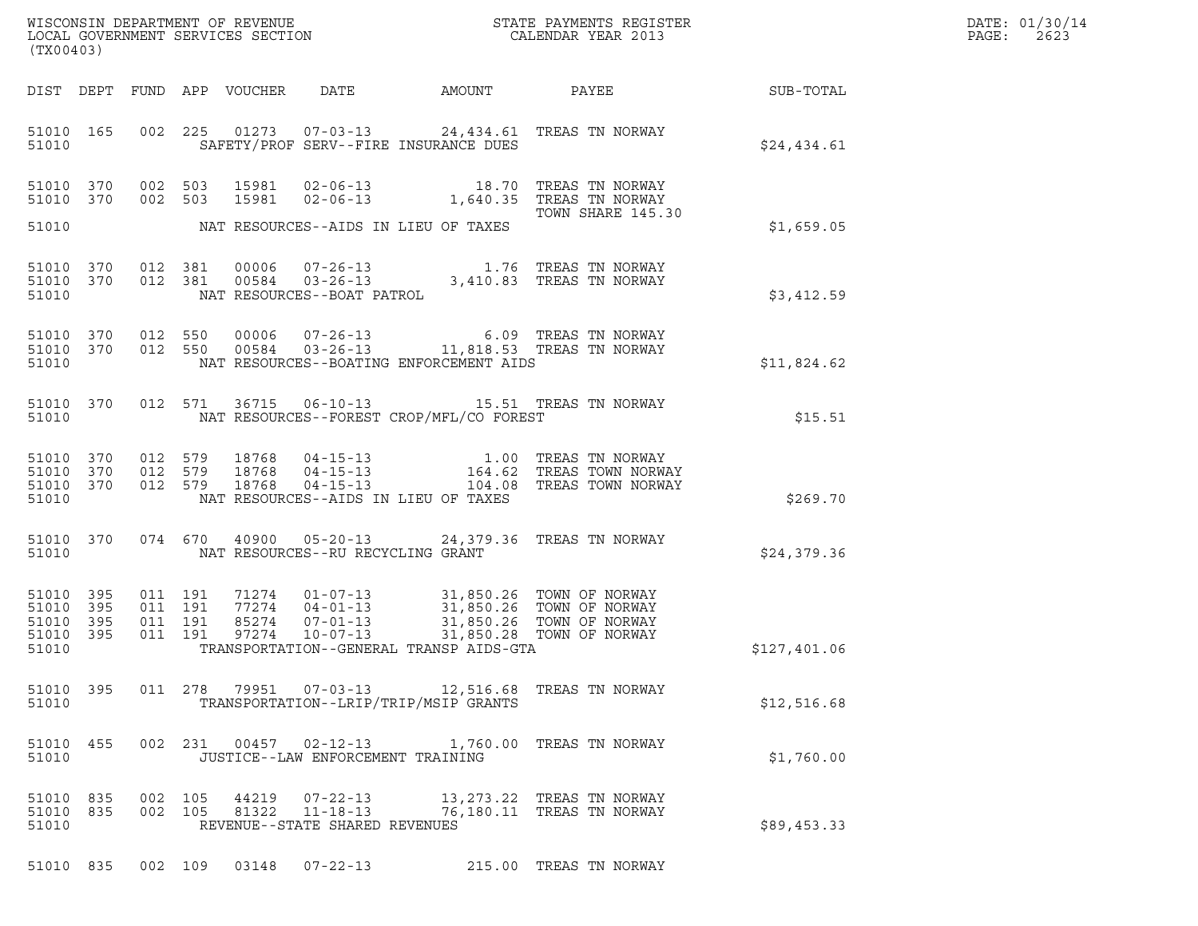| DATE: | 01/30/14 |
|-------|----------|
| PAGE: | 2623     |

| (TX00403) |                                                  |         |                                          |                            |                                                                    |                                                                                                                                                                                                                                 | ${\tt WISCONSIM\ DEPARTMENT\ OF\ REVENUE}\qquad \qquad {\tt STATE\ PAYMENTS\ REGISTER} \\ {\tt LOCAL\ GOVERNMENT\ SERVICES\ SECTION}\qquad \qquad {\tt CALENDAR\ YEAR\ 2013}$                                                          |                 | DATE: 01/30/14<br>PAGE:<br>2623 |
|-----------|--------------------------------------------------|---------|------------------------------------------|----------------------------|--------------------------------------------------------------------|---------------------------------------------------------------------------------------------------------------------------------------------------------------------------------------------------------------------------------|----------------------------------------------------------------------------------------------------------------------------------------------------------------------------------------------------------------------------------------|-----------------|---------------------------------|
|           |                                                  |         |                                          | DIST DEPT FUND APP VOUCHER |                                                                    | DATE AMOUNT                                                                                                                                                                                                                     |                                                                                                                                                                                                                                        | PAYEE SUB-TOTAL |                                 |
| 51010     | 51010 165                                        |         |                                          |                            |                                                                    | SAFETY/PROF SERV--FIRE INSURANCE DUES                                                                                                                                                                                           | 002 225 01273 07-03-13 24,434.61 TREAS TN NORWAY                                                                                                                                                                                       | \$24,434.61     |                                 |
|           | 51010 370<br>51010 370                           |         | 002 503<br>002 503                       |                            |                                                                    |                                                                                                                                                                                                                                 | 15981  02-06-13   18.70   TREAS TN NORWAY<br>15981  02-06-13   1,640.35   TREAS TN NORWAY<br>TOWN SHARE 145.30                                                                                                                         |                 |                                 |
| 51010     |                                                  |         |                                          |                            |                                                                    | NAT RESOURCES--AIDS IN LIEU OF TAXES                                                                                                                                                                                            |                                                                                                                                                                                                                                        | \$1,659.05      |                                 |
| 51010     | 51010 370<br>51010 370                           | 012 381 | 012 381                                  | 00006<br>00584             | NAT RESOURCES--BOAT PATROL                                         |                                                                                                                                                                                                                                 | 07-26-13 1.76 TREAS TN NORWAY<br>03-26-13 3,410.83 TREAS TN NORWAY                                                                                                                                                                     | \$3,412.59      |                                 |
| 51010     | 51010 370<br>51010 370                           |         |                                          |                            |                                                                    | NAT RESOURCES--BOATING ENFORCEMENT AIDS                                                                                                                                                                                         | $\begin{array}{cccc} 012 & 550 & 00006 & 07\texttt{-}26\texttt{-}13 & 6.09 & \texttt{TREAS TN NORMAY} \\ 012 & 550 & 00584 & 03\texttt{-}26\texttt{-}13 & 11,818.53 & \texttt{TREAS TN NORMAY} \end{array}$                            | \$11,824.62     |                                 |
| 51010     | 51010 370                                        |         |                                          |                            |                                                                    | NAT RESOURCES--FOREST CROP/MFL/CO FOREST                                                                                                                                                                                        | 012 571 36715 06-10-13 15.51 TREAS TN NORWAY                                                                                                                                                                                           | \$15.51         |                                 |
| 51010     | 51010 370<br>51010 370<br>51010 370              |         |                                          |                            |                                                                    | NAT RESOURCES--AIDS IN LIEU OF TAXES                                                                                                                                                                                            | $\begin{array}{cccc} 012 & 579 & 18768 & 04-15-13 & 1.00 & \text{TREAS TN NORMAY} \\ 012 & 579 & 18768 & 04-15-13 & 164.62 & \text{TREAS TOWN NORMAY} \\ 012 & 579 & 18768 & 04-15-13 & 104.08 & \text{TREAS TOWN NORMAY} \end{array}$ | \$269.70        |                                 |
| 51010     | 51010 370                                        |         |                                          |                            |                                                                    | NAT RESOURCES--RU RECYCLING GRANT                                                                                                                                                                                               | 074 670 40900 05-20-13 24,379.36 TREAS TN NORWAY                                                                                                                                                                                       | \$24,379.36     |                                 |
| 51010     | 51010 395<br>51010 395<br>51010 395<br>51010 395 |         | 011 191<br>011 191<br>011 191<br>011 191 | 85274                      |                                                                    | 71274  01-07-13  31,850.26  TOWN OF NORWAY<br>77274  04-01-13  31,850.26  TOWN OF NORWAY<br>85274  07-01-13  31,850.26  TOWN OF NORWAY<br>97274  10-07-13  31,850.28  TOWN OF NORWAY<br>TRANSPORTATION--GENERAL TRANSP AIDS-GTA |                                                                                                                                                                                                                                        | \$127,401.06    |                                 |
| 51010     | 51010 395                                        |         |                                          |                            |                                                                    | TRANSPORTATION--LRIP/TRIP/MSIP GRANTS                                                                                                                                                                                           | 011  278  79951  07-03-13  12,516.68  TREAS  TN NORWAY                                                                                                                                                                                 | \$12,516.68     |                                 |
| 51010     | 51010 455                                        |         |                                          |                            | 002 231 00457 02-12-13                                             | JUSTICE--LAW ENFORCEMENT TRAINING                                                                                                                                                                                               | 1,760.00 TREAS TN NORWAY                                                                                                                                                                                                               | \$1,760.00      |                                 |
| 51010     | 51010 835<br>51010 835                           |         | 002 105<br>002 105                       | 44219<br>81322             | $07 - 22 - 13$<br>$11 - 18 - 13$<br>REVENUE--STATE SHARED REVENUES |                                                                                                                                                                                                                                 | 13, 273.22 TREAS TN NORWAY<br>76,180.11 TREAS TN NORWAY                                                                                                                                                                                | \$89,453.33     |                                 |

51010 835 002 109 03148 07-22-13 215.00 TREAS TN NORWAY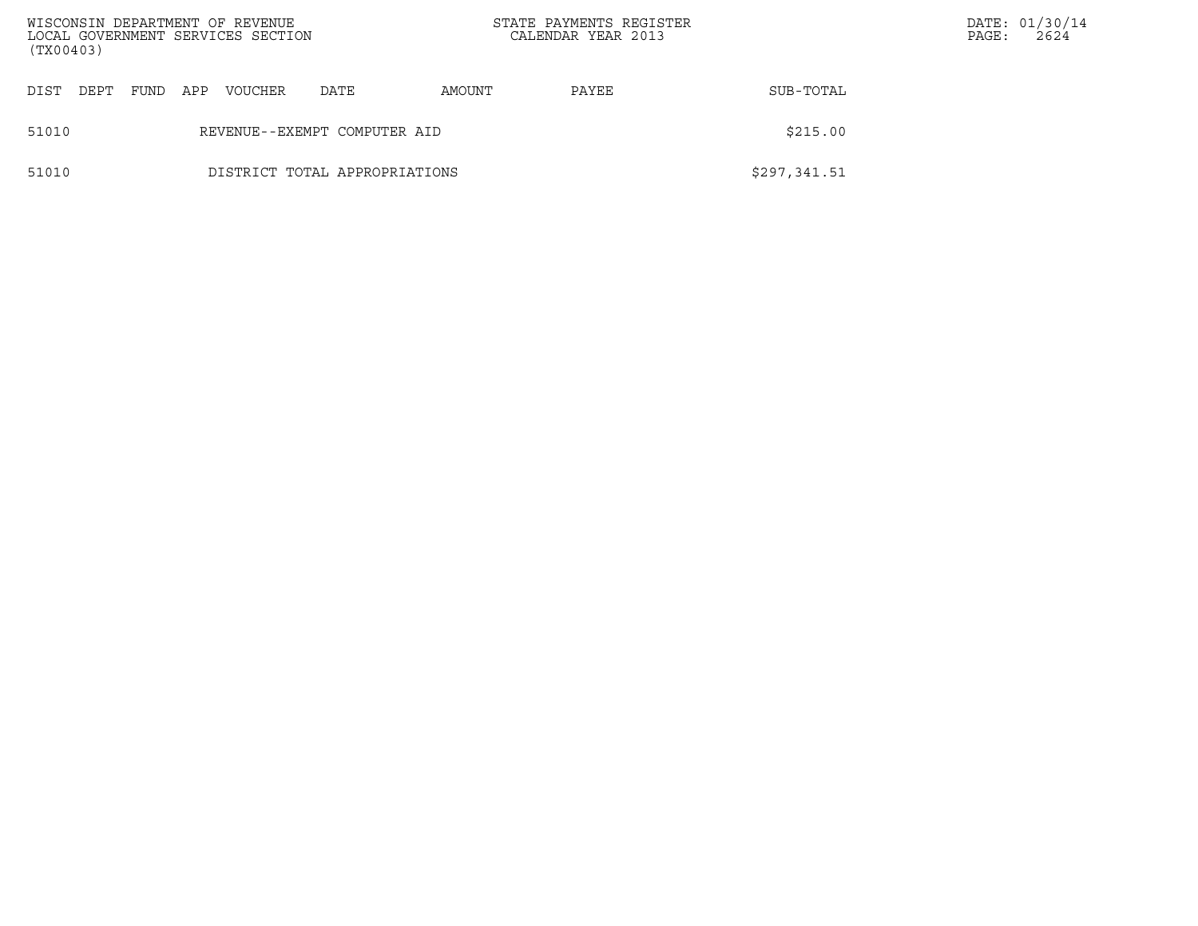| (TX00403) |      |      |                              | WISCONSIN DEPARTMENT OF REVENUE<br>LOCAL GOVERNMENT SERVICES SECTION |                               | STATE PAYMENTS REGISTER<br>CALENDAR YEAR 2013 |       | PAGE:        | DATE: 01/30/14<br>2624 |  |
|-----------|------|------|------------------------------|----------------------------------------------------------------------|-------------------------------|-----------------------------------------------|-------|--------------|------------------------|--|
| DIST      | DEPT | FUND | APP                          | <b>VOUCHER</b>                                                       | DATE                          | AMOUNT                                        | PAYEE | SUB-TOTAL    |                        |  |
| 51010     |      |      | REVENUE--EXEMPT COMPUTER AID | \$215.00                                                             |                               |                                               |       |              |                        |  |
| 51010     |      |      |                              |                                                                      | DISTRICT TOTAL APPROPRIATIONS |                                               |       | \$297,341.51 |                        |  |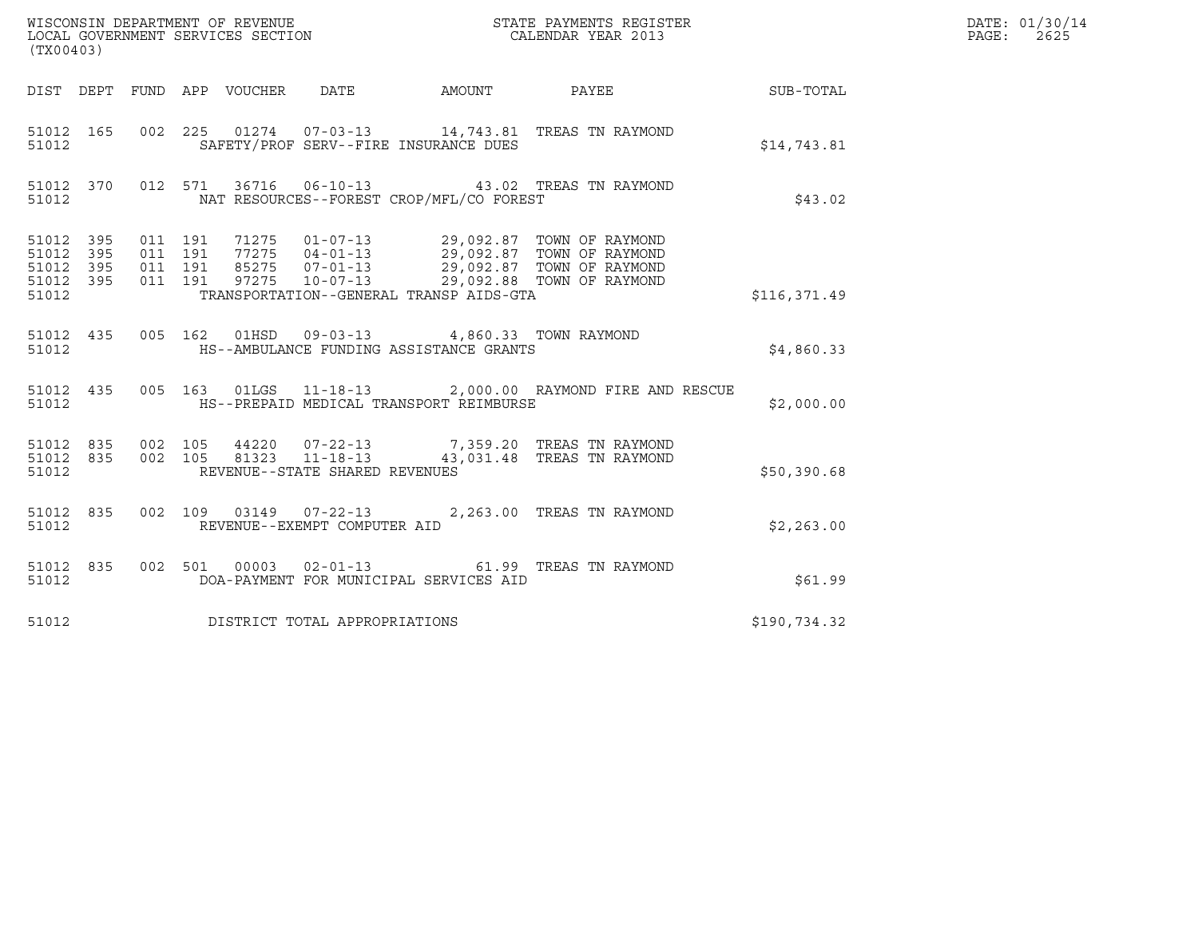| (TX00403)                                                 |                    |                                 |                                |                                                                                                   |                                                                                                                                                                                                                 |                        | DATE: 01/30/14<br>$\mathtt{PAGE:}$<br>2625 |
|-----------------------------------------------------------|--------------------|---------------------------------|--------------------------------|---------------------------------------------------------------------------------------------------|-----------------------------------------------------------------------------------------------------------------------------------------------------------------------------------------------------------------|------------------------|--------------------------------------------|
|                                                           |                    | DIST DEPT FUND APP VOUCHER DATE |                                |                                                                                                   |                                                                                                                                                                                                                 | AMOUNT PAYEE SUB-TOTAL |                                            |
| 51012 165<br>51012                                        |                    |                                 |                                | SAFETY/PROF SERV--FIRE INSURANCE DUES                                                             | 002 225 01274 07-03-13 14,743.81 TREAS TN RAYMOND                                                                                                                                                               | \$14,743.81            |                                            |
| 51012 370<br>51012                                        |                    |                                 |                                | NAT RESOURCES--FOREST CROP/MFL/CO FOREST                                                          | 012 571 36716 06-10-13 43.02 TREAS TN RAYMOND                                                                                                                                                                   | \$43.02                |                                            |
| 51012 395<br>51012 395<br>51012 395<br>51012 395<br>51012 | 011 191<br>011 191 | 011 191<br>011 191              |                                | TRANSPORTATION--GENERAL TRANSP AIDS-GTA                                                           | 71275  01-07-13  29,092.87  TOWN OF RAYMOND<br>77275  04-01-13  29,092.87  TOWN OF RAYMOND<br>85275  07-01-13  29,092.87  TOWN OF RAYMOND<br>97275  10-07-13  29,092.88  TOWN OF RAYMOND                        | \$116,371.49           |                                            |
| 51012                                                     |                    |                                 |                                | 51012 435 005 162 01HSD 09-03-13 4,860.33 TOWN RAYMOND<br>HS--AMBULANCE FUNDING ASSISTANCE GRANTS |                                                                                                                                                                                                                 | \$4,860.33             |                                            |
| 51012                                                     |                    |                                 |                                | HS--PREPAID MEDICAL TRANSPORT REIMBURSE                                                           | 51012 435 005 163 01LGS 11-18-13 2,000.00 RAYMOND FIRE AND RESCUE                                                                                                                                               | \$2,000.00             |                                            |
| 51012                                                     |                    |                                 | REVENUE--STATE SHARED REVENUES |                                                                                                   | $\begin{array}{cccccc} 51012 & 835 & 002 & 105 & 44220 & 07-22-13 & & & 7,359.20 & \text{TREAS TN RAYMOND} \\ 51012 & 835 & 002 & 105 & 81323 & 11-18-13 & & & 43,031.48 & \text{TREAS TN RAYMOND} \end{array}$ | \$50,390.68            |                                            |
| 51012 835<br>51012                                        |                    |                                 | REVENUE--EXEMPT COMPUTER AID   |                                                                                                   | 002 109 03149 07-22-13 2,263.00 TREAS TN RAYMOND                                                                                                                                                                | \$2,263.00             |                                            |
| 51012 835<br>51012                                        |                    |                                 |                                | DOA-PAYMENT FOR MUNICIPAL SERVICES AID                                                            | 002 501 00003 02-01-13 61.99 TREAS TN RAYMOND                                                                                                                                                                   | \$61.99                |                                            |
| 51012                                                     |                    | DISTRICT TOTAL APPROPRIATIONS   |                                |                                                                                                   |                                                                                                                                                                                                                 | \$190,734.32           |                                            |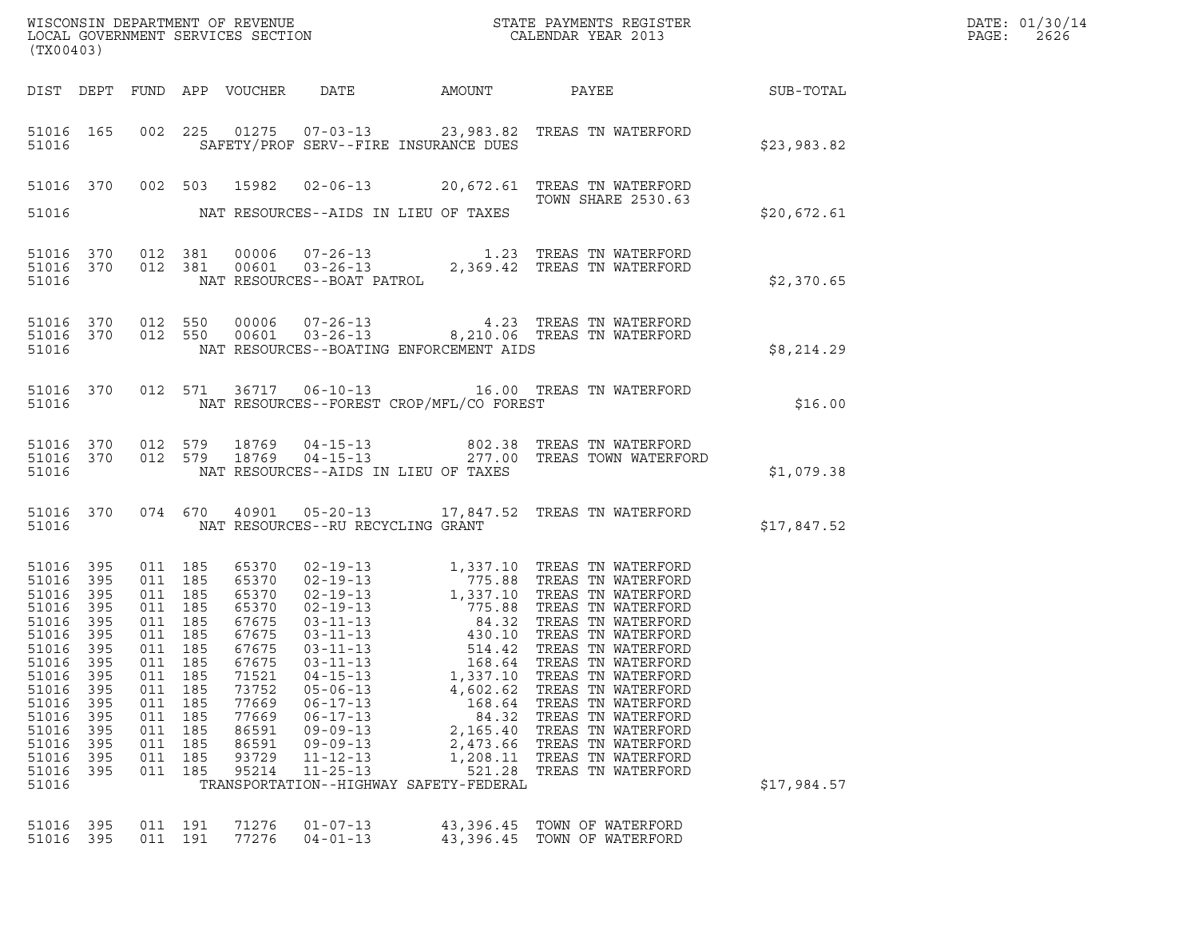| (TX00403)                                                                                                                                                     |                                                                                                |                                                                                                                                              |                                                      |                                                                                                                                              |                                                                                                                                                                                                                            |                                                                                                           |                                                                                                                                                                                                                          |             | DATE: 01/30/14<br>PAGE:<br>2626 |
|---------------------------------------------------------------------------------------------------------------------------------------------------------------|------------------------------------------------------------------------------------------------|----------------------------------------------------------------------------------------------------------------------------------------------|------------------------------------------------------|----------------------------------------------------------------------------------------------------------------------------------------------|----------------------------------------------------------------------------------------------------------------------------------------------------------------------------------------------------------------------------|-----------------------------------------------------------------------------------------------------------|--------------------------------------------------------------------------------------------------------------------------------------------------------------------------------------------------------------------------|-------------|---------------------------------|
|                                                                                                                                                               |                                                                                                |                                                                                                                                              |                                                      |                                                                                                                                              | DIST DEPT FUND APP VOUCHER DATE                                                                                                                                                                                            |                                                                                                           | AMOUNT PAYEE SUB-TOTAL                                                                                                                                                                                                   |             |                                 |
| 51016                                                                                                                                                         | 51016 165                                                                                      |                                                                                                                                              |                                                      |                                                                                                                                              | SAFETY/PROF SERV--FIRE INSURANCE DUES                                                                                                                                                                                      |                                                                                                           | 002 225 01275 07-03-13 23,983.82 TREAS TN WATERFORD                                                                                                                                                                      | \$23,983.82 |                                 |
| 51016                                                                                                                                                         |                                                                                                |                                                                                                                                              |                                                      | 51016 370 002 503 15982                                                                                                                      | NAT RESOURCES--AIDS IN LIEU OF TAXES                                                                                                                                                                                       |                                                                                                           | 02-06-13 20,672.61 TREAS TN WATERFORD<br>TOWN SHARE 2530.63                                                                                                                                                              | \$20,672.61 |                                 |
| 51016                                                                                                                                                         | 51016 370<br>51016 370                                                                         |                                                                                                                                              |                                                      |                                                                                                                                              |                                                                                                                                                                                                                            |                                                                                                           | $\begin{tabular}{llllll} 012 & 381 & 00006 & 07-26-13 & 1.23 TREAS TN WATERFORD \\ 012 & 381 & 00601 & 03-26-13 & 2,369.42 TREAS TN WATERFORD \\ & NAT RESOURCES--BOAT PATROL \\ \end{tabular}$                          | \$2,370.65  |                                 |
| 51016 370<br>51016                                                                                                                                            |                                                                                                | 51016 370 012 550<br>012 550                                                                                                                 |                                                      |                                                                                                                                              | NAT RESOURCES--BOATING ENFORCEMENT AIDS                                                                                                                                                                                    |                                                                                                           | 00006  07-26-13  4.23  TREAS TN WATERFORD<br>00601  03-26-13  8,210.06  TREAS TN WATERFORD                                                                                                                               | \$8,214.29  |                                 |
| 51016                                                                                                                                                         | 51016 370                                                                                      | 012 571                                                                                                                                      |                                                      |                                                                                                                                              | NAT RESOURCES--FOREST CROP/MFL/CO FOREST                                                                                                                                                                                   |                                                                                                           | 36717  06-10-13    16.00    TREAS TN WATERFORD                                                                                                                                                                           | \$16.00     |                                 |
| 51016                                                                                                                                                         | 51016 370<br>51016 370                                                                         |                                                                                                                                              |                                                      |                                                                                                                                              | NAT RESOURCES--AIDS IN LIEU OF TAXES                                                                                                                                                                                       |                                                                                                           | 012 579 18769 04-15-13 602.38 TREAS TN WATERFORD<br>012 579 18769 04-15-13 277.00 TREAS TOWN WATERFORD                                                                                                                   | \$1,079.38  |                                 |
| 51016                                                                                                                                                         | 51016 370                                                                                      |                                                                                                                                              |                                                      |                                                                                                                                              | NAT RESOURCES--RU RECYCLING GRANT                                                                                                                                                                                          |                                                                                                           | 074 670 40901 05-20-13 17,847.52 TREAS TN WATERFORD                                                                                                                                                                      | \$17,847.52 |                                 |
| 51016 395<br>51016<br>51016<br>51016<br>51016<br>51016<br>51016 395<br>51016<br>51016<br>51016<br>51016<br>51016<br>51016<br>51016<br>51016<br>51016<br>51016 | 395<br>395<br>395<br>395<br>395<br>395<br>395<br>395<br>395<br>395<br>395<br>395<br>395<br>395 | 011 185<br>011 185<br>011 185<br>011 185<br>011 185<br>011 185<br>011 185<br>011<br>011<br>011<br>011<br>011<br>011<br>011<br>011<br>011 185 | 185<br>185<br>185<br>185<br>185<br>185<br>185<br>185 | 65370<br>65370<br>65370<br>65370<br>67675<br>67675<br>67675<br>67675<br>71521<br>73752<br>77669<br>77669<br>86591<br>86591<br>93729<br>95214 | $03 - 11 - 13$<br>$03 - 11 - 13$<br>$04 - 15 - 13$<br>$05 - 06 - 13$<br>$06 - 17 - 13$<br>$06 - 17 - 13$<br>$09 - 09 - 13$<br>$09 - 09 - 13$<br>$11 - 12 - 13$<br>$11 - 25 - 13$<br>TRANSPORTATION--HIGHWAY SAFETY-FEDERAL | 514.42<br>168.64<br>1,337.10<br>4,602.62<br>168.64<br>84.32<br>2,165.40<br>2,473.66<br>1,208.11<br>521.28 | TREAS TN WATERFORD<br>TREAS TN WATERFORD<br>TREAS TN WATERFORD<br>TREAS TN WATERFORD<br>TREAS TN WATERFORD<br>TREAS TN WATERFORD<br>TREAS TN WATERFORD<br>TREAS TN WATERFORD<br>TREAS TN WATERFORD<br>TREAS TN WATERFORD | \$17,984.57 |                                 |
| 51016<br>51016                                                                                                                                                | 395<br>395                                                                                     | 011 191<br>011 191                                                                                                                           |                                                      | 71276<br>77276                                                                                                                               | $01 - 07 - 13$<br>$04 - 01 - 13$                                                                                                                                                                                           | 43,396.45<br>43,396.45                                                                                    | TOWN OF WATERFORD<br>TOWN OF WATERFORD                                                                                                                                                                                   |             |                                 |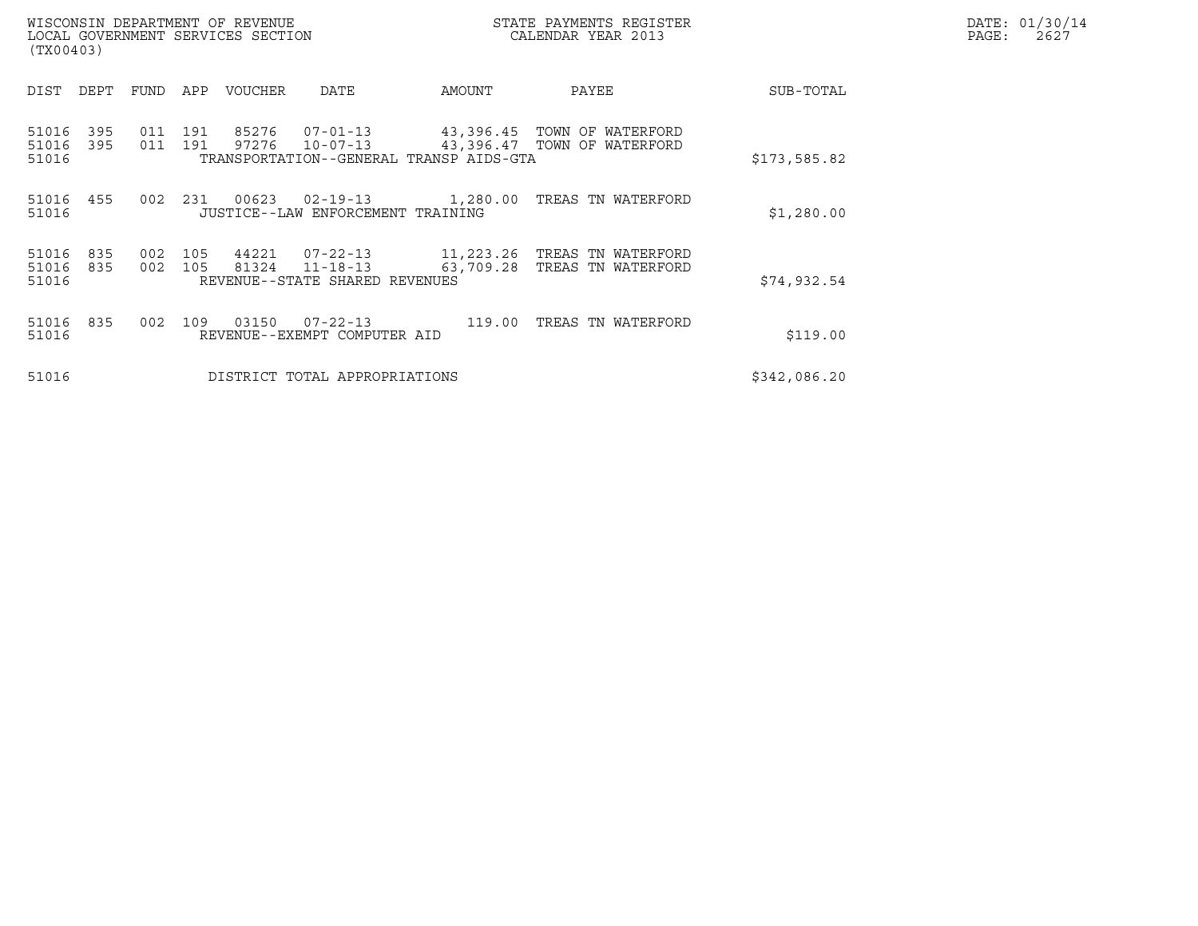| WISCONSIN DEPARTMENT OF REVENUE<br>LOCAL GOVERNMENT SERVICES SECTION<br>(TX00403) |                |                              |                                                                       |           | STATE PAYMENTS REGISTER<br>CALENDAR YEAR 2013              |              | DATE: 01/30/14<br>PAGE:<br>2627 |
|-----------------------------------------------------------------------------------|----------------|------------------------------|-----------------------------------------------------------------------|-----------|------------------------------------------------------------|--------------|---------------------------------|
| DEPT<br>DIST                                                                      | <b>FUND</b>    | APP<br>VOUCHER               | DATE                                                                  | AMOUNT    | PAYEE                                                      | SUB-TOTAL    |                                 |
| 395<br>51016<br>51016<br>395<br>51016                                             | 011 191<br>011 | 85276<br>191<br>97276        | 07-01-13<br>$10 - 07 - 13$<br>TRANSPORTATION--GENERAL TRANSP AIDS-GTA |           | 43,396.45 TOWN OF WATERFORD<br>43,396.47 TOWN OF WATERFORD | \$173,585.82 |                                 |
| 51016 455<br>51016                                                                | 002            | 231<br>00623                 | 02-19-13<br>JUSTICE--LAW ENFORCEMENT TRAINING                         | 1,280.00  | TREAS TN WATERFORD                                         | \$1,280.00   |                                 |
| 835<br>51016<br>51016<br>835<br>51016                                             | 002<br>002     | 105<br>44221<br>105<br>81324 | 07-22-13<br>$11 - 18 - 13$<br>REVENUE--STATE SHARED REVENUES          | 63,709.28 | 11,223.26 TREAS TN WATERFORD<br>TREAS TN WATERFORD         | \$74,932.54  |                                 |
| 51016 835<br>51016                                                                | 002            | 03150<br>109                 | $07 - 22 - 13$<br>REVENUE--EXEMPT COMPUTER AID                        | 119.00    | TREAS TN WATERFORD                                         | \$119.00     |                                 |
| 51016                                                                             |                |                              | DISTRICT TOTAL APPROPRIATIONS                                         |           |                                                            | \$342,086.20 |                                 |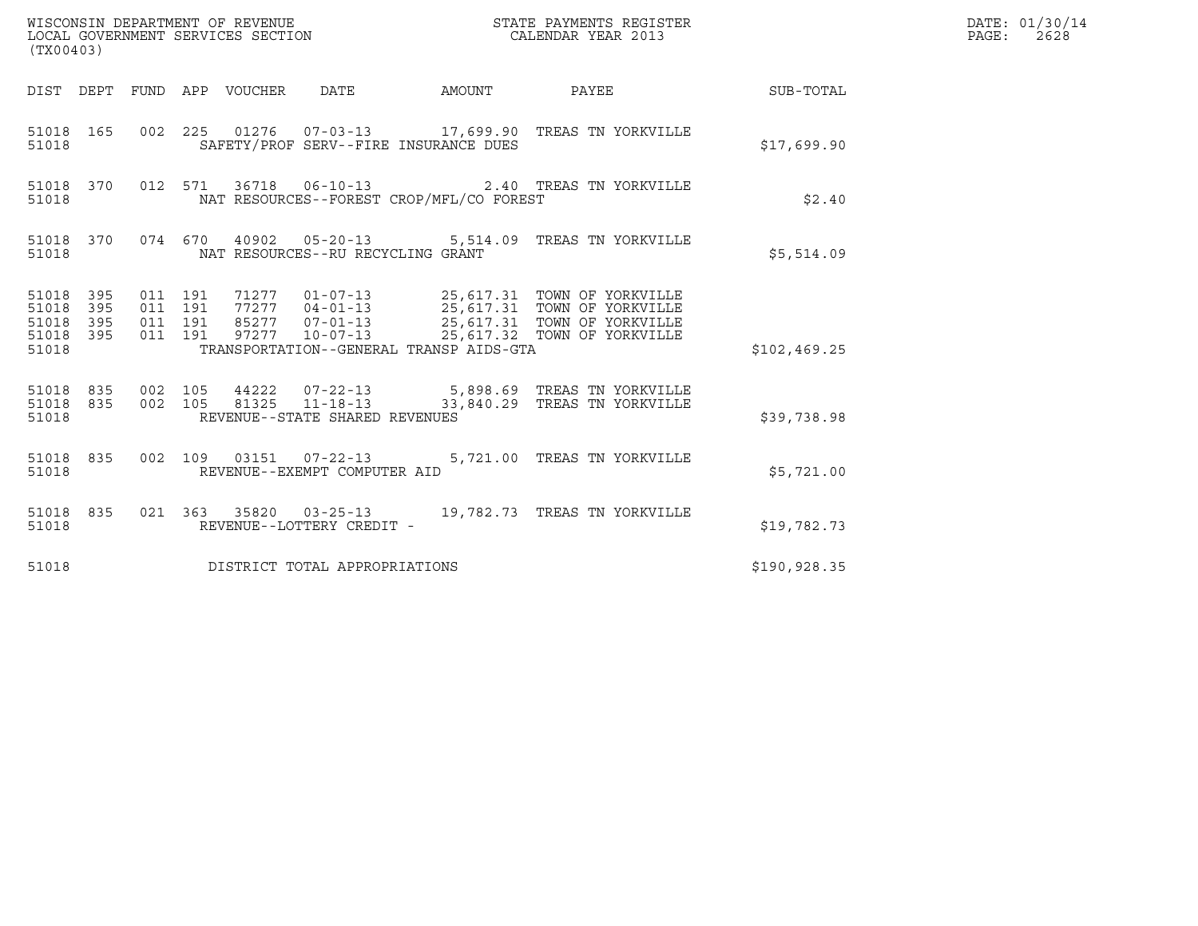| (TX00403)                                                       |                                          |  |  |                                   |                                          |                                                                                                                                                                                                  |                 | DATE: 01/30/14<br>$\mathtt{PAGE}$ :<br>2628 |
|-----------------------------------------------------------------|------------------------------------------|--|--|-----------------------------------|------------------------------------------|--------------------------------------------------------------------------------------------------------------------------------------------------------------------------------------------------|-----------------|---------------------------------------------|
| DIST DEPT FUND APP VOUCHER DATE                                 |                                          |  |  |                                   | AMOUNT                                   |                                                                                                                                                                                                  | PAYEE SUB-TOTAL |                                             |
| 51018 165<br>51018                                              |                                          |  |  |                                   | SAFETY/PROF SERV--FIRE INSURANCE DUES    | 002 225 01276 07-03-13 17,699.90 TREAS TN YORKVILLE                                                                                                                                              | \$17,699.90     |                                             |
| 51018 370<br>51018                                              |                                          |  |  |                                   | NAT RESOURCES--FOREST CROP/MFL/CO FOREST | 012 571 36718 06-10-13 2.40 TREAS TN YORKVILLE                                                                                                                                                   | \$2.40          |                                             |
| 51018 370<br>51018                                              |                                          |  |  | NAT RESOURCES--RU RECYCLING GRANT |                                          | 074 670 40902 05-20-13 5,514.09 TREAS TN YORKVILLE                                                                                                                                               | \$5,514.09      |                                             |
| 51018 395<br>51018<br>395<br>51018<br>395<br>51018 395<br>51018 | 011 191<br>011 191<br>011 191<br>011 191 |  |  |                                   | TRANSPORTATION--GENERAL TRANSP AIDS-GTA  | 71277  01-07-13  25,617.31  TOWN OF YORKVILLE<br>77277  04-01-13  25,617.31  TOWN OF YORKVILLE<br>85277  07-01-13  25,617.31  TOWN OF YORKVILLE<br>97277  10-07-13  25,617.32  TOWN OF YORKVILLE | \$102, 469.25   |                                             |
| 51018 835<br>51018                                              |                                          |  |  | REVENUE--STATE SHARED REVENUES    |                                          | 51018 835 002 105 44222 07-22-13 5,898.69 TREAS TN YORKVILLE<br>002 105 81325 11-18-13 33,840.29 TREAS TN YORKVILLE                                                                              | \$39,738.98     |                                             |
| 51018                                                           |                                          |  |  | REVENUE--EXEMPT COMPUTER AID      |                                          | 51018 835 002 109 03151 07-22-13 5,721.00 TREAS TN YORKVILLE                                                                                                                                     | \$5,721.00      |                                             |
| 51018 835<br>51018                                              |                                          |  |  | REVENUE--LOTTERY CREDIT -         |                                          | 021  363  35820  03-25-13  19,782.73  TREAS TN YORKVILLE                                                                                                                                         | \$19,782.73     |                                             |
| 51018                                                           |                                          |  |  | DISTRICT TOTAL APPROPRIATIONS     |                                          |                                                                                                                                                                                                  | \$190,928.35    |                                             |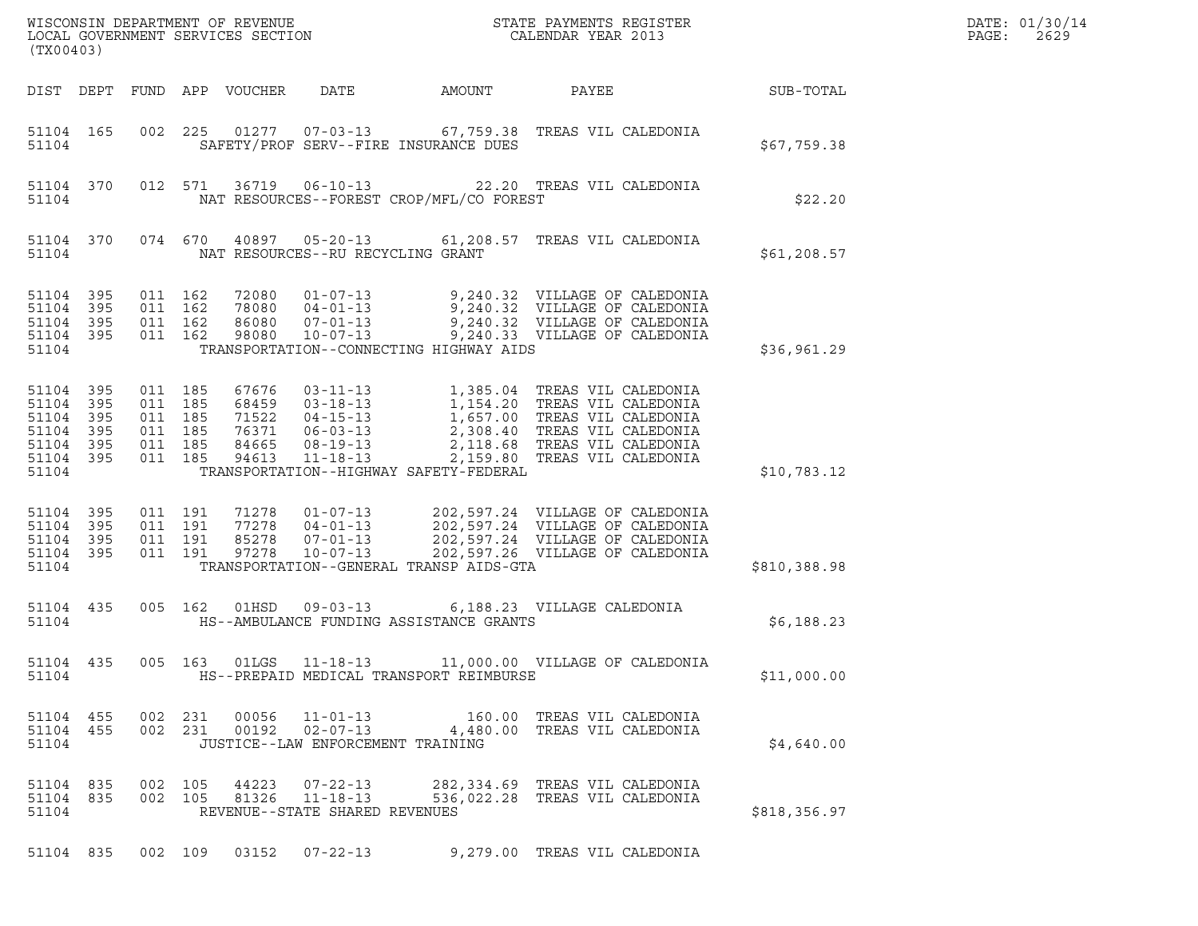| (TX00403)                                                                                                                                                                                                                                                                                                                                                                                                                                                                                            |              | DATE: 01/30/14<br>PAGE:<br>2629 |
|------------------------------------------------------------------------------------------------------------------------------------------------------------------------------------------------------------------------------------------------------------------------------------------------------------------------------------------------------------------------------------------------------------------------------------------------------------------------------------------------------|--------------|---------------------------------|
| DATE<br>DIST DEPT FUND APP VOUCHER<br>AMOUNT<br>PAYEE                                                                                                                                                                                                                                                                                                                                                                                                                                                | SUB-TOTAL    |                                 |
| 002 225 01277 07-03-13 67,759.38 TREAS VIL CALEDONIA<br>51104 165<br>SAFETY/PROF SERV--FIRE INSURANCE DUES<br>51104                                                                                                                                                                                                                                                                                                                                                                                  | \$67,759.38  |                                 |
| 36719  06-10-13  22.20 TREAS VIL CALEDONIA<br>51104 370<br>012 571<br>NAT RESOURCES--FOREST CROP/MFL/CO FOREST<br>51104                                                                                                                                                                                                                                                                                                                                                                              | \$22.20      |                                 |
| 074 670 40897 05-20-13 61,208.57 TREAS VIL CALEDONIA<br>51104 370<br>NAT RESOURCES--RU RECYCLING GRANT<br>51104                                                                                                                                                                                                                                                                                                                                                                                      | \$61,208.57  |                                 |
| 72080  01-07-13  9,240.32  VILLAGE OF CALEDONIA<br>78080  04-01-13  9,240.32  VILLAGE OF CALEDONIA<br>86080  07-01-13  9,240.32  VILLAGE OF CALEDONIA<br>98080  10-07-13  9,240.33  VILLAGE OF CALEDONIA<br>51104 395<br>011 162<br>51104 395<br>011 162<br>011 162<br>51104 395<br>011 162<br>51104 395<br>TRANSPORTATION--CONNECTING HIGHWAY AIDS<br>51104                                                                                                                                         | \$36,961.29  |                                 |
| 67676 03-11-13 1,385.04 TREAS VIL CALEDONIA<br>68459 03-18-13 1,154.20 TREAS VIL CALEDONIA<br>71522 04-15-13 1,657.00 TREAS VIL CALEDONIA<br>76371 06-03-13 2,118.68 TREAS VIL CALEDONIA<br>84665 08-19-13 2,118.68 TREAS VIL CALEDONI<br>51104 395<br>011 185<br>51104 395<br>011 185<br>51104 395<br>011 185<br>011 185<br>51104 395<br>011 185<br>51104 395<br>$11 - 18 - 13$<br>011 185<br>94613<br>2,159.80 TREAS VIL CALEDONIA<br>51104 395<br>51104<br>TRANSPORTATION--HIGHWAY SAFETY-FEDERAL | \$10,783.12  |                                 |
| 11278  01-07-13  202,597.24  VILLAGE OF CALEDONIA<br>77278  04-01-13  202,597.24  VILLAGE OF CALEDONIA<br>85278  07-01-13  202,597.24  VILLAGE OF CALEDONIA<br>51104 395<br>011 191<br>51104 395<br>011 191<br>011 191<br>51104 395<br>011 191<br>97278<br>$10 - 07 - 13$<br>202,597.26 VILLAGE OF CALEDONIA<br>51104 395<br>TRANSPORTATION--GENERAL TRANSP AIDS-GTA<br>51104                                                                                                                        | \$810,388.98 |                                 |
| 005 162 01HSD 09-03-13 6,188.23 VILLAGE CALEDONIA<br>51104 435<br>51104<br>HS--AMBULANCE FUNDING ASSISTANCE GRANTS                                                                                                                                                                                                                                                                                                                                                                                   | \$6,188.23   |                                 |
| 51104 435<br>005 163 01LGS 11-18-13 11,000.00 VILLAGE OF CALEDONIA<br>51104<br>HS--PREPAID MEDICAL TRANSPORT REIMBURSE                                                                                                                                                                                                                                                                                                                                                                               | \$11,000.00  |                                 |
| 51104 455<br>002 231<br>00056<br>$11 - 01 - 13$<br>160.00 TREAS VIL CALEDONIA<br>002 231 00192 02-07-13<br>51104 455<br>4,480.00 TREAS VIL CALEDONIA<br>JUSTICE--LAW ENFORCEMENT TRAINING<br>51104                                                                                                                                                                                                                                                                                                   | \$4,640.00   |                                 |
| 51104 835<br>002 105 44223<br>$07 - 22 - 13$<br>282,334.69 TREAS VIL CALEDONIA<br>$11 - 18 - 13$<br>51104 835<br>002 105<br>81326<br>536,022.28 TREAS VIL CALEDONIA<br>51104<br>REVENUE--STATE SHARED REVENUES                                                                                                                                                                                                                                                                                       | \$818,356.97 |                                 |
| 51104 835 002 109 03152 07-22-13 9,279.00 TREAS VIL CALEDONIA                                                                                                                                                                                                                                                                                                                                                                                                                                        |              |                                 |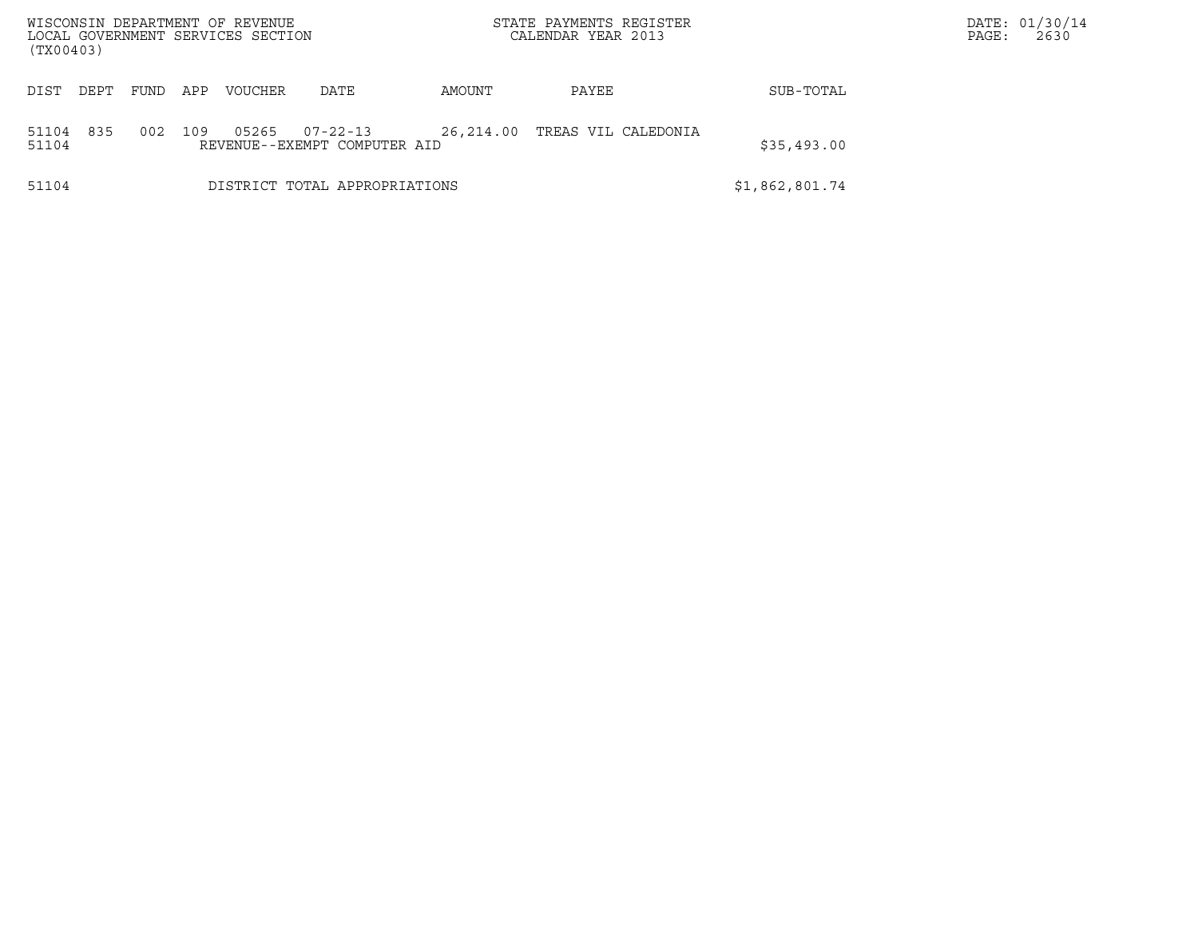| (TX00403)             | WISCONSIN DEPARTMENT OF REVENUE<br>LOCAL GOVERNMENT SERVICES SECTION |                                                | STATE PAYMENTS REGISTER<br>CALENDAR YEAR 2013 |                     |             | DATE: 01/30/14<br>2630<br>PAGE: |
|-----------------------|----------------------------------------------------------------------|------------------------------------------------|-----------------------------------------------|---------------------|-------------|---------------------------------|
| DIST<br>DEPT<br>FUND  | APP<br><b>VOUCHER</b>                                                | DATE                                           | AMOUNT                                        | PAYEE               | SUB-TOTAL   |                                 |
| 835<br>51104<br>51104 | 002<br>109<br>05265                                                  | $07 - 22 - 13$<br>REVENUE--EXEMPT COMPUTER AID | 26,214.00                                     | TREAS VIL CALEDONIA | \$35,493.00 |                                 |
| 51104                 |                                                                      | DISTRICT TOTAL APPROPRIATIONS                  |                                               | \$1,862,801.74      |             |                                 |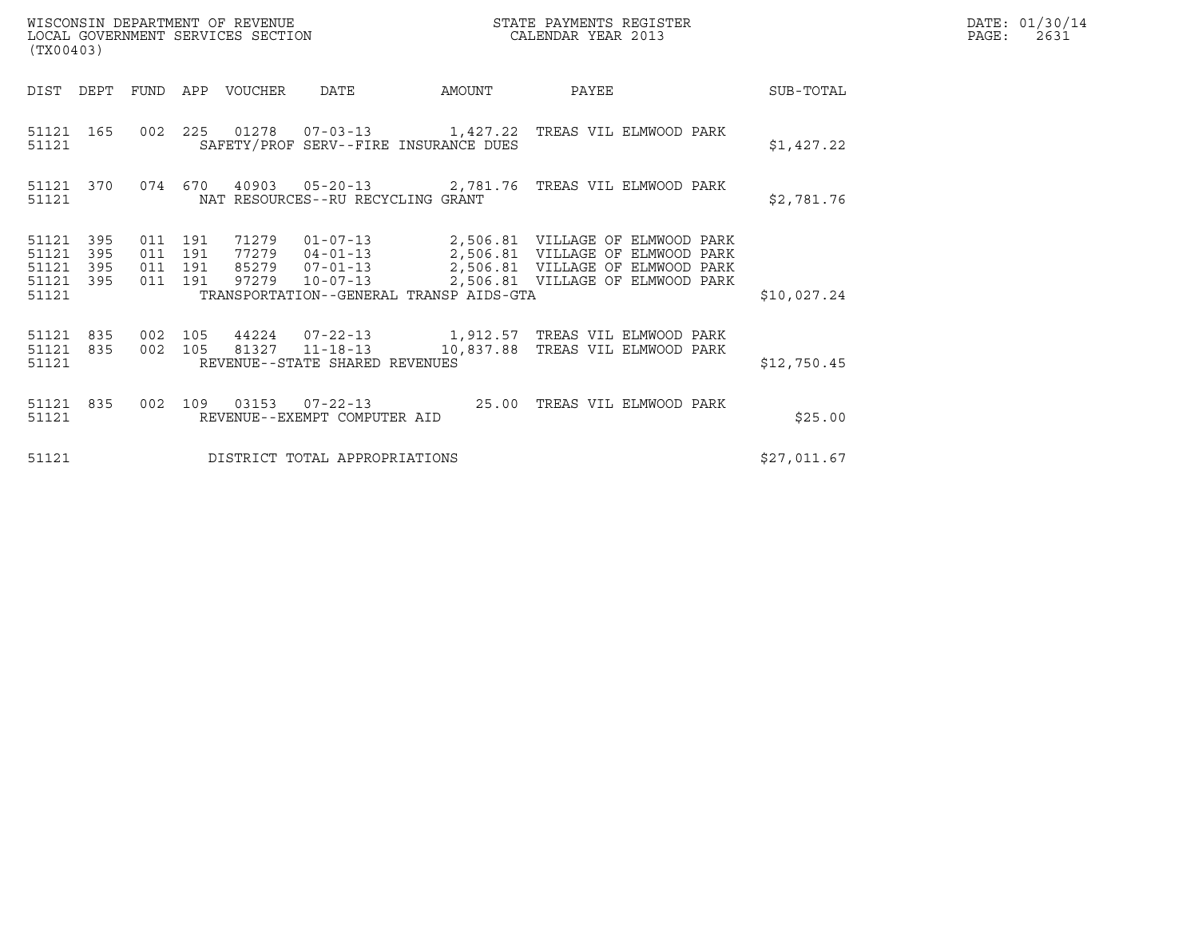| (TX00403)                                     |                   |                                          |  |                                 |                                   |                                         |                                                                                                                          |             | DATE: 01/30/14<br>$\mathtt{PAGE}$ :<br>2631 |
|-----------------------------------------------|-------------------|------------------------------------------|--|---------------------------------|-----------------------------------|-----------------------------------------|--------------------------------------------------------------------------------------------------------------------------|-------------|---------------------------------------------|
|                                               |                   |                                          |  | DIST DEPT FUND APP VOUCHER DATE |                                   | AMOUNT                                  | PAYEE                                                                                                                    | SUB-TOTAL   |                                             |
| 51121                                         |                   |                                          |  |                                 |                                   | SAFETY/PROF SERV--FIRE INSURANCE DUES   | 51121 165 002 225 01278 07-03-13 1,427.22 TREAS VIL ELMWOOD PARK                                                         | \$1,427.22  |                                             |
| 51121                                         | 51121 370         |                                          |  |                                 | NAT RESOURCES--RU RECYCLING GRANT |                                         | 074 670 40903 05-20-13 2,781.76 TREAS VIL ELMWOOD PARK                                                                   | \$2,781.76  |                                             |
| 51121 395<br>51121<br>51121<br>51121<br>51121 | 395<br>395<br>395 | 011 191<br>011 191<br>011 191<br>011 191 |  |                                 |                                   | TRANSPORTATION--GENERAL TRANSP AIDS-GTA | 71279  01-07-13  2,506.81  VILLAGE OF ELMWOOD PARK                                                                       | \$10,027.24 |                                             |
| 51121                                         | 51121 835         | 002 105                                  |  |                                 | REVENUE--STATE SHARED REVENUES    |                                         | 51121 835 002 105 44224 07-22-13 1,912.57 TREAS VIL ELMWOOD PARK<br>81327  11-18-13   10,837.88   TREAS VIL ELMWOOD PARK | \$12,750.45 |                                             |
| 51121                                         | 51121 835         |                                          |  |                                 | REVENUE--EXEMPT COMPUTER AID      |                                         | 002 109 03153 07-22-13 25.00 TREAS VIL ELMWOOD PARK                                                                      | \$25.00     |                                             |
| 51121                                         |                   |                                          |  |                                 | DISTRICT TOTAL APPROPRIATIONS     |                                         |                                                                                                                          | \$27,011.67 |                                             |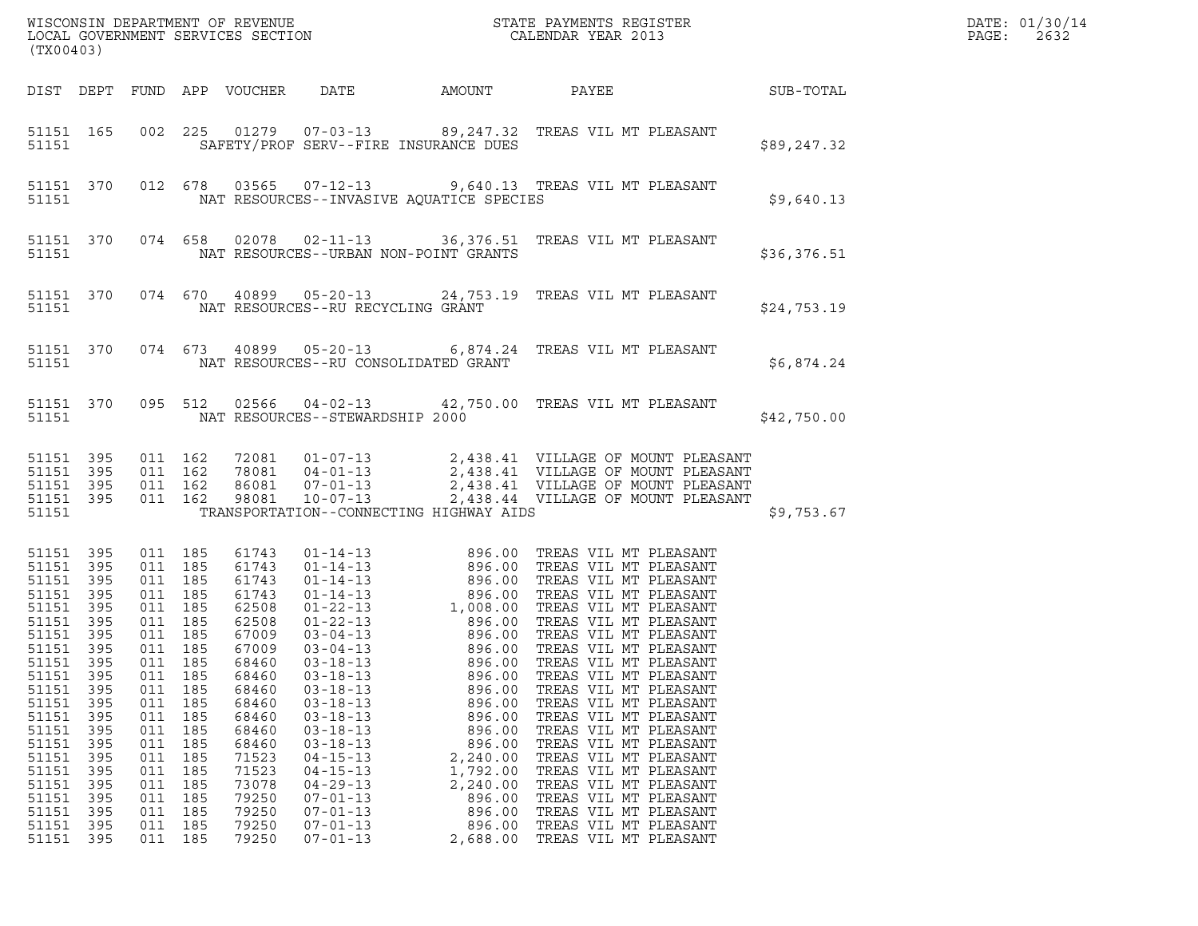| ${\tt WISCONSIM\ DEPARTMENT\ OF\ REVENUE}\qquad \qquad {\tt STATE\ PAYMENTS\ REGISTER\ LOCAL\ GOVERNMENT\ SERVICES\ SECTION\qquad \qquad {\tt CALENDAR\ YEAR\ 2013}}$<br>(TX00403)                                                     |                                                                                         |                                                                                                                                                                                        |                                                                                                |                                                                                                                                                                                                    |                                                                                                                                                                                                                                                                            |                                                                                                                                                                                                                                                                                                                                                                                                                                |                                                                                                                                                                                                                                                                                                                                                                                            |                 |             | DATE: 01/30/14<br>PAGE:<br>2632 |
|----------------------------------------------------------------------------------------------------------------------------------------------------------------------------------------------------------------------------------------|-----------------------------------------------------------------------------------------|----------------------------------------------------------------------------------------------------------------------------------------------------------------------------------------|------------------------------------------------------------------------------------------------|----------------------------------------------------------------------------------------------------------------------------------------------------------------------------------------------------|----------------------------------------------------------------------------------------------------------------------------------------------------------------------------------------------------------------------------------------------------------------------------|--------------------------------------------------------------------------------------------------------------------------------------------------------------------------------------------------------------------------------------------------------------------------------------------------------------------------------------------------------------------------------------------------------------------------------|--------------------------------------------------------------------------------------------------------------------------------------------------------------------------------------------------------------------------------------------------------------------------------------------------------------------------------------------------------------------------------------------|-----------------|-------------|---------------------------------|
|                                                                                                                                                                                                                                        | DIST DEPT                                                                               |                                                                                                                                                                                        |                                                                                                | FUND APP VOUCHER                                                                                                                                                                                   | DATE                                                                                                                                                                                                                                                                       | AMOUNT                                                                                                                                                                                                                                                                                                                                                                                                                         |                                                                                                                                                                                                                                                                                                                                                                                            | PAYEE SUB-TOTAL |             |                                 |
| 51151 165<br>51151                                                                                                                                                                                                                     |                                                                                         |                                                                                                                                                                                        |                                                                                                |                                                                                                                                                                                                    |                                                                                                                                                                                                                                                                            | 002 225 01279 07-03-13 89,247.32 TREAS VIL MT PLEASANT<br>SAFETY/PROF SERV--FIRE INSURANCE DUES                                                                                                                                                                                                                                                                                                                                |                                                                                                                                                                                                                                                                                                                                                                                            |                 | \$89,247.32 |                                 |
| 51151                                                                                                                                                                                                                                  | 51151 370                                                                               |                                                                                                                                                                                        |                                                                                                |                                                                                                                                                                                                    |                                                                                                                                                                                                                                                                            | 012 678 03565 07-12-13 9,640.13 TREAS VIL MT PLEASANT<br>NAT RESOURCES--INVASIVE AQUATICE SPECIES                                                                                                                                                                                                                                                                                                                              |                                                                                                                                                                                                                                                                                                                                                                                            |                 | \$9,640.13  |                                 |
| 51151                                                                                                                                                                                                                                  | 51151 370                                                                               |                                                                                                                                                                                        |                                                                                                |                                                                                                                                                                                                    |                                                                                                                                                                                                                                                                            | 074 658 02078 02-11-13 36,376.51 TREAS VIL MT PLEASANT<br>NAT RESOURCES--URBAN NON-POINT GRANTS                                                                                                                                                                                                                                                                                                                                |                                                                                                                                                                                                                                                                                                                                                                                            |                 | \$36,376.51 |                                 |
| 51151                                                                                                                                                                                                                                  | 51151 370                                                                               |                                                                                                                                                                                        |                                                                                                |                                                                                                                                                                                                    | NAT RESOURCES--RU RECYCLING GRANT                                                                                                                                                                                                                                          | 074 670 40899 05-20-13 24,753.19 TREAS VIL MT PLEASANT                                                                                                                                                                                                                                                                                                                                                                         |                                                                                                                                                                                                                                                                                                                                                                                            |                 | \$24,753.19 |                                 |
| 51151                                                                                                                                                                                                                                  | 51151 370                                                                               |                                                                                                                                                                                        |                                                                                                |                                                                                                                                                                                                    | NAT RESOURCES--RU CONSOLIDATED GRANT                                                                                                                                                                                                                                       | 074 673 40899 05-20-13 6,874.24 TREAS VIL MT PLEASANT                                                                                                                                                                                                                                                                                                                                                                          |                                                                                                                                                                                                                                                                                                                                                                                            |                 | \$6,874.24  |                                 |
| 51151                                                                                                                                                                                                                                  | 51151 370                                                                               |                                                                                                                                                                                        |                                                                                                |                                                                                                                                                                                                    | NAT RESOURCES--STEWARDSHIP 2000                                                                                                                                                                                                                                            | 095 512 02566 04-02-13 42,750.00 TREAS VIL MT PLEASANT                                                                                                                                                                                                                                                                                                                                                                         |                                                                                                                                                                                                                                                                                                                                                                                            |                 | \$42,750.00 |                                 |
| 51151 395<br>51151 395<br>51151 395<br>51151 395<br>51151                                                                                                                                                                              |                                                                                         | 011 162<br>011 162                                                                                                                                                                     | 011 162<br>011 162                                                                             |                                                                                                                                                                                                    |                                                                                                                                                                                                                                                                            | 72081  01-07-13  2,438.41  VILLAGE OF MOUNT PLEASANT<br>78081  04-01-13  2,438.41  VILLAGE OF MOUNT PLEASANT<br>86081  07-01-13  2,438.41  VILLAGE OF MOUNT PLEASANT<br>98081  10-07-13  2,438.44  VILLAGE OF MOUNT PLEASANT<br>TRANSPORTATION--CONNECTING HIGHWAY AIDS                                                                                                                                                        |                                                                                                                                                                                                                                                                                                                                                                                            |                 | \$9,753.67  |                                 |
| 51151 395<br>51151 395<br>51151 395<br>51151 395<br>51151 395<br>51151 395<br>51151 395<br>51151 395<br>51151<br>51151<br>51151<br>51151<br>51151<br>51151<br>51151<br>51151<br>51151<br>51151<br>51151<br>51151<br>51151<br>51151 395 | 395<br>395<br>395<br>395<br>395<br>395<br>395<br>395<br>395<br>395<br>395<br>395<br>395 | 011 185<br>011 185<br>011 185<br>011 185<br>011 185<br>011 185<br>011 185<br>011 185<br>011<br>011<br>011<br>011<br>011<br>011<br>011<br>011<br>011<br>011<br>011<br>011<br>011<br>011 | 185<br>185<br>185<br>185<br>185<br>185<br>185<br>185<br>185<br>185<br>185<br>185<br>185<br>185 | 61743<br>61743<br>61743<br>61743<br>62508<br>62508<br>67009<br>67009<br>68460<br>68460<br>68460<br>68460<br>68460<br>68460<br>68460<br>71523<br>71523<br>73078<br>79250<br>79250<br>79250<br>79250 | $03 - 04 - 13$<br>$03 - 18 - 13$<br>$03 - 18 - 13$<br>$03 - 18 - 13$<br>$03 - 18 - 13$<br>$03 - 18 - 13$<br>$03 - 18 - 13$<br>$03 - 18 - 13$<br>$04 - 15 - 13$<br>$04 - 15 - 13$<br>$04 - 29 - 13$<br>$07 - 01 - 13$<br>$07 - 01 - 13$<br>$07 - 01 - 13$<br>$07 - 01 - 13$ | 01-14-13<br>01-14-13<br>01-14-13<br>01-14-13<br>01-14-13<br>01-22-13<br>01-22-13<br>01-22-13<br>03-04-13<br>03-04-13<br>03-04-13<br>03-04-13<br>03-04-13<br>03-04-13<br>03-04-13<br>03-04-13<br>03-04-13<br>03-04-13<br>03-04-13<br>03-04-13<br>03-04-13<br>03-04-13<br>03<br>896.00<br>896.00<br>896.00<br>896.00<br>896.00<br>896.00<br>896.00<br>2,240.00<br>1,792.00<br>2,240.00<br>896.00<br>896.00<br>896.00<br>2,688.00 | 896.00 TREAS VIL MT PLEASANT<br>TREAS VIL MT PLEASANT<br>TREAS VIL MT PLEASANT<br>TREAS VIL MT PLEASANT<br>TREAS VIL MT PLEASANT<br>TREAS VIL MT PLEASANT<br>TREAS VIL MT PLEASANT<br>TREAS VIL MT PLEASANT<br>TREAS VIL MT PLEASANT<br>TREAS VIL MT PLEASANT<br>TREAS VIL MT PLEASANT<br>TREAS VIL MT PLEASANT<br>TREAS VIL MT PLEASANT<br>TREAS VIL MT PLEASANT<br>TREAS VIL MT PLEASANT |                 |             |                                 |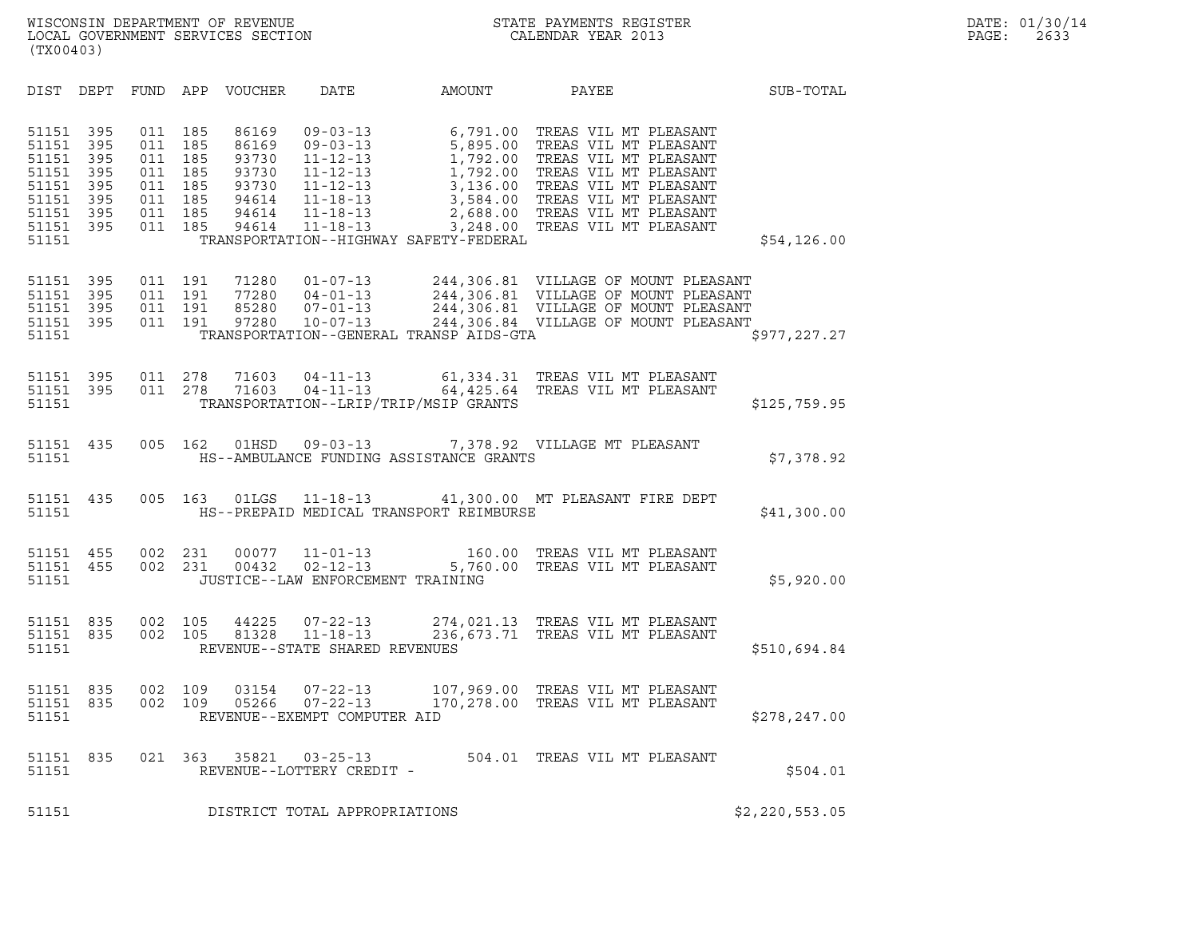| (TX00403)                                                                     |                                                        |                                                      |                                                      |                                                                      |                                                                                                                                  |                                                                                                                                              |                                                                                                                                                                                                                        |                |  |
|-------------------------------------------------------------------------------|--------------------------------------------------------|------------------------------------------------------|------------------------------------------------------|----------------------------------------------------------------------|----------------------------------------------------------------------------------------------------------------------------------|----------------------------------------------------------------------------------------------------------------------------------------------|------------------------------------------------------------------------------------------------------------------------------------------------------------------------------------------------------------------------|----------------|--|
| DIST                                                                          | DEPT                                                   |                                                      |                                                      | FUND APP VOUCHER                                                     | DATE                                                                                                                             | AMOUNT                                                                                                                                       | PAYEE                                                                                                                                                                                                                  | SUB-TOTAL      |  |
| 51151<br>51151<br>51151<br>51151<br>51151<br>51151<br>51151<br>51151<br>51151 | 395<br>395<br>395<br>395<br>395<br>395<br>395<br>- 395 | 011<br>011<br>011<br>011<br>011<br>011<br>011<br>011 | 185<br>185<br>185<br>185<br>185<br>185<br>185<br>185 | 86169<br>86169<br>93730<br>93730<br>93730<br>94614<br>94614<br>94614 | $09 - 03 - 13$<br>$09 - 03 - 13$<br>$11 - 12 - 13$<br>$11 - 12 - 13$<br>$11 - 12 - 13$<br>11-18-13<br>$11 - 18 - 13$<br>11-18-13 | $6, 791.00$<br>$5, 895.00$<br>$1, 792.00$<br>$1, 792.00$<br>$3, 136.00$<br>$3, 584.00$<br>3,248.00<br>TRANSPORTATION--HIGHWAY SAFETY-FEDERAL | TREAS VIL MT PLEASANT<br>TREAS VIL MT PLEASANT<br>TREAS VIL MT PLEASANT<br>TREAS VIL MT PLEASANT<br>TREAS VIL MT PLEASANT<br>3,584.00 TREAS VIL MT PLEASANT<br>2,688.00 TREAS VIL MT PLEASANT<br>TREAS VIL MT PLEASANT | \$54,126.00    |  |
| 51151<br>51151<br>51151<br>51151<br>51151                                     | 395<br>395<br>395<br>- 395                             | 011<br>011<br>011<br>011                             | 191<br>191<br>191<br>191                             | 71280<br>77280<br>85280<br>97280                                     | 01-07-13<br>04-01-13<br>07-01-13<br>10-07-13<br>$04 - 01 - 13$                                                                   | TRANSPORTATION--GENERAL TRANSP AIDS-GTA                                                                                                      | 244,306.81 VILLAGE OF MOUNT PLEASANT<br>244,306.81 VILLAGE OF MOUNT PLEASANT<br>244,306.81 VILLAGE OF MOUNT PLEASANT<br>244,306.84 VILLAGE OF MOUNT PLEASANT                                                           | \$977,227.27   |  |
| 51151<br>51151<br>51151                                                       | 395<br>395                                             | 011 278<br>011                                       | 278                                                  | 71603<br>71603                                                       | $04 - 11 - 13$<br>$04 - 11 - 13$                                                                                                 | 64,425.64<br>TRANSPORTATION--LRIP/TRIP/MSIP GRANTS                                                                                           | 61,334.31 TREAS VIL MT PLEASANT<br>TREAS VIL MT PLEASANT                                                                                                                                                               | \$125,759.95   |  |
| 51151 435<br>51151                                                            |                                                        | 005                                                  | 162                                                  | 01HSD                                                                | $09 - 03 - 13$                                                                                                                   | HS--AMBULANCE FUNDING ASSISTANCE GRANTS                                                                                                      | 7,378.92 VILLAGE MT PLEASANT                                                                                                                                                                                           | \$7,378.92     |  |
| 51151 435<br>51151                                                            |                                                        | 005                                                  | 163                                                  | 01LGS                                                                | $11 - 18 - 13$                                                                                                                   | HS--PREPAID MEDICAL TRANSPORT REIMBURSE                                                                                                      | 41,300.00 MT PLEASANT FIRE DEPT                                                                                                                                                                                        | \$41,300.00    |  |
| 51151<br>51151<br>51151                                                       | 455<br>455                                             | 002<br>002                                           | 231<br>231                                           | 00077<br>00432                                                       | $11 - 01 - 13$<br>$02 - 12 - 13$<br>JUSTICE--LAW ENFORCEMENT TRAINING                                                            |                                                                                                                                              | 160.00 TREAS VIL MT PLEASANT<br>5,760.00 TREAS VII MT BLEASANT                                                                                                                                                         | \$5,920.00     |  |
| 51151<br>51151<br>51151                                                       | 835<br>835                                             | 002 105<br>002                                       | 105                                                  | 44225<br>81328                                                       | 07-22-13<br>11-18-13<br>REVENUE--STATE SHARED REVENUES                                                                           |                                                                                                                                              | 274,021.13 TREAS VIL MT PLEASANT<br>236, 673.71 TREAS VIL MT PLEASANT                                                                                                                                                  | \$510,694.84   |  |
| 51151<br>51151<br>51151                                                       | 835<br>835                                             | 002<br>002                                           | 109<br>109                                           | 03154<br>05266                                                       | $07 - 22 - 13$<br>$07 - 22 - 13$<br>REVENUE--EXEMPT COMPUTER AID                                                                 |                                                                                                                                              | 107,969.00 TREAS VIL MT PLEASANT<br>170,278.00 TREAS VIL MT PLEASANT                                                                                                                                                   | \$278, 247.00  |  |
| 51151<br>51151                                                                | 835                                                    | 021                                                  | 363                                                  | 35821                                                                | $03 - 25 - 13$<br>REVENUE--LOTTERY CREDIT -                                                                                      |                                                                                                                                              | 504.01 TREAS VIL MT PLEASANT                                                                                                                                                                                           | \$504.01       |  |
| 51151                                                                         |                                                        |                                                      |                                                      |                                                                      | DISTRICT TOTAL APPROPRIATIONS                                                                                                    |                                                                                                                                              |                                                                                                                                                                                                                        | \$2,220,553.05 |  |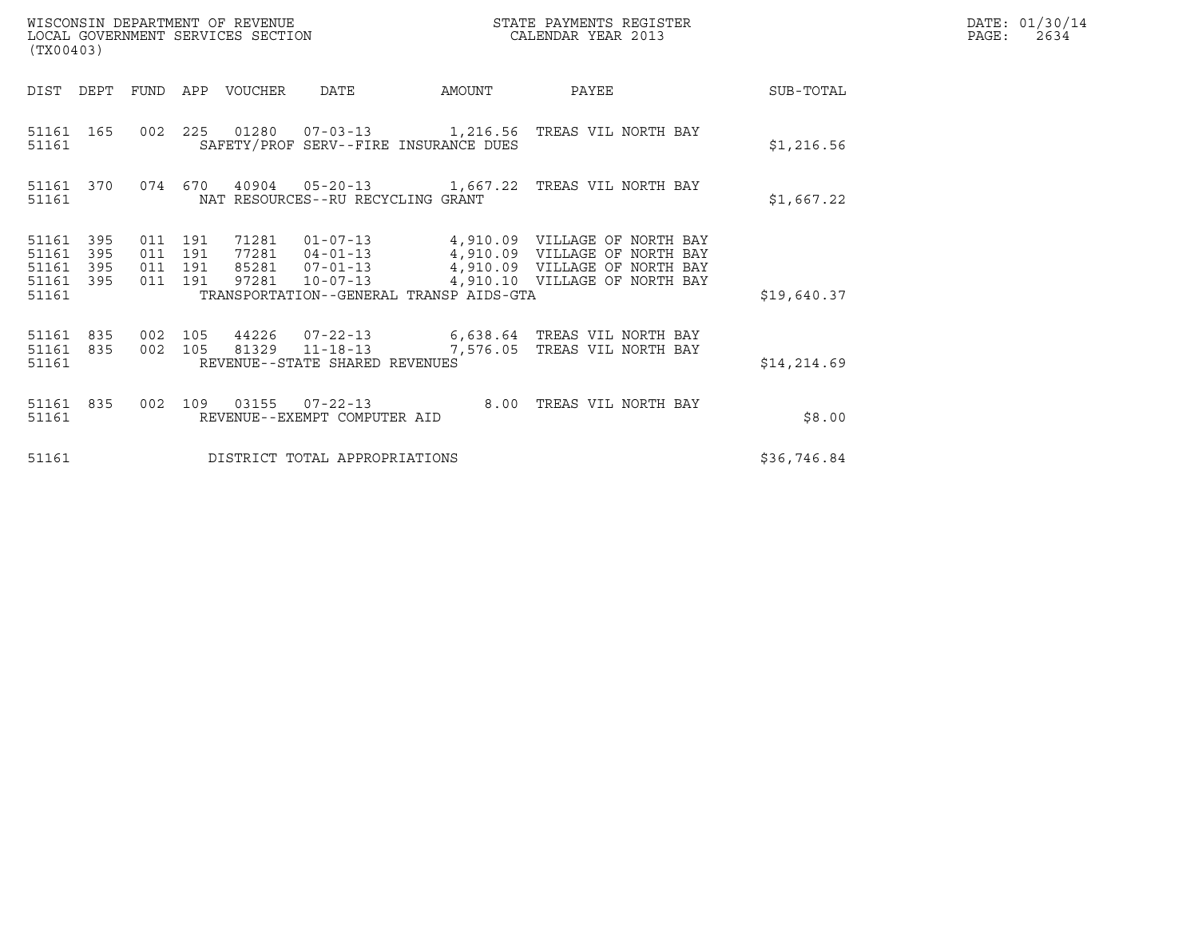| WISCONSIN DEPARTMENT OF REVENUE<br>LOCAL GOVERNMENT SERVICES SECTION<br>(TX00403) | STATE PAYMENTS REGISTER<br>CALENDAR YEAR 2013 | DATE: 01/30/14<br>PAGE:<br>2634 |
|-----------------------------------------------------------------------------------|-----------------------------------------------|---------------------------------|

| (TX00403)                                                             |                          |                          |                                                              |                                                           |        |                                                                                                                                  |              |
|-----------------------------------------------------------------------|--------------------------|--------------------------|--------------------------------------------------------------|-----------------------------------------------------------|--------|----------------------------------------------------------------------------------------------------------------------------------|--------------|
| DIST<br>DEPT                                                          | FUND                     | APP                      | VOUCHER                                                      | DATE                                                      | AMOUNT | PAYEE                                                                                                                            | SUB-TOTAL    |
| 51161<br>165<br>51161                                                 | 002                      | 225                      |                                                              | SAFETY/PROF SERV--FIRE INSURANCE DUES                     |        |                                                                                                                                  | \$1,216.56   |
| 370<br>51161<br>51161                                                 | 074                      | 670                      | 40904                                                        | 05-20-13 1,667.22<br>NAT RESOURCES--RU RECYCLING GRANT    |        | TREAS VIL NORTH BAY                                                                                                              | \$1,667.22   |
| 395<br>51161<br>51161<br>395<br>51161<br>395<br>51161<br>395<br>51161 | 011<br>011<br>011<br>011 | 191<br>191<br>191<br>191 | 71281<br>77281 04-01-13<br>85281  07-01-13<br>97281 10-07-13 | $01 - 07 - 13$<br>TRANSPORTATION--GENERAL TRANSP AIDS-GTA |        | 4,910.09 VILLAGE OF NORTH BAY<br>4,910.09 VILLAGE OF NORTH BAY<br>4,910.09 VILLAGE OF NORTH BAY<br>4,910.10 VILLAGE OF NORTH BAY | \$19,640.37  |
| 835<br>51161<br>51161<br>835<br>51161                                 | 002<br>002               | 105<br>105               | 81329 11-18-13                                               | REVENUE--STATE SHARED REVENUES                            |        | 44226  07-22-13    6,638.64 TREAS VIL NORTH BAY<br>7,576.05 TREAS VIL NORTH BAY                                                  | \$14, 214.69 |
| 835<br>51161<br>51161                                                 | 002                      | 109                      | 03155                                                        | $07 - 22 - 13$<br>REVENUE--EXEMPT COMPUTER AID            | 8.00   | TREAS VIL NORTH BAY                                                                                                              | \$8.00       |
| 51161                                                                 |                          |                          |                                                              | DISTRICT TOTAL APPROPRIATIONS                             |        |                                                                                                                                  | \$36,746.84  |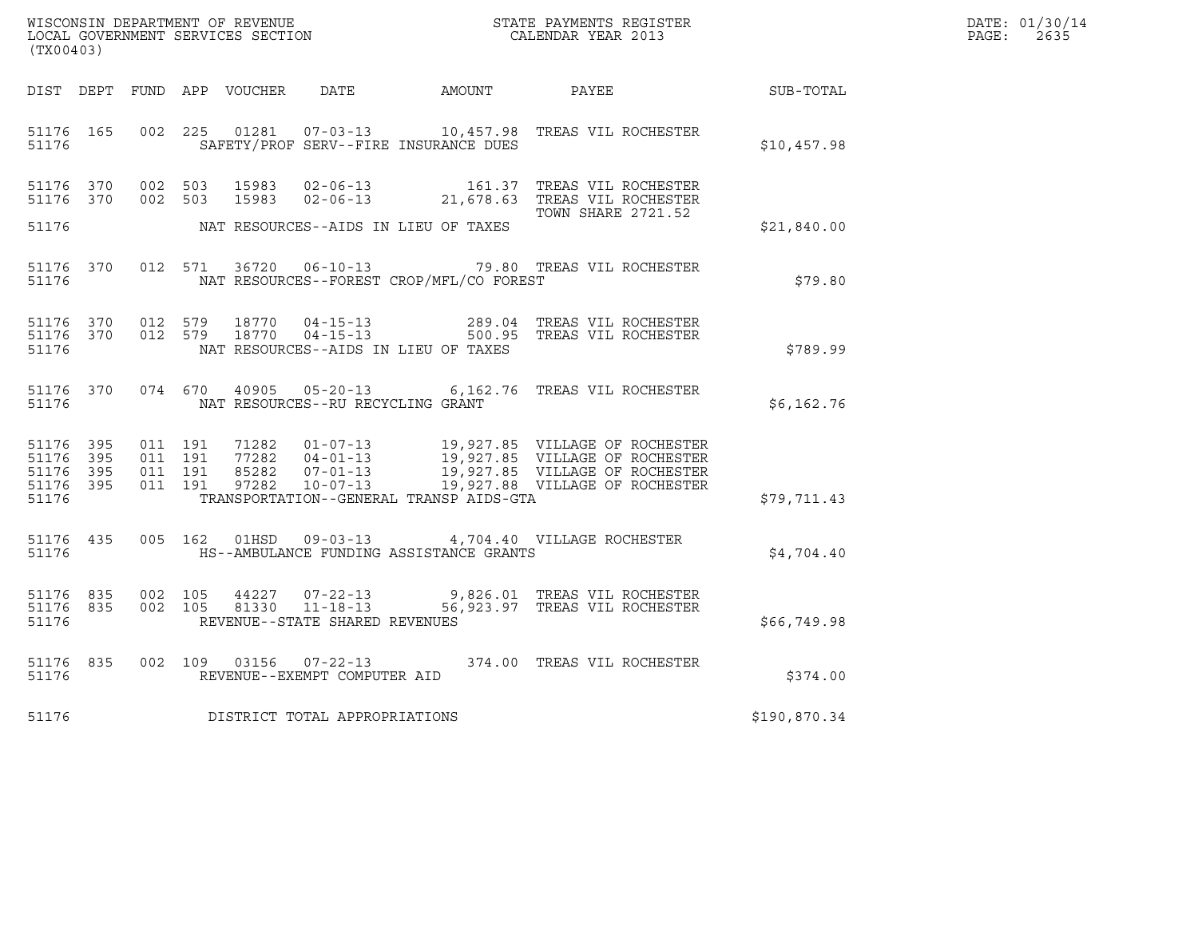| WISCONSIN DEPARTMENT OF REVENUE   | STATE PAYMENTS REGISTER | DATE: 01/30/14 |
|-----------------------------------|-------------------------|----------------|
| LOCAL GOVERNMENT SERVICES SECTION | CALENDAR YEAR 2013      | PAGE:<br>2635  |

| (TX00403)                                                             | WISCONSIN DEPARTMENT OF REVENUE<br>STATE PAYMENTS REGISTER<br>LOCAL GOVERNMENT SERVICES SECTION<br>CALENDAR YEAR 2013 |                                                                                               |        |                                                                                                                                                                 |              |  |  |  |
|-----------------------------------------------------------------------|-----------------------------------------------------------------------------------------------------------------------|-----------------------------------------------------------------------------------------------|--------|-----------------------------------------------------------------------------------------------------------------------------------------------------------------|--------------|--|--|--|
| DIST<br>DEPT                                                          | FUND<br>APP VOUCHER                                                                                                   | DATE                                                                                          | AMOUNT | PAYEE                                                                                                                                                           | SUB-TOTAL    |  |  |  |
| 51176 165<br>51176                                                    | 225<br>002                                                                                                            | 01281<br>$07 - 03 - 13$ 10,457.98<br>SAFETY/PROF SERV--FIRE INSURANCE DUES                    |        | TREAS VIL ROCHESTER                                                                                                                                             | \$10,457.98  |  |  |  |
| 51176 370<br>51176 370                                                | 002<br>503<br>002<br>503                                                                                              | 15983<br>$02 - 06 - 13$<br>15983                                                              | 161.37 | TREAS VIL ROCHESTER<br>02-06-13 21,678.63 TREAS VIL ROCHESTER                                                                                                   |              |  |  |  |
| 51176                                                                 |                                                                                                                       | NAT RESOURCES--AIDS IN LIEU OF TAXES                                                          |        | <b>TOWN SHARE 2721.52</b>                                                                                                                                       | \$21,840.00  |  |  |  |
| 370<br>51176<br>51176                                                 | 012<br>571                                                                                                            | 36720<br>NAT RESOURCES--FOREST CROP/MFL/CO FOREST                                             |        | 06-10-13 79.80 TREAS VIL ROCHESTER                                                                                                                              | \$79.80      |  |  |  |
| 51176 370<br>370<br>51176<br>51176                                    | 012<br>579<br>579<br>012                                                                                              | 18770<br>$04 - 15 - 13$<br>$04 - 15 - 13$<br>18770<br>NAT RESOURCES--AIDS IN LIEU OF TAXES    |        | 289.04 TREAS VIL ROCHESTER<br>500.95 TREAS VIL ROCHESTER                                                                                                        | \$789.99     |  |  |  |
| 51176 370<br>51176                                                    | 074<br>670                                                                                                            | $40905$ $05 - 20 - 13$<br>NAT RESOURCES--RU RECYCLING GRANT                                   |        | 6,162.76 TREAS VIL ROCHESTER                                                                                                                                    | \$6,162.76   |  |  |  |
| 395<br>51176<br>395<br>51176<br>51176<br>395<br>51176<br>395<br>51176 | 011<br>191<br>011<br>191<br>011<br>191<br>011<br>191                                                                  | 71282<br>77282<br>85282<br>97282<br>$10 - 07 - 13$<br>TRANSPORTATION--GENERAL TRANSP AIDS-GTA |        | 01-07-13 19,927.85 VILLAGE OF ROCHESTER<br>04-01-13 19,927.85 VILLAGE OF ROCHESTER<br>07-01-13 19,927.85 VILLAGE OF ROCHESTER<br>19,927.88 VILLAGE OF ROCHESTER | \$79,711.43  |  |  |  |
| 51176 435<br>51176                                                    | 005<br>162                                                                                                            | 01HSD<br>HS--AMBULANCE FUNDING ASSISTANCE GRANTS                                              |        | 09-03-13 4,704.40 VILLAGE ROCHESTER                                                                                                                             | \$4,704.40   |  |  |  |
| 51176<br>835<br>51176<br>835<br>51176                                 | 002<br>105<br>002<br>105                                                                                              | 44227<br>81330<br>REVENUE--STATE SHARED REVENUES                                              |        | 07-22-13 9,826.01 TREAS VIL ROCHESTER<br>11-18-13 56,923.97 TREAS VIL ROCHESTER                                                                                 | \$66,749.98  |  |  |  |
| 835<br>51176<br>51176                                                 | 002<br>109                                                                                                            | 03156<br>$07 - 22 - 13$<br>REVENUE--EXEMPT COMPUTER AID                                       |        | 374.00 TREAS VIL ROCHESTER                                                                                                                                      | \$374.00     |  |  |  |
| 51176                                                                 |                                                                                                                       | DISTRICT TOTAL APPROPRIATIONS                                                                 |        |                                                                                                                                                                 | \$190,870.34 |  |  |  |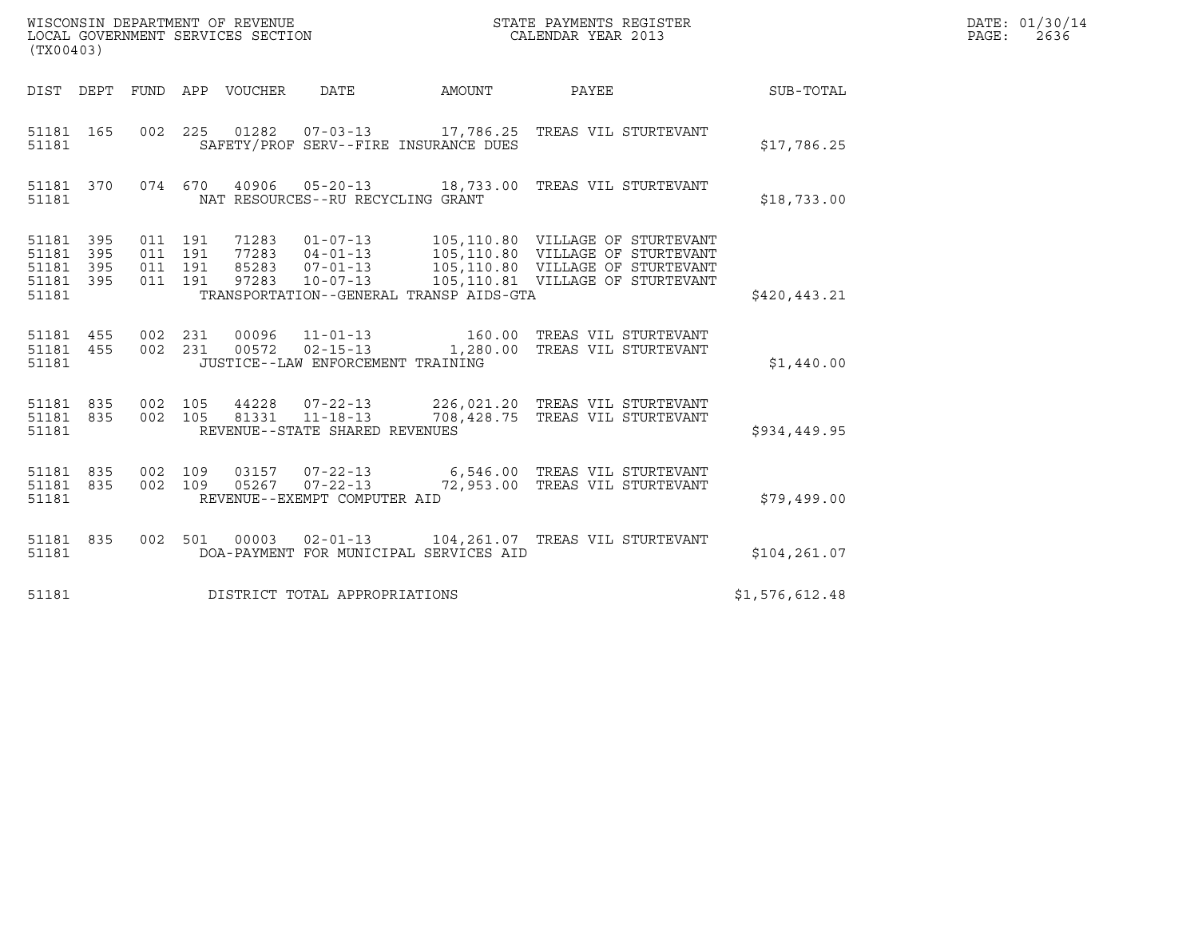| (TX00403)                                                 | WISCONSIN DEPARTMENT OF REVENUE<br>LOCAL GOVERNMENT SERVICES SECTION |                                                  |        | STATE PAYMENTS REGISTER<br>CALENDAR YEAR 2013                                                                                                                                                                       |                | DATE: 01/30/14<br>PAGE: 2636 |
|-----------------------------------------------------------|----------------------------------------------------------------------|--------------------------------------------------|--------|---------------------------------------------------------------------------------------------------------------------------------------------------------------------------------------------------------------------|----------------|------------------------------|
|                                                           | DIST DEPT FUND APP VOUCHER DATE                                      |                                                  | AMOUNT | PAYEE                                                                                                                                                                                                               | SUB-TOTAL      |                              |
| 51181 165<br>51181                                        |                                                                      | SAFETY/PROF SERV--FIRE INSURANCE DUES            |        | 002 225 01282 07-03-13 17,786.25 TREAS VIL STURTEVANT                                                                                                                                                               | \$17,786.25    |                              |
| 51181 370<br>51181                                        |                                                                      | NAT RESOURCES--RU RECYCLING GRANT                |        | 074 670 40906 05-20-13 18,733.00 TREAS VIL STURTEVANT                                                                                                                                                               | \$18,733.00    |                              |
| 51181 395<br>51181 395<br>51181 395<br>51181 395<br>51181 | 011 191<br>011 191<br>011 191<br>011 191                             | TRANSPORTATION--GENERAL TRANSP AIDS-GTA          |        | 1283  01-07-13  105,110.80  VILLAGE OF STURTEVANT<br>77283  04-01-13  105,110.80  VILLAGE OF STURTEVANT<br>85283  07-01-13  105,110.80  VILLAGE OF STURTEVANT<br>97283  10-07-13  105,110.81  VILLAGE OF STURTEVANT | \$420,443.21   |                              |
| 51181 455<br>51181 455<br>51181                           | 002 231<br>002 231                                                   | JUSTICE--LAW ENFORCEMENT TRAINING                |        | 00096  11-01-13  160.00 TREAS VIL STURTEVANT<br>00572  02-15-13  1,280.00 TREAS VIL STURTEVANT                                                                                                                      | \$1,440.00     |                              |
| 51181 835<br>51181 835<br>51181                           | 002 105<br>002 105                                                   | 81331 11-18-13<br>REVENUE--STATE SHARED REVENUES |        | 44228  07-22-13  226,021.20  TREAS VIL STURTEVANT<br>708,428.75 TREAS VIL STURTEVANT                                                                                                                                | \$934,449.95   |                              |
| 51181 835<br>51181 835<br>51181                           | 002 109                                                              | REVENUE--EXEMPT COMPUTER AID                     |        | 03157  07-22-13   6,546.00   TREAS VIL STURTEVANT<br>002 109 05267 07-22-13 72,953.00 TREAS VIL STURTEVANT                                                                                                          | \$79,499.00    |                              |
| 51181 835<br>51181                                        |                                                                      | DOA-PAYMENT FOR MUNICIPAL SERVICES AID           |        | 002 501 00003 02-01-13 104,261.07 TREAS VIL STURTEVANT                                                                                                                                                              | \$104, 261.07  |                              |
| 51181                                                     | DISTRICT TOTAL APPROPRIATIONS                                        |                                                  |        |                                                                                                                                                                                                                     | \$1,576,612.48 |                              |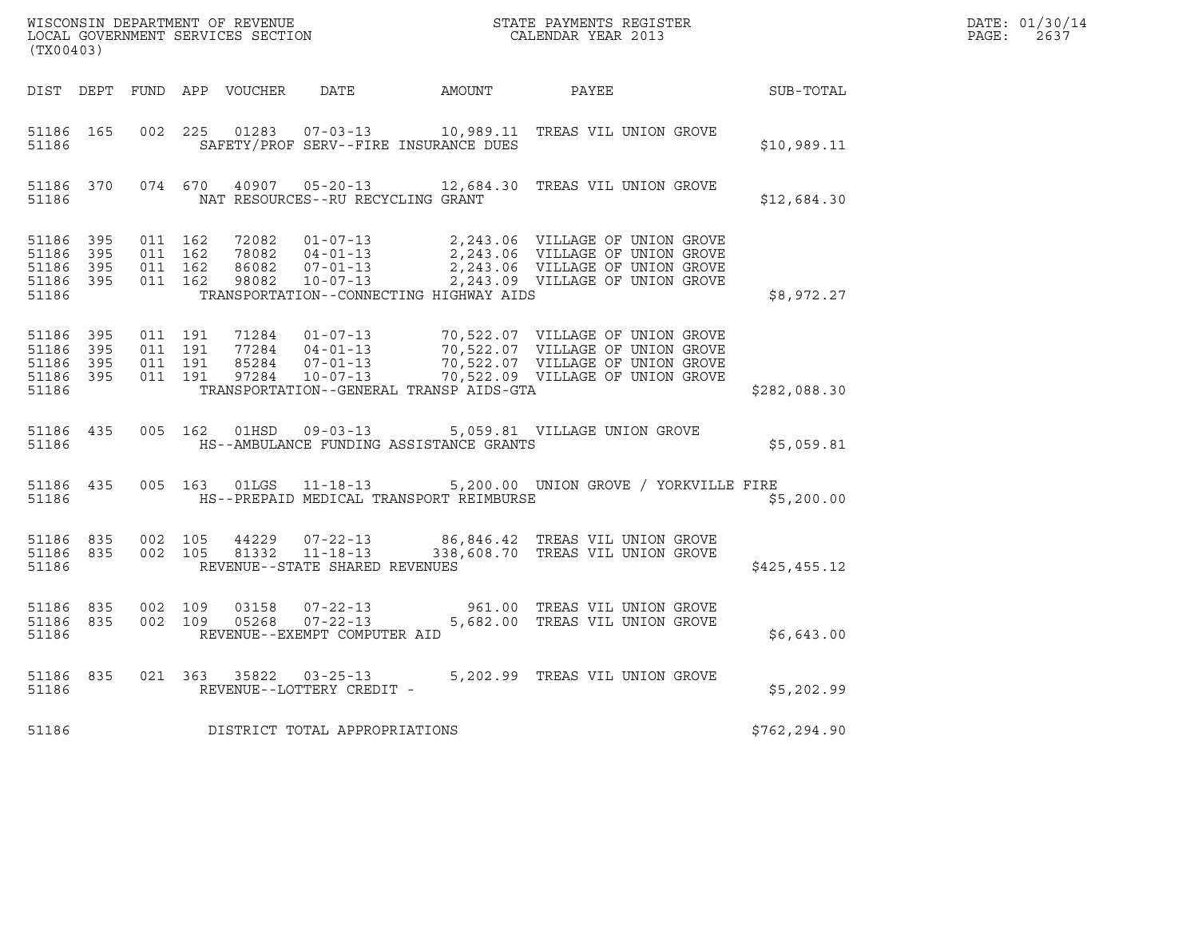| (TX00403)                                             |                               |                                          |                    |                |                                                  | $\tt WISCONSIM DEPARTMENT OF REVENUE$ $\tt WISCONMIN S REGISTER$ $\tt LOCAL BONERNMENT$ $SERVICES$ $SECTION$                                                                                                                                                                                                                         |              | DATE: 01/30/14<br>$\mathtt{PAGE:}$<br>2637 |
|-------------------------------------------------------|-------------------------------|------------------------------------------|--------------------|----------------|--------------------------------------------------|--------------------------------------------------------------------------------------------------------------------------------------------------------------------------------------------------------------------------------------------------------------------------------------------------------------------------------------|--------------|--------------------------------------------|
|                                                       |                               |                                          |                    |                |                                                  | DIST DEPT FUND APP VOUCHER DATE AMOUNT PAYEE                                                                                                                                                                                                                                                                                         | SUB-TOTAL    |                                            |
| 51186                                                 | 51186 165                     |                                          |                    |                | SAFETY/PROF SERV--FIRE INSURANCE DUES            | 002 225 01283 07-03-13 10,989.11 TREAS VIL UNION GROVE                                                                                                                                                                                                                                                                               | \$10,989.11  |                                            |
| 51186                                                 |                               |                                          |                    |                | NAT RESOURCES--RU RECYCLING GRANT                | 51186 370 074 670 40907 05-20-13 12,684.30 TREAS VIL UNION GROVE                                                                                                                                                                                                                                                                     | \$12,684.30  |                                            |
| 51186 395<br>51186 395<br>51186<br>51186 395<br>51186 | 395                           | 011 162<br>011 162<br>011 162<br>011 162 |                    |                | TRANSPORTATION--CONNECTING HIGHWAY AIDS          |                                                                                                                                                                                                                                                                                                                                      | \$8,972.27   |                                            |
| 51186 395<br>51186<br>51186                           | 395<br>51186 395<br>51186 395 | 011 191<br>011 191                       | 011 191<br>011 191 |                | TRANSPORTATION--GENERAL TRANSP AIDS-GTA          | $\begin{tabular}{lllllllllllllllllllll} \hline 71284 & 01-07-13 & 70,522.07 & \text{VILLAGE OF UNION GROVE} \\ 77284 & 04-01-13 & 70,522.07 & \text{VILLAGE OF UNION GROVE} \\ 85284 & 07-01-13 & 70,522.07 & \text{VILLAGE OF UNION GROVE} \\ 97284 & 10-07-13 & 70,522.09 & \text{VILLAGE OF UNION GROVE} \\ \hline \end{tabular}$ | \$282,088.30 |                                            |
| 51186                                                 | 51186 435                     |                                          |                    |                | HS--AMBULANCE FUNDING ASSISTANCE GRANTS          | 005  162  01HSD  09-03-13  5,059.81  VILLAGE UNION GROVE                                                                                                                                                                                                                                                                             | \$5,059.81   |                                            |
| 51186 435<br>51186                                    |                               |                                          |                    |                | HS--PREPAID MEDICAL TRANSPORT REIMBURSE          | 005 163 01LGS 11-18-13 5,200.00 UNION GROVE / YORKVILLE FIRE                                                                                                                                                                                                                                                                         | \$5,200.00   |                                            |
| 51186 835<br>51186                                    | 51186 835                     | 002 105                                  | 002 105            | 44229          | 81332 11-18-13<br>REVENUE--STATE SHARED REVENUES | 07-22-13 86,846.42 TREAS VIL UNION GROVE<br>338,608.70 TREAS VIL UNION GROVE                                                                                                                                                                                                                                                         | \$425,455.12 |                                            |
| 51186 835<br>51186                                    | 51186 835                     | 002 109<br>002 109                       |                    | 03158<br>05268 | REVENUE--EXEMPT COMPUTER AID                     | 07-22-13 961.00 TREAS VIL UNION GROVE<br>07-22-13 5,682.00 TREAS VIL UNION GROVE                                                                                                                                                                                                                                                     | \$6,643.00   |                                            |
| 51186                                                 | 51186 835                     |                                          |                    |                | REVENUE--LOTTERY CREDIT -                        | 021  363  35822  03-25-13  5,202.99  TREAS VIL UNION GROVE                                                                                                                                                                                                                                                                           | \$5,202.99   |                                            |
| 51186                                                 |                               |                                          |                    |                | DISTRICT TOTAL APPROPRIATIONS                    |                                                                                                                                                                                                                                                                                                                                      | \$762,294.90 |                                            |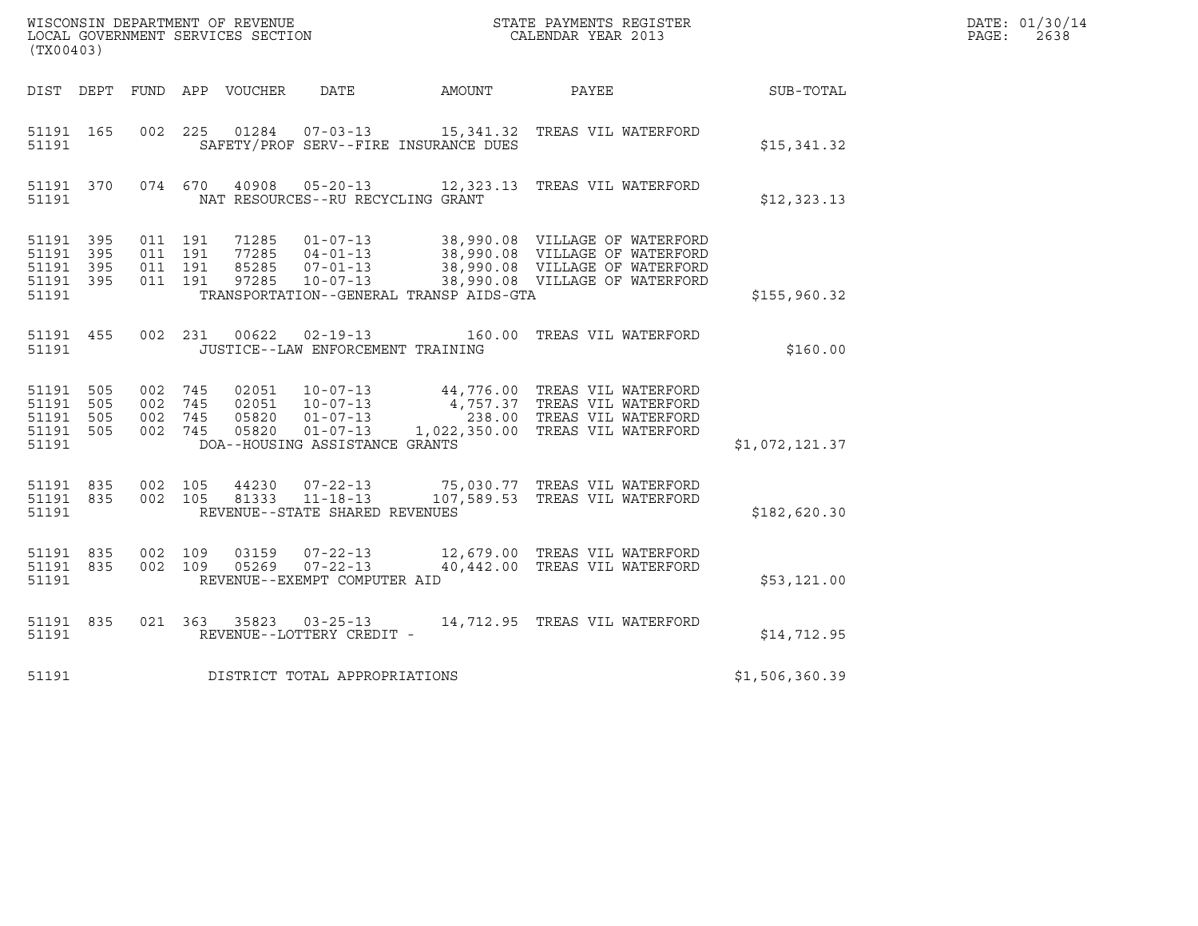| WISCONSIN DEPARTMENT OF REVENUE<br>LOCAL GOVERNMENT SERVICES SECTION<br>$\sqrt{m}$ | STATE PAYMENTS REGISTER<br>CALENDAR YEAR 2013 | DATE: 01/30/14<br>PAGE:<br>2638 |
|------------------------------------------------------------------------------------|-----------------------------------------------|---------------------------------|

| (TX00403)                                                 |         |                                          |                  |                                                  |                                         | WISCONSIN DEPARTMENT OF REVENUE<br>LOCAL GOVERNMENT SERVICES SECTION<br>(TYA04403)                                                                                                                                                                                                                                                |                | DATE: 01/30/14<br>$\mathtt{PAGE}$ :<br>2638 |
|-----------------------------------------------------------|---------|------------------------------------------|------------------|--------------------------------------------------|-----------------------------------------|-----------------------------------------------------------------------------------------------------------------------------------------------------------------------------------------------------------------------------------------------------------------------------------------------------------------------------------|----------------|---------------------------------------------|
| DIST DEPT                                                 |         |                                          | FUND APP VOUCHER |                                                  |                                         | DATE AMOUNT PAYEE                                                                                                                                                                                                                                                                                                                 | SUB-TOTAL      |                                             |
| 51191 165<br>51191                                        |         |                                          |                  |                                                  | SAFETY/PROF SERV--FIRE INSURANCE DUES   | 002 225 01284 07-03-13 15,341.32 TREAS VIL WATERFORD                                                                                                                                                                                                                                                                              | \$15,341.32    |                                             |
| 51191 370<br>51191                                        |         |                                          |                  | NAT RESOURCES--RU RECYCLING GRANT                |                                         | 074 670 40908 05-20-13 12,323.13 TREAS VIL WATERFORD                                                                                                                                                                                                                                                                              | \$12,323.13    |                                             |
| 51191 395<br>51191 395<br>51191 395<br>51191 395<br>51191 |         | 011 191<br>011 191<br>011 191<br>011 191 |                  |                                                  | TRANSPORTATION--GENERAL TRANSP AIDS-GTA | 71285  01-07-13  38,990.08  VILLAGE OF WATERFORD<br>77285  04-01-13  38,990.08  VILLAGE OF WATERFORD<br>85285  07-01-13  38,990.08  VILLAGE OF WATERFORD<br>97285  10-07-13  38,990.08  VILLAGE OF WATERFORD                                                                                                                      | \$155,960.32   |                                             |
| 51191 455<br>51191                                        |         |                                          |                  | JUSTICE--LAW ENFORCEMENT TRAINING                |                                         | 002 231 00622 02-19-13 160.00 TREAS VIL WATERFORD                                                                                                                                                                                                                                                                                 | \$160.00       |                                             |
| 51191 505<br>51191 505<br>51191 505<br>51191 505<br>51191 | 002 745 |                                          |                  | DOA--HOUSING ASSISTANCE GRANTS                   |                                         | $\begin{array}{cccc} 002 & 745 & 02051 & 10-07-13 & 44,776.00 & \text{TREAS VIL WATERFCRD} \\ 002 & 745 & 02051 & 10-07-13 & 4,757.37 & \text{TREAS VIL WATERFCRD} \\ 002 & 745 & 05820 & 01-07-13 & 238.00 & \text{TREAS VIL WATERFCRD} \\ 002 & 745 & 05820 & 01-07-13 & 1,022,350.00 & \text{TREAS VIL WATERFCRD} \end{array}$ | \$1,072,121.37 |                                             |
| 51191 835<br>51191 835<br>51191                           | 002 105 | 002 105                                  | 81333            | $11 - 18 - 13$<br>REVENUE--STATE SHARED REVENUES |                                         | 44230  07-22-13  75,030.77  TREAS VIL WATERFORD<br>107,589.53 TREAS VIL WATERFORD                                                                                                                                                                                                                                                 | \$182,620.30   |                                             |
| 51191 835<br>51191 835<br>51191                           |         | 002 109<br>002 109                       | 05269            | $07 - 22 - 13$<br>REVENUE--EXEMPT COMPUTER AID   |                                         | 03159  07-22-13  12,679.00 TREAS VIL WATERFORD<br>40,442.00 TREAS VIL WATERFORD                                                                                                                                                                                                                                                   | \$53,121.00    |                                             |
| 51191 835<br>51191                                        |         |                                          |                  |                                                  |                                         |                                                                                                                                                                                                                                                                                                                                   | \$14,712.95    |                                             |
|                                                           |         |                                          |                  | 51191 DISTRICT TOTAL APPROPRIATIONS              |                                         |                                                                                                                                                                                                                                                                                                                                   | \$1,506,360.39 |                                             |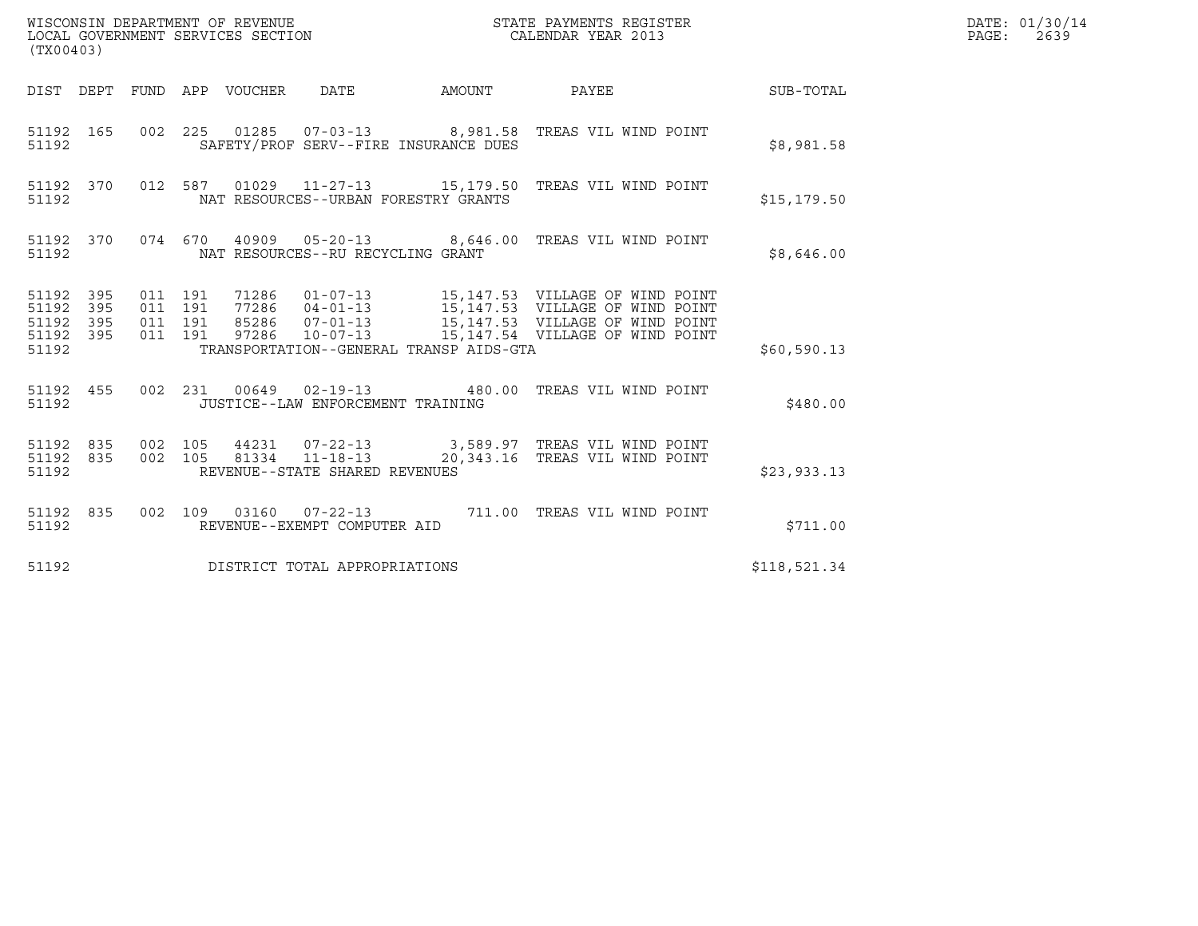| (TX00403)                                             |           |                               |         |                                                  |                                                                                                        |              | DATE: 01/30/14<br>$\mathtt{PAGE}$ :<br>2639 |
|-------------------------------------------------------|-----------|-------------------------------|---------|--------------------------------------------------|--------------------------------------------------------------------------------------------------------|--------------|---------------------------------------------|
|                                                       |           |                               |         |                                                  | DIST DEPT FUND APP VOUCHER DATE AMOUNT PAYEE                                                           | SUB-TOTAL    |                                             |
| 51192                                                 | 51192 165 |                               |         | SAFETY/PROF SERV--FIRE INSURANCE DUES            | 002  225  01285  07-03-13  8,981.58  TREAS VIL WIND POINT                                              | \$8,981.58   |                                             |
| 51192                                                 | 51192 370 |                               |         | NAT RESOURCES--URBAN FORESTRY GRANTS             | 012 587  01029  11-27-13   15,179.50  TREAS VIL WIND POINT                                             | \$15, 179.50 |                                             |
| 51192                                                 | 51192 370 |                               |         | NAT RESOURCES--RU RECYCLING GRANT                | 074 670 40909 05-20-13 8,646.00 TREAS VIL WIND POINT                                                   | \$8,646.00   |                                             |
| 51192 395<br>51192 395<br>51192<br>51192 395<br>51192 | 395       | 011 191<br>011 191<br>011 191 | 011 191 | TRANSPORTATION--GENERAL TRANSP AIDS-GTA          | 85286  07-01-13  15,147.53  VILLAGE OF WIND POINT<br>97286  10-07-13  15,147.53  VILLAGE OF WIND POINT | \$60,590.13  |                                             |
| 51192                                                 | 51192 455 |                               |         | JUSTICE--LAW ENFORCEMENT TRAINING                | 002  231  00649  02-19-13  480.00  TREAS VIL WIND POINT                                                | \$480.00     |                                             |
| 51192 835<br>51192 835<br>51192                       |           | 002 105<br>002 105            |         | 81334 11-18-13<br>REVENUE--STATE SHARED REVENUES | 44231  07-22-13  3,589.97  TREAS VIL WIND POINT<br>20,343.16 TREAS VIL WIND POINT                      | \$23,933.13  |                                             |
| 51192                                                 | 51192 835 |                               |         | REVENUE--EXEMPT COMPUTER AID                     |                                                                                                        | \$711.00     |                                             |
| 51192                                                 |           |                               |         | DISTRICT TOTAL APPROPRIATIONS                    |                                                                                                        | \$118,521.34 |                                             |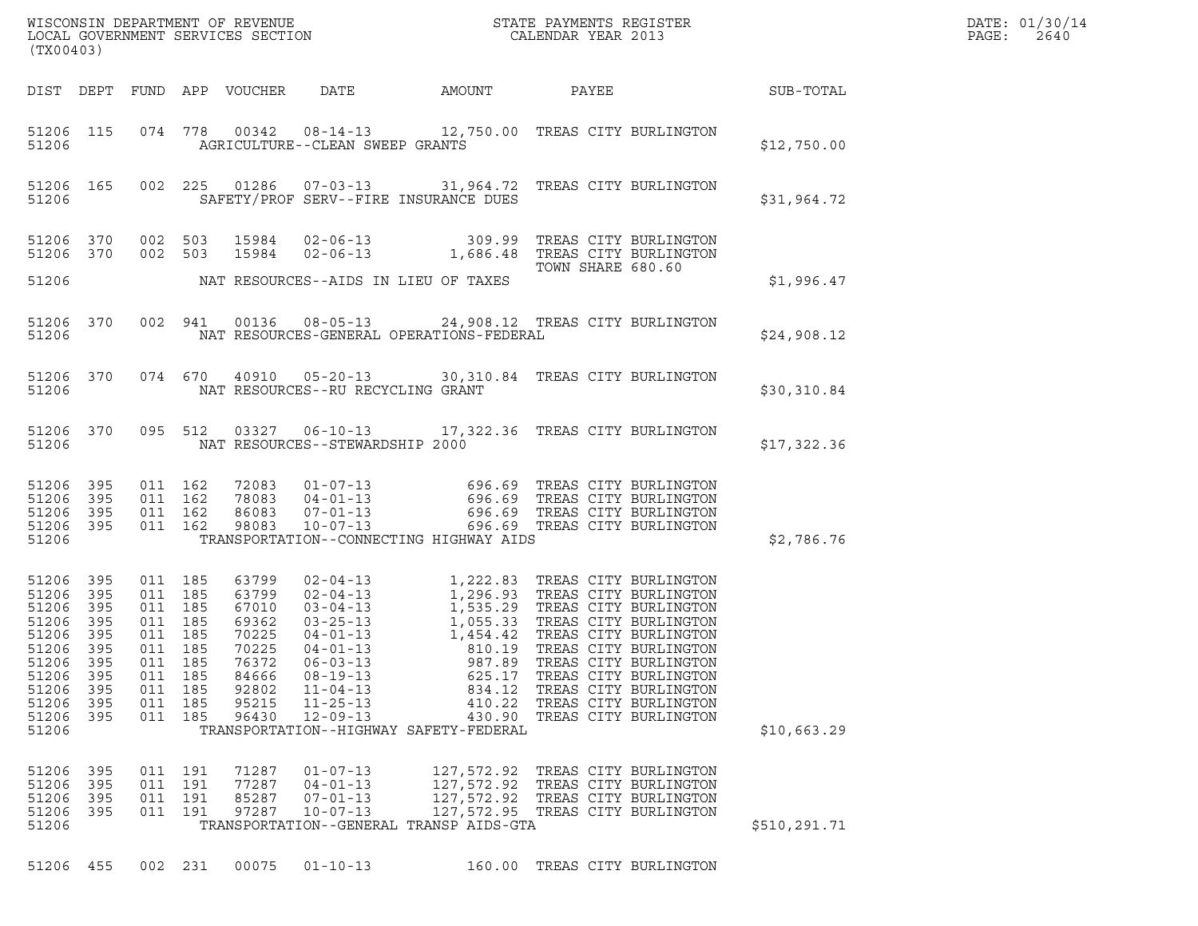| (TX00403)                                                                                       |                                                                                   |                                                                                                        |                |                                                                                                 |                                                                                                                                                                                                    |                                                                                                                                                                                                                                    |                                                                                                                                                             |                       |                  | DATE: 01/30/14<br>PAGE:<br>2640 |
|-------------------------------------------------------------------------------------------------|-----------------------------------------------------------------------------------|--------------------------------------------------------------------------------------------------------|----------------|-------------------------------------------------------------------------------------------------|----------------------------------------------------------------------------------------------------------------------------------------------------------------------------------------------------|------------------------------------------------------------------------------------------------------------------------------------------------------------------------------------------------------------------------------------|-------------------------------------------------------------------------------------------------------------------------------------------------------------|-----------------------|------------------|---------------------------------|
| DIST DEPT                                                                                       |                                                                                   |                                                                                                        |                | FUND APP VOUCHER                                                                                | DATE                                                                                                                                                                                               | AMOUNT                                                                                                                                                                                                                             | PAYEE                                                                                                                                                       |                       | <b>SUB-TOTAL</b> |                                 |
| 51206 115<br>51206                                                                              |                                                                                   |                                                                                                        |                |                                                                                                 | AGRICULTURE--CLEAN SWEEP GRANTS                                                                                                                                                                    | 074 778 00342 08-14-13 12,750.00 TREAS CITY BURLINGTON                                                                                                                                                                             |                                                                                                                                                             |                       | \$12,750.00      |                                 |
| 51206 165<br>51206                                                                              |                                                                                   |                                                                                                        | 002 225        |                                                                                                 |                                                                                                                                                                                                    | 01286  07-03-13  31,964.72  TREAS CITY BURLINGTON<br>SAFETY/PROF SERV--FIRE INSURANCE DUES                                                                                                                                         |                                                                                                                                                             |                       | \$31,964.72      |                                 |
| 51206 370<br>51206 370<br>51206                                                                 |                                                                                   | 002 503<br>002 503                                                                                     |                | 15984<br>15984                                                                                  |                                                                                                                                                                                                    | 02-06-13 309.99 TREAS CITY BURLINGTON<br>02-06-13 1,686.48 TREAS CITY BURLINGTON<br>NAT RESOURCES--AIDS IN LIEU OF TAXES                                                                                                           | TOWN SHARE 680.60                                                                                                                                           |                       | \$1,996.47       |                                 |
|                                                                                                 |                                                                                   |                                                                                                        |                |                                                                                                 |                                                                                                                                                                                                    |                                                                                                                                                                                                                                    |                                                                                                                                                             |                       |                  |                                 |
| 51206                                                                                           | 51206 370                                                                         |                                                                                                        | 002 941        | 00136                                                                                           |                                                                                                                                                                                                    | 08-05-13 24,908.12 TREAS CITY BURLINGTON<br>NAT RESOURCES-GENERAL OPERATIONS-FEDERAL                                                                                                                                               |                                                                                                                                                             |                       | \$24,908.12      |                                 |
| 51206                                                                                           | 51206 370                                                                         |                                                                                                        |                |                                                                                                 | NAT RESOURCES--RU RECYCLING GRANT                                                                                                                                                                  | 074 670 40910 05-20-13 30,310.84 TREAS CITY BURLINGTON                                                                                                                                                                             |                                                                                                                                                             |                       | \$30,310.84      |                                 |
| 51206                                                                                           | 51206 370                                                                         |                                                                                                        |                | 095 512 03327                                                                                   | NAT RESOURCES--STEWARDSHIP 2000                                                                                                                                                                    | 06-10-13 17,322.36 TREAS CITY BURLINGTON                                                                                                                                                                                           |                                                                                                                                                             |                       | \$17,322.36      |                                 |
| 51206 395<br>51206<br>51206 395<br>51206 395                                                    | 395                                                                               | 011 162<br>011 162<br>011 162<br>011 162                                                               |                | 72083<br>78083<br>86083<br>98083                                                                |                                                                                                                                                                                                    | 01-07-13 696.69 TREAS CITY BURLINGTON<br>04-01-13 696.69 TREAS CITY BURLINGTON<br>07-01-13 696.69 TREAS CITY BURLINGTON<br>10-07-13 696.69 TREAS CITY BURLINGTON                                                                   |                                                                                                                                                             |                       |                  |                                 |
| 51206                                                                                           |                                                                                   |                                                                                                        |                |                                                                                                 |                                                                                                                                                                                                    | TRANSPORTATION--CONNECTING HIGHWAY AIDS                                                                                                                                                                                            |                                                                                                                                                             |                       | \$2,786.76       |                                 |
| 51206<br>51206<br>51206<br>51206<br>51206<br>51206<br>51206<br>51206<br>51206<br>51206<br>51206 | 395<br>- 395<br>395<br>- 395<br>395<br>395<br>395<br>395<br>395<br>- 395<br>- 395 | 011 185<br>011 185<br>011 185<br>011 185<br>011 185<br>011 185<br>011<br>011 185<br>011 185<br>011 185 | 185<br>011 185 | 63799<br>63799<br>67010<br>69362<br>70225<br>70225<br>76372<br>84666<br>92802<br>95215<br>96430 | $02 - 04 - 13$<br>$02 - 04 - 13$<br>$03 - 04 - 13$<br>$03 - 25 - 13$<br>$04 - 01 - 13$<br>$04 - 01 - 13$<br>$06 - 03 - 13$<br>$08 - 19 - 13$<br>$11 - 04 - 13$<br>$11 - 25 - 13$<br>$12 - 09 - 13$ | 1,222.83 TREAS CITY BURLINGTON<br>1,296.93 TREAS CITY BURLINGTON<br>1,535.29 TREAS CITY BURLINGTON<br>1,055.33 TREAS CITY BURLINGTON<br>1,454.42 TREAS CITY BURLINGTON<br>810.19<br>987.89<br>625.17<br>834.12<br>410.22<br>430.90 | 1,222.83 TREAS CITY BURLINGTON<br>TREAS CITY BURLINGTON<br>TREAS CITY BURLINGTON<br>TREAS CITY BURLINGTON<br>TREAS CITY BURLINGTON<br>TREAS CITY BURLINGTON | TREAS CITY BURLINGTON |                  |                                 |
| 51206                                                                                           |                                                                                   |                                                                                                        |                |                                                                                                 |                                                                                                                                                                                                    | TRANSPORTATION--HIGHWAY SAFETY-FEDERAL                                                                                                                                                                                             |                                                                                                                                                             |                       | \$10,663.29      |                                 |
| 51206<br>51206<br>51206<br>51206<br>51206                                                       | 395<br>395<br>395<br>- 395                                                        | 011 191<br>011 191<br>011 191                                                                          | 011 191        | 71287<br>77287<br>85287<br>97287                                                                | $01 - 07 - 13$<br>$04 - 01 - 13$<br>$07 - 01 - 13$<br>$10 - 07 - 13$                                                                                                                               | 127,572.92<br>127,572.92<br>127,572.92<br>127,572.95 TREAS CITY BURLINGTON<br>TRANSPORTATION--GENERAL TRANSP AIDS-GTA                                                                                                              | TREAS CITY BURLINGTON<br>TREAS CITY BURLINGTON                                                                                                              | TREAS CITY BURLINGTON | \$510,291.71     |                                 |
| 51206 455                                                                                       |                                                                                   | 002 231                                                                                                |                | 00075                                                                                           | $01 - 10 - 13$                                                                                                                                                                                     |                                                                                                                                                                                                                                    | 160.00 TREAS CITY BURLINGTON                                                                                                                                |                       |                  |                                 |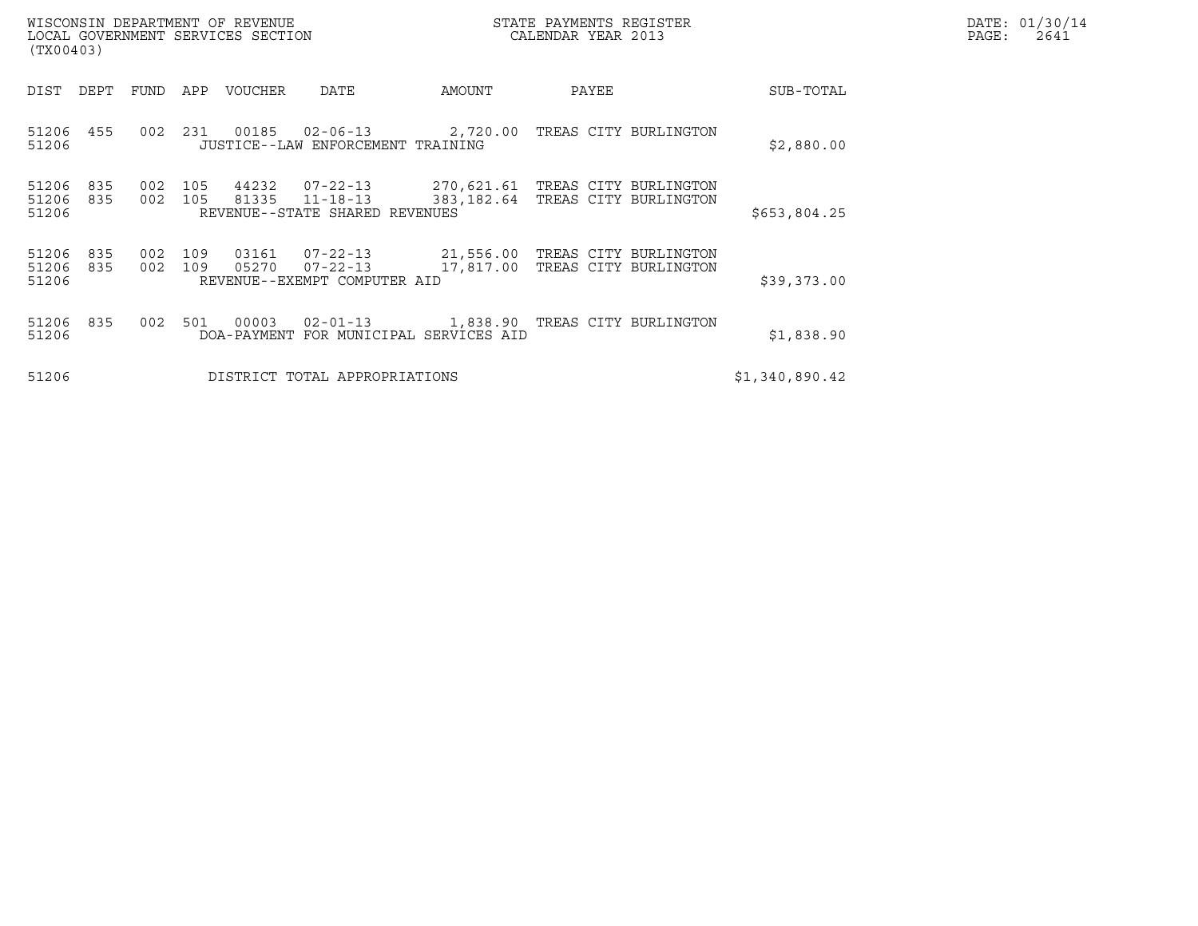| (TX00403)               |            |            |            | WISCONSIN DEPARTMENT OF REVENUE<br>LOCAL GOVERNMENT SERVICES SECTION |                                                                                   |                                                | STATE PAYMENTS REGISTER<br>CALENDAR YEAR 2013 |                       |                | DATE: 01/30/14<br>PAGE:<br>2641 |
|-------------------------|------------|------------|------------|----------------------------------------------------------------------|-----------------------------------------------------------------------------------|------------------------------------------------|-----------------------------------------------|-----------------------|----------------|---------------------------------|
| DIST                    | DEPT       | FUND       | APP        | VOUCHER                                                              | DATE                                                                              | AMOUNT                                         | PAYEE                                         |                       | SUB-TOTAL      |                                 |
| 51206 455<br>51206      |            | 002        | 231        | 00185                                                                | $02 - 06 - 13$<br>JUSTICE--LAW ENFORCEMENT TRAINING                               | 2,720.00 TREAS CITY BURLINGTON                 |                                               |                       | \$2,880.00     |                                 |
| 51206<br>51206<br>51206 | 835<br>835 | 002<br>002 | 105<br>105 | 44232<br>81335                                                       | $07 - 22 - 13$<br>$11 - 18 - 13$<br>REVENUE--STATE SHARED REVENUES                | 270,621.61 TREAS CITY BURLINGTON<br>383,182.64 |                                               | TREAS CITY BURLINGTON | \$653,804.25   |                                 |
| 51206<br>51206<br>51206 | 835<br>835 | 002<br>002 | 109<br>109 | 05270                                                                | 03161 07-22-13<br>$07 - 22 - 13$<br>REVENUE--EXEMPT COMPUTER AID                  | 21,556.00 TREAS CITY BURLINGTON<br>17,817.00   |                                               | TREAS CITY BURLINGTON | \$39,373.00    |                                 |
| 51206<br>51206          | 835        | 002        | 501        | 00003                                                                | 02-01-13 1,838.90 TREAS CITY BURLINGTON<br>DOA-PAYMENT FOR MUNICIPAL SERVICES AID |                                                |                                               |                       | \$1,838.90     |                                 |
| 51206                   |            |            |            |                                                                      | DISTRICT TOTAL APPROPRIATIONS                                                     |                                                |                                               |                       | \$1,340,890.42 |                                 |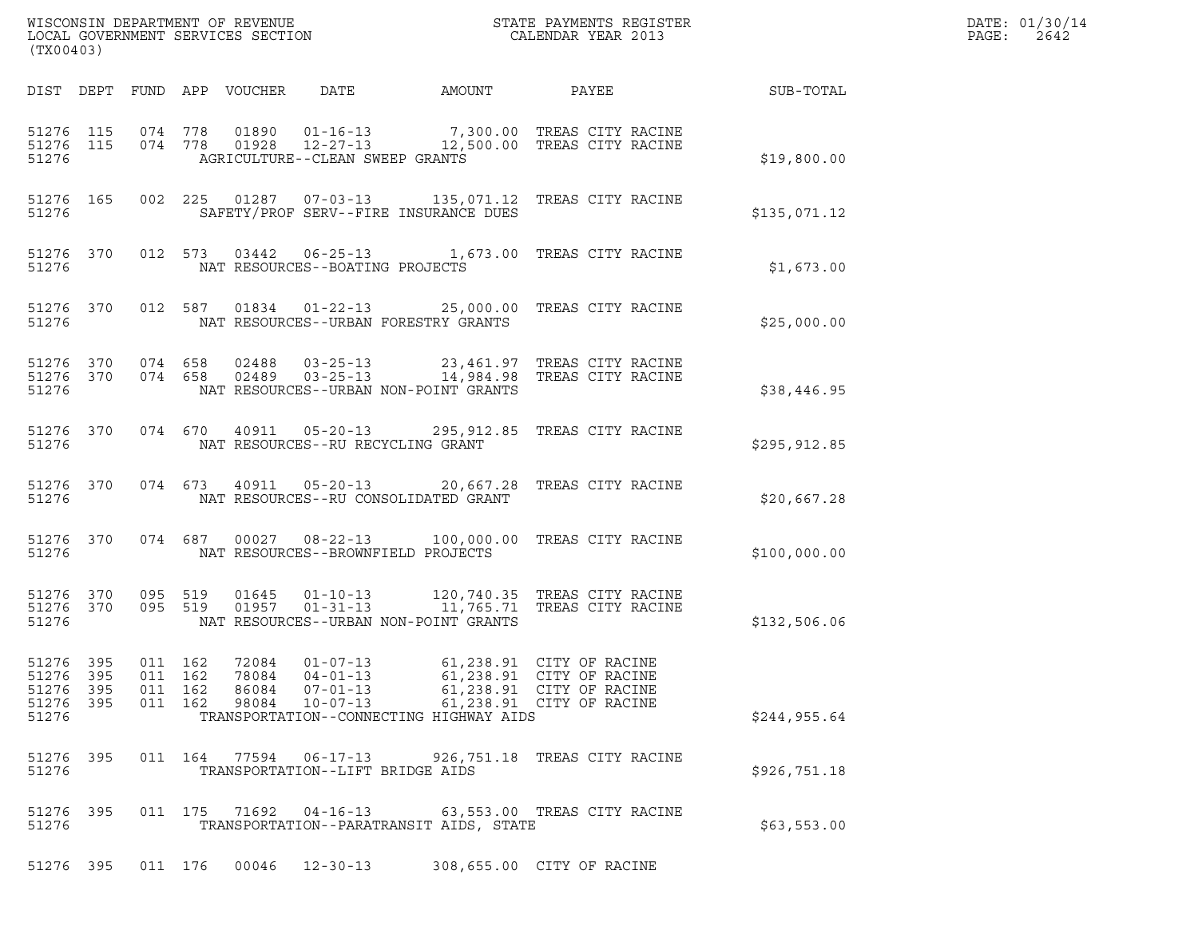| (TX00403)                       |       |                   |                    |       |                                       |                                                                                                                                                                                                                                                        |                                                      |               | DATE: 01/30/14<br>PAGE: 2642 |
|---------------------------------|-------|-------------------|--------------------|-------|---------------------------------------|--------------------------------------------------------------------------------------------------------------------------------------------------------------------------------------------------------------------------------------------------------|------------------------------------------------------|---------------|------------------------------|
|                                 |       |                   |                    |       |                                       | DIST DEPT FUND APP VOUCHER DATE AMOUNT PAYEE THE SUB-TOTAL                                                                                                                                                                                             |                                                      |               |                              |
| 51276                           |       |                   |                    |       | AGRICULTURE--CLEAN SWEEP GRANTS       | $1276 \quad 115 \qquad 074 \qquad 778 \qquad 01890 \qquad 01-16-13 \qquad \qquad 7,300.00 \qquad \text{TERS CITY RACINE} \\ 51276 \quad 115 \qquad 074 \qquad 778 \qquad 01928 \qquad 12-27-13 \qquad \qquad 12,500.00 \qquad \text{TERS CITY RACINE}$ |                                                      | \$19,800.00   |                              |
|                                 | 51276 |                   |                    |       |                                       | 51276 165 002 225 01287 07-03-13 135,071.12 TREAS CITY RACINE<br>SAFETY/PROF SERV--FIRE INSURANCE DUES                                                                                                                                                 |                                                      | \$135,071.12  |                              |
|                                 |       |                   |                    |       | 51276 MAT RESOURCES--BOATING PROJECTS | 51276 370 012 573 03442 06-25-13 1,673.00 TREAS CITY RACINE                                                                                                                                                                                            |                                                      | \$1,673.00    |                              |
|                                 |       |                   |                    |       |                                       | 51276 370 012 587 01834 01-22-13 25,000.00 TREAS CITY RACINE                                                                                                                                                                                           |                                                      | \$25,000.00   |                              |
|                                 |       |                   |                    |       |                                       | 51276 370 074 658 02488 03-25-13 23,461.97 TREAS CITY RACINE<br>51276 370 074 658 02489 03-25-13 14,984.98 TREAS CITY RACINE                                                                                                                           |                                                      | \$38,446.95   |                              |
|                                 |       |                   |                    |       |                                       | 51276 370 074 670 40911 05-20-13 295,912.85 TREAS CITY RACINE                                                                                                                                                                                          |                                                      | \$295,912.85  |                              |
|                                 |       |                   |                    |       |                                       | 51276 370 074 673 40911 05-20-13 20,667.28 TREAS CITY RACINE                                                                                                                                                                                           |                                                      | \$20,667.28   |                              |
|                                 |       |                   |                    |       |                                       | 51276 370 074 687 00027 08-22-13 100,000.00 TREAS CITY RACINE                                                                                                                                                                                          |                                                      | \$100,000.00  |                              |
| 51276                           |       |                   |                    |       |                                       | $1276 370 095 519 01645 01-10-13 120,740.35 TREAS CITY RACINE51276 370 095 519 01957 01-31-13 11,765.71 TREAS CITY RACINE$<br>NAT RESOURCES--URBAN NON-POINT GRANTS                                                                                    |                                                      | \$132,506.06  |                              |
| 51276 395<br>51276 395<br>51276 |       | 51276 395 011 162 | 011 162<br>011 162 | 78084 | $04 - 01 - 13$<br>98084 10-07-13      | 72084  01-07-13  61,238.91  CITY OF RACINE<br>51276 395 011 162 86084 07-01-13 61,238.91 CITY OF RACINE<br>TRANSPORTATION--CONNECTING HIGHWAY AIDS                                                                                                     | 61,238.91 CITY OF RACINE<br>61,238.91 CITY OF RACINE | \$244, 955.64 |                              |
| 51276 395<br>51276              |       |                   |                    |       | TRANSPORTATION--LIFT BRIDGE AIDS      | 011  164  77594  06-17-13  926,751.18  TREAS CITY RACINE                                                                                                                                                                                               |                                                      | \$926,751.18  |                              |
| 51276 395<br>51276              |       |                   |                    |       | 011 175 71692 04-16-13                | TRANSPORTATION--PARATRANSIT AIDS, STATE                                                                                                                                                                                                                | 63,553.00 TREAS CITY RACINE                          | \$63,553.00   |                              |
| 51276 395                       |       |                   | 011 176            |       | 00046 12-30-13                        |                                                                                                                                                                                                                                                        | 308,655.00 CITY OF RACINE                            |               |                              |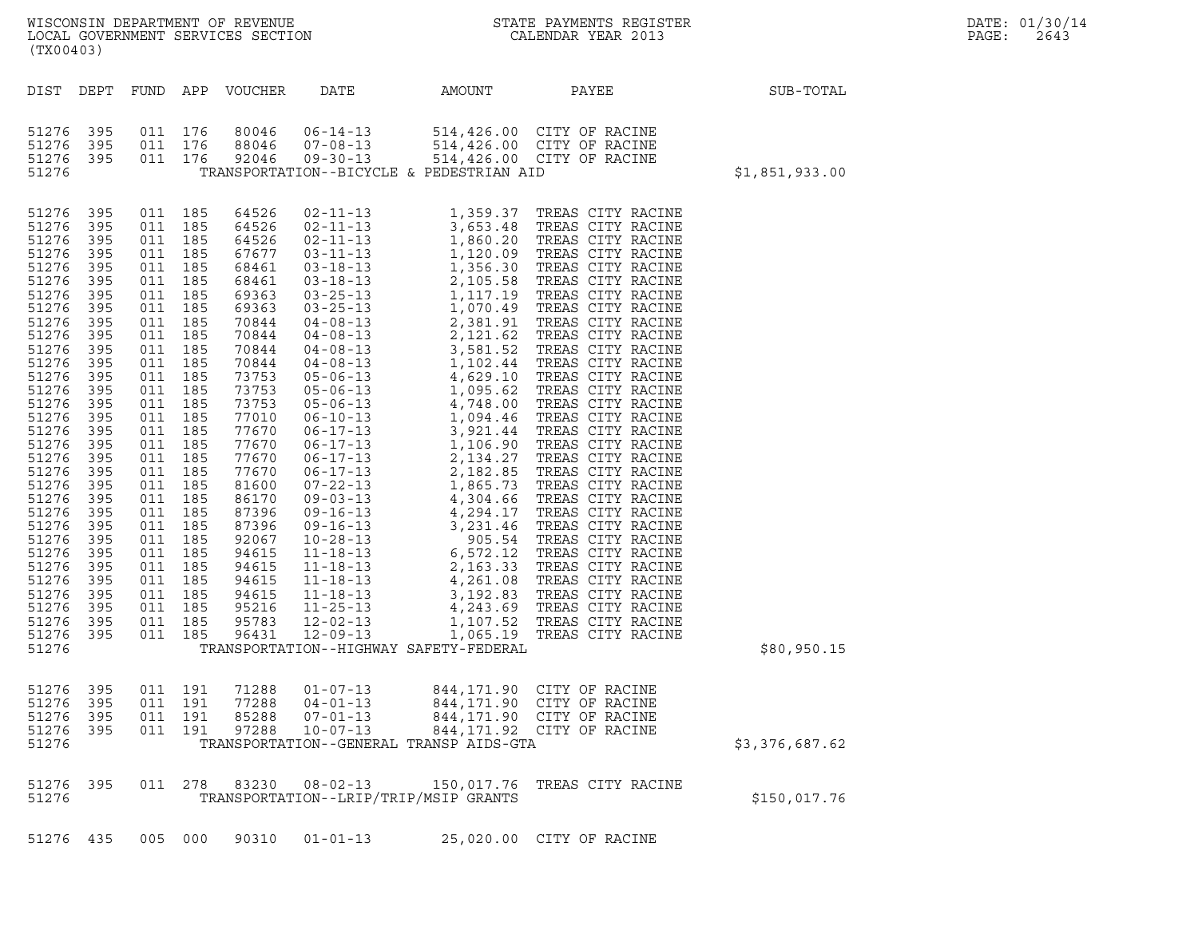| (TX00403)                                                                                                                                                                                                                                                                               |                                                                                                                                                                                                                |                                                                                                                                                                                                                                                                                                                                                   |                               |                                                                                                                                                                                                                                                                                     |                                                                      |                                                     | ${\tt WISCONSIM\ DEPARTMENT\ OF\ REVENUE}\hbox{\tt STATE\ PAYMENTS\ REGISTER\ LOCAL\ GOVERNMENT\ SERVICES\ SECTION\thinspace\ {\tt NETATE\ PAYMENDAR\ YEAR\ 2013}$ |                | DATE: 01/30/14<br>PAGE:<br>2643 |
|-----------------------------------------------------------------------------------------------------------------------------------------------------------------------------------------------------------------------------------------------------------------------------------------|----------------------------------------------------------------------------------------------------------------------------------------------------------------------------------------------------------------|---------------------------------------------------------------------------------------------------------------------------------------------------------------------------------------------------------------------------------------------------------------------------------------------------------------------------------------------------|-------------------------------|-------------------------------------------------------------------------------------------------------------------------------------------------------------------------------------------------------------------------------------------------------------------------------------|----------------------------------------------------------------------|-----------------------------------------------------|--------------------------------------------------------------------------------------------------------------------------------------------------------------------|----------------|---------------------------------|
| DIST DEPT                                                                                                                                                                                                                                                                               |                                                                                                                                                                                                                |                                                                                                                                                                                                                                                                                                                                                   |                               | FUND APP VOUCHER                                                                                                                                                                                                                                                                    | DATE                                                                 | AMOUNT                                              | PAYEE                                                                                                                                                              | SUB-TOTAL      |                                 |
| 51276 395<br>51276<br>51276 395<br>51276                                                                                                                                                                                                                                                | 395                                                                                                                                                                                                            | 011 176<br>011 176                                                                                                                                                                                                                                                                                                                                | 011 176                       | 80046<br>88046<br>92046                                                                                                                                                                                                                                                             | $06 - 14 - 13$<br>$07 - 08 - 13$<br>$09 - 30 - 13$                   | TRANSPORTATION--BICYCLE & PEDESTRIAN AID            | 514,426.00 CITY OF RACINE<br>514,426.00 CITY OF RACINE<br>514,426.00 CITY OF RACINE                                                                                | \$1,851,933.00 |                                 |
| 51276 395<br>51276<br>51276<br>51276<br>51276<br>51276<br>51276<br>51276<br>51276<br>51276<br>51276<br>51276<br>51276<br>51276<br>51276<br>51276<br>51276<br>51276<br>51276<br>51276<br>51276<br>51276<br>51276<br>51276<br>51276<br>51276<br>51276<br>51276<br>51276<br>51276<br>51276 | 395<br>395<br>395<br>395<br>395<br>395<br>395<br>395<br>395<br>395<br>395<br>395<br>395<br>395<br>395<br>395<br>395<br>395<br>395<br>395<br>395<br>395<br>395<br>395<br>395<br>395<br>395<br>395<br>395<br>395 | 011 185<br>011 185<br>011 185<br>011 185<br>011 185<br>011 185<br>011 185<br>011 185<br>011 185<br>011 185<br>011 185<br>011 185<br>011 185<br>011 185<br>011 185<br>011 185<br>011 185<br>011 185<br>011 185<br>011 185<br>011 185<br>011 185<br>011 185<br>011 185<br>011 185<br>011 185<br>011 185<br>011 185<br>011 185<br>011 185<br>011 185 |                               | 64526<br>64526<br>64526<br>67677<br>68461<br>68461<br>69363<br>69363<br>70844<br>70844<br>70844<br>70844<br>73753<br>73753<br>73753<br>77010<br>77670<br>77670<br>77670<br>77670<br>81600<br>86170<br>87396<br>87396<br>92067<br>94615<br>94615<br>94615<br>94615<br>95216<br>95783 |                                                                      |                                                     |                                                                                                                                                                    |                |                                 |
| 51276<br>51276                                                                                                                                                                                                                                                                          | 395                                                                                                                                                                                                            | 011 185                                                                                                                                                                                                                                                                                                                                           |                               | 96431                                                                                                                                                                                                                                                                               |                                                                      | TRANSPORTATION--HIGHWAY SAFETY-FEDERAL              |                                                                                                                                                                    | \$80,950.15    |                                 |
| 51276 395<br>51276 395<br>51276<br>51276<br>51276                                                                                                                                                                                                                                       | 395<br>395                                                                                                                                                                                                     | 011 191                                                                                                                                                                                                                                                                                                                                           | 011 191<br>011 191<br>011 191 | 71288<br>77288<br>85288<br>97288                                                                                                                                                                                                                                                    | $01 - 07 - 13$<br>$04 - 01 - 13$<br>$07 - 01 - 13$<br>$10 - 07 - 13$ | TRANSPORTATION--GENERAL TRANSP AIDS-GTA             | 844,171.90 CITY OF RACINE<br>844, 171.90 CITY OF RACINE<br>844,171.90 CITY OF RACINE<br>844, 171.92 CITY OF RACINE                                                 | \$3,376,687.62 |                                 |
| 51276 395<br>51276                                                                                                                                                                                                                                                                      |                                                                                                                                                                                                                |                                                                                                                                                                                                                                                                                                                                                   | 011 278                       | 83230                                                                                                                                                                                                                                                                               | $08 - 02 - 13$                                                       | 150,017.76<br>TRANSPORTATION--LRIP/TRIP/MSIP GRANTS | TREAS CITY RACINE                                                                                                                                                  | \$150,017.76   |                                 |
| 51276 435                                                                                                                                                                                                                                                                               |                                                                                                                                                                                                                |                                                                                                                                                                                                                                                                                                                                                   | 005 000                       | 90310                                                                                                                                                                                                                                                                               | $01 - 01 - 13$                                                       |                                                     | 25,020.00 CITY OF RACINE                                                                                                                                           |                |                                 |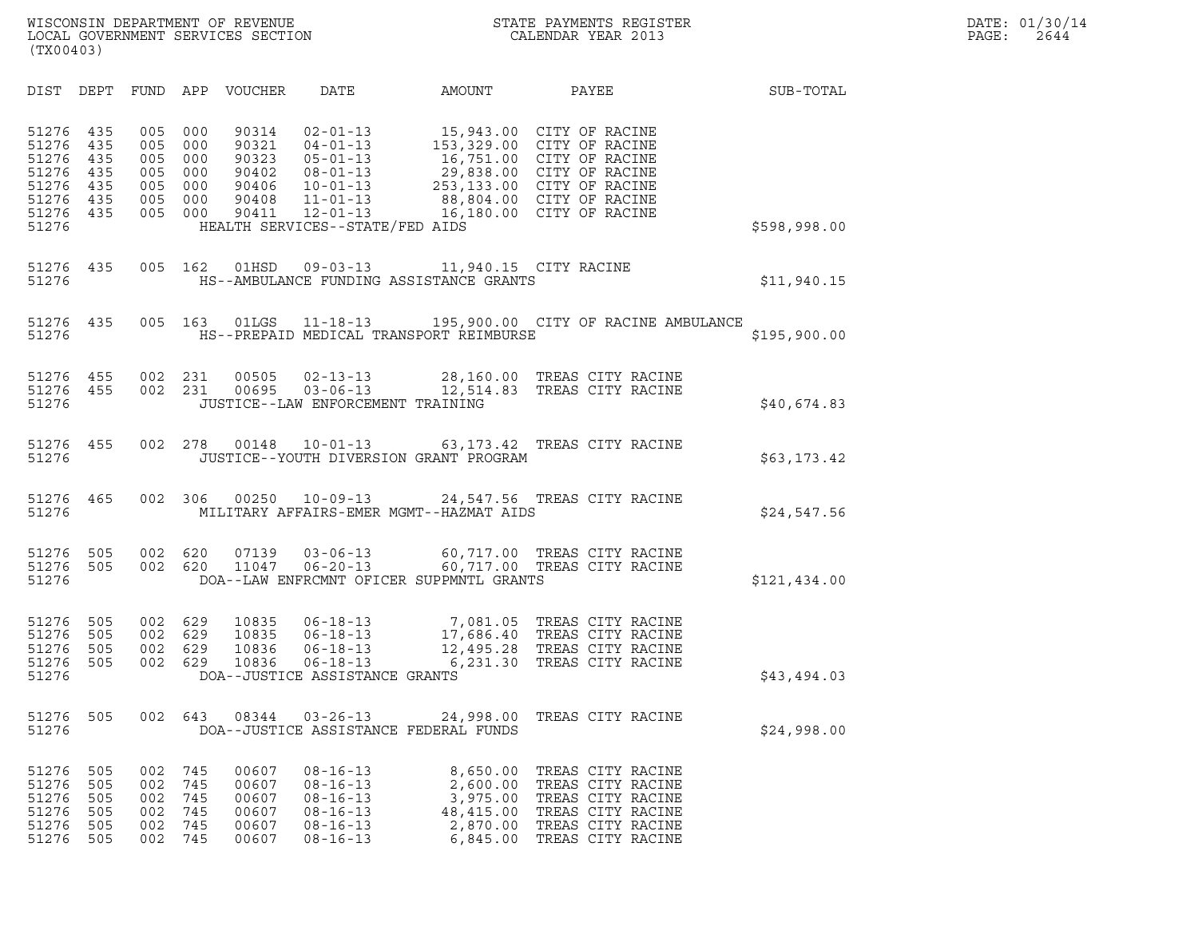| (TX00403)                                                                |                                        |                                               |                                               |                                                             |                                                                                                                                                               |                                                                           |                                                                                                                                                                                                    |              |
|--------------------------------------------------------------------------|----------------------------------------|-----------------------------------------------|-----------------------------------------------|-------------------------------------------------------------|---------------------------------------------------------------------------------------------------------------------------------------------------------------|---------------------------------------------------------------------------|----------------------------------------------------------------------------------------------------------------------------------------------------------------------------------------------------|--------------|
| DIST                                                                     | DEPT                                   | FUND                                          | APP                                           | VOUCHER                                                     | DATE                                                                                                                                                          | AMOUNT                                                                    | <b>PAYEE</b>                                                                                                                                                                                       | SUB-TOTAL    |
| 51276<br>51276<br>51276<br>51276<br>51276<br>51276 435<br>51276<br>51276 | 435<br>435<br>435<br>435<br>435<br>435 | 005<br>005<br>005<br>005<br>005<br>005<br>005 | 000<br>000<br>000<br>000<br>000<br>000<br>000 | 90314<br>90321<br>90323<br>90402<br>90406<br>90408<br>90411 | $02 - 01 - 13$<br>$04 - 01 - 13$<br>$05 - 01 - 13$<br>$08 - 01 - 13$<br>$10 - 01 - 13$<br>$11 - 01 - 13$<br>$12 - 01 - 13$<br>HEALTH SERVICES--STATE/FED AIDS |                                                                           | 15,943.00 CITY OF RACINE<br>153,329.00 CITY OF RACINE<br>16,751.00 CITY OF RACINE<br>29,838.00 CITY OF RACINE<br>253,133.00 CITY OF RACINE<br>88,804.00 CITY OF RACINE<br>16,180.00 CITY OF RACINE | \$598,998.00 |
| 51276<br>51276                                                           | 435                                    | 005                                           | 162                                           | 01HSD                                                       |                                                                                                                                                               | 09-03-13 11,940.15 CITY RACINE<br>HS--AMBULANCE FUNDING ASSISTANCE GRANTS |                                                                                                                                                                                                    | \$11,940.15  |
| 51276<br>51276                                                           | 435                                    | 005                                           |                                               |                                                             |                                                                                                                                                               | HS--PREPAID MEDICAL TRANSPORT REIMBURSE                                   | 163 01LGS  11-18-13  195,900.00 CITY OF RACINE AMBULANCE                                                                                                                                           | \$195,900.00 |
| 51276<br>51276 455<br>51276                                              | 455                                    | 002<br>002                                    | 231<br>231                                    |                                                             | $00505$ $02 - 13 - 13$<br>$00695$ $03-06-13$<br>JUSTICE--LAW ENFORCEMENT TRAINING                                                                             | 12,514.83                                                                 | 28,160.00 TREAS CITY RACINE<br>TREAS CITY RACINE                                                                                                                                                   | \$40,674.83  |
| 51276<br>51276                                                           | 455                                    | 002                                           | 278                                           | 00148                                                       | $10 - 01 - 13$                                                                                                                                                | 63, 173. 42<br>JUSTICE--YOUTH DIVERSION GRANT PROGRAM                     | TREAS CITY RACINE                                                                                                                                                                                  | \$63,173.42  |
| 51276<br>51276                                                           | 465                                    | 002                                           | 306                                           | 00250                                                       | $10 - 09 - 13$                                                                                                                                                | MILITARY AFFAIRS-EMER MGMT--HAZMAT AIDS                                   | 24,547.56 TREAS CITY RACINE                                                                                                                                                                        | \$24,547.56  |
| 51276<br>51276<br>51276                                                  | 505<br>505                             | 002<br>002                                    | 620<br>620                                    | 07139<br>11047                                              | $03 - 06 - 13$<br>$06 - 20 - 13$                                                                                                                              | 60,717.00<br>60,717.00<br>DOA--LAW ENFRCMNT OFICER SUPPMNTL GRANTS        | TREAS CITY RACINE<br>TREAS CITY RACINE                                                                                                                                                             | \$121,434.00 |
| 51276<br>51276<br>51276<br>51276<br>51276                                | 505<br>505<br>505<br>505               | 002<br>002<br>002<br>002                      | 629<br>629<br>629<br>629                      | 10835<br>10835<br>10836<br>10836                            | $06 - 18 - 13$<br>$06 - 18 - 13$<br>$06 - 18 - 13$<br>$06 - 18 - 13$<br>DOA--JUSTICE ASSISTANCE GRANTS                                                        | 7,081.05<br>6,231.30                                                      | TREAS CITY RACINE<br>17,686.40 TREAS CITY RACINE<br>12,495.28 TREAS CITY RACINE<br>TREAS CITY RACINE                                                                                               | \$43,494.03  |
| 51276<br>51276                                                           | 505                                    | 002                                           | 643                                           | 08344                                                       | $03 - 26 - 13$                                                                                                                                                | 24,998.00<br>DOA--JUSTICE ASSISTANCE FEDERAL FUNDS                        | TREAS CITY RACINE                                                                                                                                                                                  | \$24,998.00  |
| 51276<br>51276<br>51276<br>51276<br>51276<br>51276                       | 505<br>505<br>505<br>505<br>505<br>505 | 002<br>002<br>002<br>002<br>002<br>002        | 745<br>745<br>745<br>745<br>745<br>745        | 00607<br>00607<br>00607<br>00607<br>00607<br>00607          | $08 - 16 - 13$<br>$08 - 16 - 13$<br>$08 - 16 - 13$<br>$08 - 16 - 13$<br>$08 - 16 - 13$<br>$08 - 16 - 13$                                                      | 8,650.00<br>2,600.00<br>3,975.00<br>48,415.00<br>2,870.00<br>6,845.00     | TREAS CITY RACINE<br>TREAS CITY RACINE<br>TREAS CITY RACINE<br>TREAS CITY RACINE<br>TREAS CITY RACINE<br>TREAS CITY RACINE                                                                         |              |